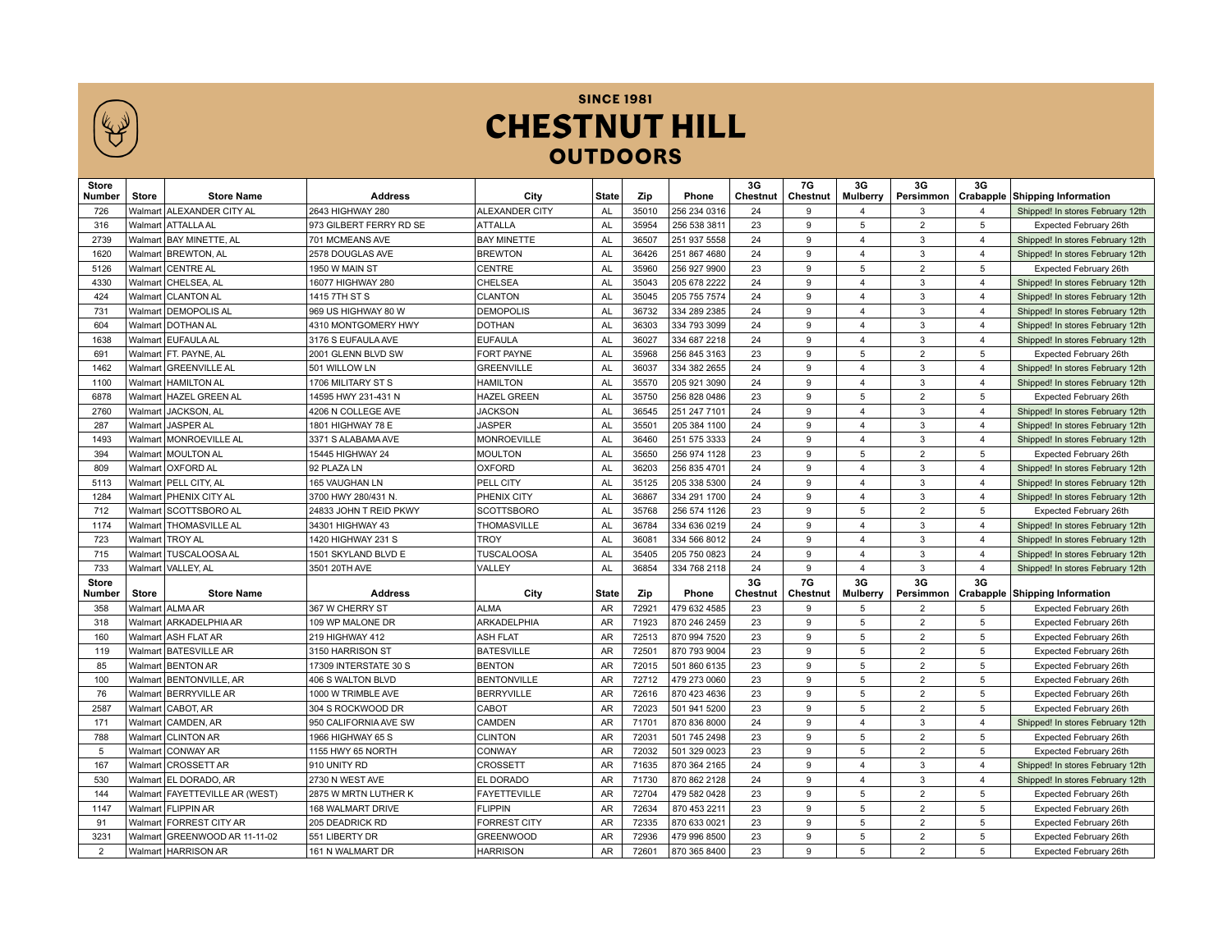

**SINCE 1981 CHESTNUT HILL OUTDOORS** 

| <b>Store</b><br>Number | <b>Store</b>       | <b>Store Name</b>                          | <b>Address</b>                             | City                                 | <b>State</b>    | Zip            | Phone                        | 3G<br>Chestnut  | 7G<br>Chestnut | 3G<br><b>Mulberry</b>   | 3G                               | 3G                      | Persimmon   Crabapple   Shipping Information     |
|------------------------|--------------------|--------------------------------------------|--------------------------------------------|--------------------------------------|-----------------|----------------|------------------------------|-----------------|----------------|-------------------------|----------------------------------|-------------------------|--------------------------------------------------|
| 726                    |                    | Walmart ALEXANDER CITY AL                  | 2643 HIGHWAY 280                           | <b>ALEXANDER CITY</b>                | <b>AL</b>       | 35010          | 256 234 0316                 | 24              | 9              | $\overline{4}$          | 3                                | $\overline{\mathbf{A}}$ | Shipped! In stores February 12th                 |
| 316                    |                    | Walmart   ATTALLA AL                       | 973 GILBERT FERRY RD SE                    | <b>ATTALLA</b>                       | <b>AL</b>       | 35954          | 256 538 3811                 | 23              | 9              | 5                       | $\overline{2}$                   | 5                       | Expected February 26th                           |
| 2739                   |                    | Walmart   BAY MINETTE, AL                  | 701 MCMEANS AVE                            | <b>BAY MINETTE</b>                   | <b>AL</b>       | 36507          | 251 937 5558                 | 24              | 9              | $\overline{4}$          | 3                                | $\overline{4}$          | Shipped! In stores February 12th                 |
| 1620                   |                    | Walmart BREWTON, AL                        | 2578 DOUGLAS AVE                           | <b>BREWTON</b>                       | <b>AL</b>       | 36426          | 251 867 4680                 | 24              | 9              | $\overline{4}$          | 3                                | $\overline{4}$          | Shipped! In stores February 12th                 |
| 5126                   |                    | Walmart   CENTRE AL                        | 1950 W MAIN ST                             | <b>CENTRE</b>                        | <b>AL</b>       | 35960          | 256 927 9900                 | 23              | 9              | 5                       | $\overline{2}$                   | 5                       | Expected February 26th                           |
| 4330                   | Walmart            | CHELSEA, AL                                | 16077 HIGHWAY 280                          | <b>CHELSEA</b>                       | AL              | 35043          | 205 678 2222                 | 24              | 9              | $\overline{\mathbf{A}}$ | 3                                | $\overline{4}$          | Shipped! In stores February 12th                 |
| 424                    | Walmart            | <b>CLANTON AL</b>                          | 1415 7TH ST S                              | <b>CLANTON</b>                       | <b>AL</b>       | 35045          | 205 755 7574                 | 24              | 9              | $\overline{4}$          | 3                                | $\overline{4}$          | Shipped! In stores February 12th                 |
| 731                    | Walmart            | <b>DEMOPOLIS AL</b>                        | 969 US HIGHWAY 80 W                        | <b>DEMOPOLIS</b>                     | AL              | 36732          | 334 289 2385                 | 24              | 9              | $\overline{4}$          | 3                                | $\overline{4}$          | Shipped! In stores February 12th                 |
| 604                    |                    | Walmart   DOTHAN AL                        | 4310 MONTGOMERY HWY                        | <b>DOTHAN</b>                        | <b>AL</b>       | 36303          | 334 793 3099                 | 24              | $\mathbf{Q}$   | $\overline{4}$          | 3                                | $\overline{4}$          | Shipped! In stores February 12th                 |
| 1638                   |                    | Walmart EUFAULA AL                         | 3176 S EUFAULA AVE                         | <b>EUFAULA</b>                       | AL              | 36027          | 334 687 2218                 | 24              | 9              | $\overline{4}$          | 3                                | $\overline{4}$          | Shipped! In stores February 12th                 |
| 691                    |                    | Walmart   FT. PAYNE, AL                    | 2001 GLENN BLVD SW                         | FORT PAYNE                           | <b>AL</b>       | 35968          | 256 845 3163                 | 23              | 9              | 5                       | $\overline{2}$                   | 5                       | Expected February 26th                           |
| 1462                   |                    | Walmart   GREENVILLE AL                    | 501 WILLOW LN                              | <b>GREENVILLE</b>                    | <b>AL</b>       | 36037          | 334 382 2655                 | 24              | 9              | $\overline{4}$          | 3                                | $\overline{4}$          | Shipped! In stores February 12th                 |
| 1100                   |                    | Walmart   HAMILTON AL                      | 1706 MILITARY ST S                         | <b>HAMILTON</b>                      | <b>AL</b>       | 35570          | 205 921 3090                 | 24              | 9              | $\overline{\mathbf{A}}$ | 3                                | $\overline{4}$          | Shipped! In stores February 12th                 |
| 6878                   | Walmart            | <b>HAZEL GREEN AL</b>                      | 14595 HWY 231-431 N                        | <b>HAZEL GREEN</b>                   | <b>AL</b>       | 35750          | 256 828 0486                 | 23              | g              | 5                       | $\overline{2}$                   | 5                       | Expected February 26th                           |
| 2760                   | Walmart            | JACKSON, AL                                | 4206 N COLLEGE AVE                         | <b>JACKSON</b>                       | <b>AL</b>       | 36545          | 251 247 7101                 | 24              | 9              | $\overline{4}$          | 3                                | $\overline{4}$          | Shipped! In stores February 12th                 |
| 287                    | Walmart            | <b>JASPER AL</b>                           | 1801 HIGHWAY 78 E                          | <b>JASPER</b>                        | AL              | 35501          | 205 384 1100                 | 24              | $\mathbf{Q}$   | $\overline{4}$          | 3                                | 4                       | Shipped! In stores February 12th                 |
| 1493                   | Walmart            | <b>MONROEVILLE AL</b>                      | 3371 S ALABAMA AVE                         | <b>MONROEVILLE</b>                   | <b>AL</b>       | 36460          | 251 575 3333                 | 24              | 9              | $\overline{4}$          | 3                                | $\overline{4}$          | Shipped! In stores February 12th                 |
| 394                    |                    | Walmart   MOULTON AL                       | 15445 HIGHWAY 24                           | <b>MOULTON</b>                       | <b>AL</b>       | 35650          | 256 974 1128                 | 23              | 9              | 5                       | $\overline{2}$                   | 5                       | Expected February 26th                           |
| 809                    |                    | Walmart   OXFORD AL                        | 92 PLAZA LN                                | <b>OXFORD</b>                        | <b>AL</b>       | 36203          | 256 835 4701                 | 24              | 9              | $\overline{4}$          | 3                                | $\overline{4}$          | Shipped! In stores February 12th                 |
| 5113                   |                    | Walmart   PELL CITY. AL                    | 165 VAUGHAN LN                             | PELL CITY                            | <b>AL</b>       | 35125          | 205 338 5300                 | 24              | 9              | $\overline{\mathbf{A}}$ | 3                                | $\overline{4}$          | Shipped! In stores February 12th                 |
| 1284                   | Walmart            | <b>PHENIX CITY AL</b>                      | 3700 HWY 280/431 N.                        | PHENIX CITY                          | <b>AL</b>       | 36867          | 334 291 1700                 | 24              | 9              | $\overline{4}$          | 3                                | $\overline{4}$          | Shipped! In stores February 12th                 |
| 712                    | Walmart            | SCOTTSBORO AL                              | 24833 JOHN T REID PKWY                     | <b>SCOTTSBORO</b>                    | <b>AL</b>       | 35768          | 256 574 1126                 | 23              | 9              | 5                       | $\overline{2}$                   | 5                       | Expected February 26th                           |
| 1174                   | Walmart            | <b>THOMASVILLE AL</b>                      | 34301 HIGHWAY 43                           | <b>THOMASVILLE</b>                   | <b>AL</b>       | 36784          | 334 636 0219                 | 24              | 9              | $\overline{4}$          | 3                                | $\overline{4}$          | Shipped! In stores February 12th                 |
| 723                    | Walmart            | <b>TROY AL</b>                             | 1420 HIGHWAY 231 S                         | <b>TROY</b>                          | AL              | 36081          | 334 566 8012                 | 24              | 9              | $\overline{4}$          | 3                                | $\overline{\mathbf{4}}$ | Shipped! In stores February 12th                 |
| 715                    |                    | Walmart   TUSCALOOSA AL                    | 1501 SKYLAND BLVD E                        | <b>TUSCALOOSA</b>                    | <b>AL</b>       | 35405          | 205 750 0823                 | 24              | 9              | $\overline{4}$          | 3                                | $\overline{4}$          | Shipped! In stores February 12th                 |
| 733                    |                    | Walmart   VALLEY. AL                       | 3501 20TH AVE                              | VALLEY                               | <b>AL</b>       | 36854          | 334 768 2118                 | 24              | $\mathbf{Q}$   | $\overline{4}$          | 3                                | $\overline{4}$          | Shipped! In stores February 12th                 |
| <b>Store</b>           |                    |                                            |                                            |                                      |                 |                |                              | 3G              | 7G             | 3G                      | 3G                               | 3G                      |                                                  |
| Number                 | <b>Store</b>       | <b>Store Name</b>                          | <b>Address</b>                             | City                                 | <b>State</b>    | Zip            | Phone                        | <b>Chestnut</b> | Chestnut       | <b>Mulberry</b>         | Persimmon                        |                         | Crabapple Shipping Information                   |
| 358                    |                    | Walmart ALMA AR                            | 367 W CHERRY ST                            | <b>ALMA</b>                          | AR              | 72921          | 479 632 4585                 | 23              | 9              | 5                       | $\overline{2}$                   | 5                       | Expected February 26th                           |
| 318                    |                    | Walmart ARKADELPHIA AR                     | 109 WP MALONE DR                           | ARKADELPHIA                          | <b>AR</b>       | 71923          | 870 246 2459                 | 23              | 9<br>9         | 5                       | $\overline{2}$                   | 5                       | Expected February 26th                           |
| 160<br>119             |                    | Walmart ASH FLAT AR                        | 219 HIGHWAY 412<br>3150 HARRISON ST        | <b>ASH FLAT</b><br><b>BATESVILLE</b> | AR<br><b>AR</b> | 72513<br>72501 | 870 994 7520                 | 23<br>23        | 9              | 5<br>5                  | $\overline{2}$<br>$\overline{2}$ | 5<br>5                  | Expected February 26th                           |
| 85                     |                    | Walmart   BATESVILLE AR                    |                                            |                                      | <b>AR</b>       | 72015          | 870 793 9004                 | 23              | $\mathbf{Q}$   | 5                       | $\overline{2}$                   | 5                       | Expected February 26th                           |
| 100                    | Walmart<br>Walmart | <b>BENTON AR</b><br><b>BENTONVILLE, AR</b> | 17309 INTERSTATE 30 S<br>406 S WALTON BLVD | <b>BENTON</b><br><b>BENTONVILLE</b>  | AR              | 72712          | 501 860 6135<br>479 273 0060 | 23              | 9              | 5                       | $\overline{2}$                   | 5                       | Expected February 26th                           |
| 76                     |                    | Walmart BERRYVILLE AR                      | 1000 W TRIMBLE AVE                         | <b>BERRYVILLE</b>                    | <b>AR</b>       | 72616          | 870 423 4636                 | 23              | g              | 5                       | $\overline{2}$                   | 5                       | Expected February 26th<br>Expected February 26th |
| 2587                   | Walmart            | CABOT, AR                                  | 304 S ROCKWOOD DR                          | CABOT                                | AR              | 72023          | 501 941 5200                 | 23              | 9              | 5                       | $\overline{2}$                   | 5                       | Expected February 26th                           |
| 171                    | Walmart            | CAMDEN, AR                                 | 950 CALIFORNIA AVE SW                      | CAMDEN                               | <b>AR</b>       | 71701          | 870 836 8000                 | 24              | 9              | $\overline{4}$          | 3                                | $\overline{\mathbf{4}}$ | Shipped! In stores February 12th                 |
| 788                    |                    | Walmart CLINTON AR                         | 1966 HIGHWAY 65 S                          | <b>CLINTON</b>                       | AR              | 72031          | 501 745 2498                 | 23              | 9              | 5                       | $\overline{2}$                   | 5                       | Expected February 26th                           |
| 5                      | Walmart            | <b>CONWAY AR</b>                           | 1155 HWY 65 NORTH                          | CONWAY                               | <b>AR</b>       | 72032          | 501 329 0023                 | 23              | 9              | 5                       | $\overline{2}$                   | 5                       | Expected February 26th                           |
| 167                    | Walmart            | <b>CROSSETT AR</b>                         | 910 UNITY RD                               | <b>CROSSETT</b>                      | <b>AR</b>       | 71635          | 870 364 2165                 | 24              | g              | $\Delta$                | 3                                | $\overline{4}$          | Shipped! In stores February 12th                 |
| 530                    |                    | Walmart EL DORADO, AR                      | 2730 N WEST AVE                            | EL DORADO                            | AR              | 71730          | 870 862 2128                 | 24              | 9              | $\overline{4}$          | 3                                | $\overline{4}$          | Shipped! In stores February 12th                 |
| 144                    | Walmart            | <b>FAYETTEVILLE AR (WEST)</b>              | 2875 W MRTN LUTHER K                       | <b>FAYETTEVILLE</b>                  | <b>AR</b>       | 72704          | 479 582 0428                 | 23              | 9              | 5                       | $\overline{2}$                   | 5                       | Expected February 26th                           |
| 1147                   |                    | Walmart   FLIPPIN AR                       | <b>168 WALMART DRIVE</b>                   | <b>FLIPPIN</b>                       | <b>AR</b>       | 72634          | 870 453 2211                 | 23              | 9              | 5                       | $\overline{2}$                   | 5                       | Expected February 26th                           |
| 91                     | Walmart            | <b>FORREST CITY AR</b>                     | 205 DEADRICK RD                            | <b>FORREST CITY</b>                  | AR              | 72335          | 870 633 0021                 | 23              | 9              | 5                       | $\overline{2}$                   | 5                       | Expected February 26th                           |
| 3231                   | Walmart            | GREENWOOD AR 11-11-02                      | 551 LIBERTY DR                             | <b>GREENWOOD</b>                     | <b>AR</b>       | 72936          | 479 996 8500                 | 23              | 9              | 5                       | $\overline{2}$                   | 5                       | Expected February 26th                           |
| $\overline{2}$         |                    | Walmart   HARRISON AR                      | 161 N WALMART DR                           | <b>HARRISON</b>                      | <b>AR</b>       | 72601          | 870 365 8400                 | 23              | 9              | 5                       | $\overline{2}$                   | 5                       | Expected February 26th                           |
|                        |                    |                                            |                                            |                                      |                 |                |                              |                 |                |                         |                                  |                         |                                                  |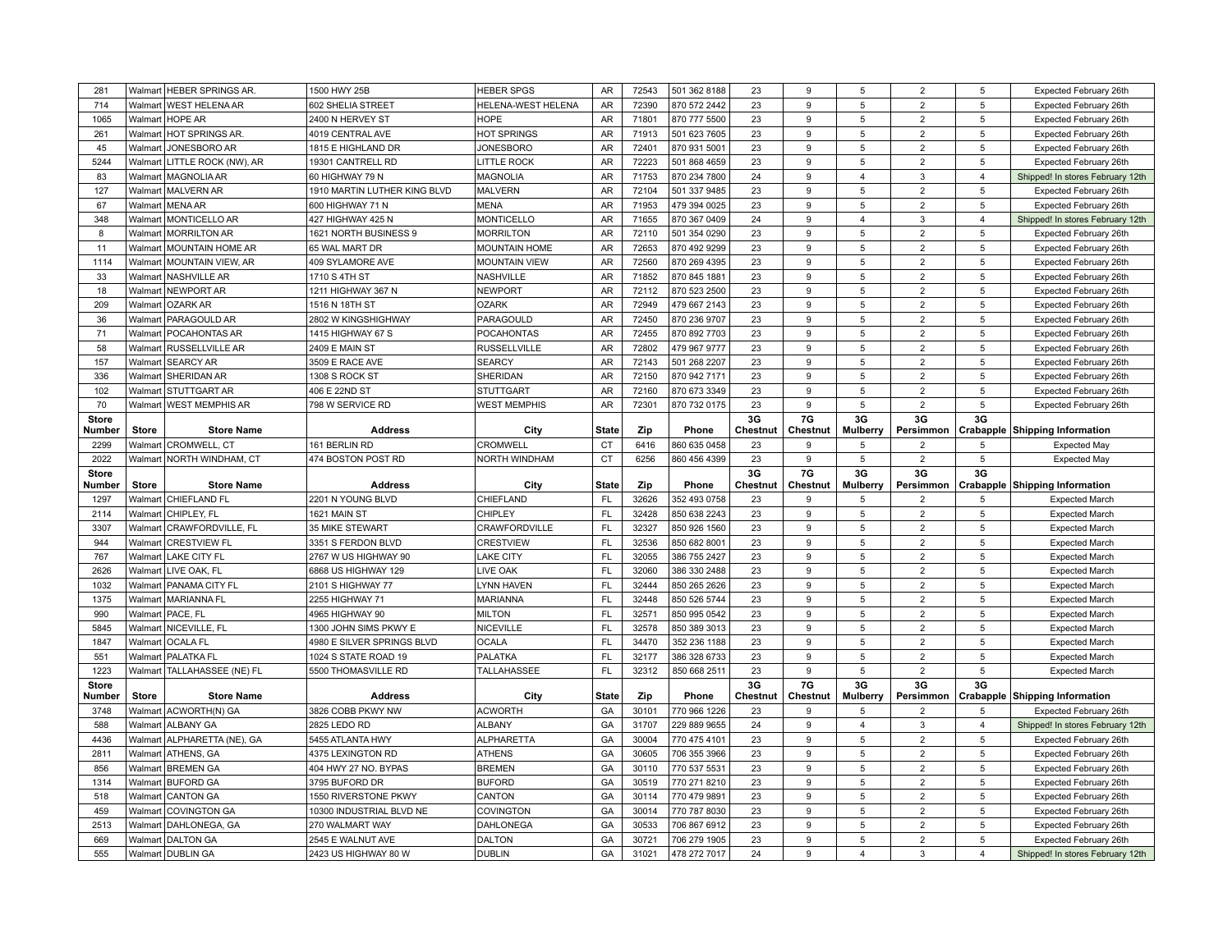| 281                    | Walmart            | <b>HEBER SPRINGS AR</b>           | 1500 HWY 25B                              | <b>HEBER SPGS</b>                 | <b>AR</b>    | 72543          | 501 362 8188                 | 23             | 9              | 5                       | $\overline{2}$                   | 5              | Expected February 26th                                         |
|------------------------|--------------------|-----------------------------------|-------------------------------------------|-----------------------------------|--------------|----------------|------------------------------|----------------|----------------|-------------------------|----------------------------------|----------------|----------------------------------------------------------------|
| 714                    | Walmart            | <b>WEST HELENA AR</b>             | 602 SHELIA STREET                         | HELENA-WEST HELENA                | <b>AR</b>    | 72390          | 870 572 2442                 | 23             | 9              | 5                       | $\overline{2}$                   | 5              | Expected February 26th                                         |
| 1065                   |                    | Walmart   HOPE AR                 | 2400 N HERVEY ST                          | <b>HOPE</b>                       | AR           | 71801          | 870 777 5500                 | 23             | 9              | 5                       | $\overline{2}$                   | 5              | Expected February 26th                                         |
| 261                    |                    | Walmart   HOT SPRINGS AR.         | 4019 CENTRAL AVE                          | <b>HOT SPRINGS</b>                | AR           | 71913          | 501 623 7605                 | 23             | 9              | 5                       | $\overline{2}$                   | 5              | Expected February 26th                                         |
| 45                     | Walmart            | JONESBORO AR                      | 1815 E HIGHLAND DR                        | <b>JONESBORO</b>                  | <b>AR</b>    | 72401          | 870 931 5001                 | 23             | 9              | 5                       | $\overline{2}$                   | 5              | Expected February 26th                                         |
| 5244                   | Walmart            | LITTLE ROCK (NW), AR              | 19301 CANTRELL RD                         | <b>LITTLE ROCK</b>                | <b>AR</b>    | 72223          | 501 868 4659                 | 23             | 9              | 5                       | $\overline{2}$                   | 5              | Expected February 26th                                         |
| 83                     |                    | Walmart   MAGNOLIA AR             | 60 HIGHWAY 79 N                           | <b>MAGNOLIA</b>                   | <b>AR</b>    | 71753          | 870 234 7800                 | 24             | 9              | $\overline{4}$          | 3                                | $\overline{4}$ | Shipped! In stores February 12th                               |
| 127                    |                    | Walmart   MALVERN AR              | 1910 MARTIN LUTHER KING BLVD              | <b>MALVERN</b>                    | AR           | 72104          | 501 337 9485                 | 23             | 9              | 5                       | $\overline{2}$                   | 5              | Expected February 26th                                         |
| 67                     | Walmart            | <b>MENA AR</b>                    | 600 HIGHWAY 71 N                          | <b>MENA</b>                       | <b>AR</b>    | 71953          | 479 394 0025                 | 23             | 9              | 5                       | $\overline{2}$                   | 5              | Expected February 26th                                         |
| 348                    |                    | Walmart   MONTICELLO AR           | 427 HIGHWAY 425 N                         | <b>MONTICELLO</b>                 | <b>AR</b>    | 71655          | 870 367 0409                 | 24             | 9              | 4                       | 3                                | $\overline{4}$ | Shipped! In stores February 12th                               |
| 8                      |                    | Walmart   MORRILTON AR            | 1621 NORTH BUSINESS 9                     | <b>MORRILTON</b>                  | AR           | 72110          | 501 354 0290                 | 23             | 9              | 5                       | $\overline{2}$                   | 5              | Expected February 26th                                         |
| 11                     | Walmart            | <b>MOUNTAIN HOME AR</b>           | 65 WAL MART DR                            | <b>MOUNTAIN HOME</b>              | AR           | 72653          | 870 492 9299                 | 23             | 9              | 5                       | $\overline{2}$                   | 5              | Expected February 26th                                         |
| 1114                   | Walmart            | <b>MOUNTAIN VIEW, AR</b>          | 409 SYLAMORE AVE                          | <b>MOUNTAIN VIEW</b>              | AR           | 72560          | 870 269 4395                 | 23             | 9              | 5                       | $\overline{2}$                   | 5              | Expected February 26th                                         |
| 33                     | Walmart            | <b>NASHVILLE AR</b>               | 1710 S 4TH ST                             | <b>NASHVILLE</b>                  | AR           | 71852          | 870 845 1881                 | 23             | 9              | 5                       | $\overline{2}$                   | 5              | Expected February 26th                                         |
| 18                     |                    | Walmart NEWPORT AR                | 1211 HIGHWAY 367 N                        | <b>NEWPORT</b>                    | AR           | 72112          | 870 523 2500                 | 23             | 9              | 5                       | $\overline{2}$                   | 5              | Expected February 26th                                         |
| 209                    | Walmart            | <b>OZARK AR</b>                   | 1516 N 18TH ST                            | <b>OZARK</b>                      | AR           | 72949          | 479 667 2143                 | 23             | 9              | 5                       | $\overline{2}$                   | 5              | Expected February 26th                                         |
| 36                     | Walmart            | PARAGOULD AR                      | 2802 W KINGSHIGHWAY                       | PARAGOULD                         | AR           | 72450          | 870 236 9707                 | 23             | 9              | 5                       | $\overline{2}$                   | 5              | Expected February 26th                                         |
| 71                     | Walmart            | <b>POCAHONTAS AR</b>              | 1415 HIGHWAY 67 S                         | <b>POCAHONTAS</b>                 | <b>AR</b>    | 72455          | 870 892 7703                 | 23             | 9              | 5                       | $\overline{2}$                   | 5              | Expected February 26th                                         |
| 58                     | Walmart            | <b>RUSSELLVILLE AR</b>            | 2409 E MAIN ST                            | <b>RUSSELLVILLE</b>               | <b>AR</b>    | 72802          | 479 967 9777                 | 23             | 9              | 5                       | $\overline{2}$                   | 5              | Expected February 26th                                         |
| 157                    | Walmart            | <b>SEARCY AR</b>                  | 3509 E RACE AVE                           | <b>SEARCY</b>                     | AR           | 72143          | 501 268 2207                 | 23             | 9              | 5                       | $\overline{2}$                   | 5              | Expected February 26th                                         |
| 336                    | Walmart            | SHERIDAN AR                       | 1308 S ROCK ST                            | SHERIDAN                          | AR           | 72150          | 870 942 7171                 | 23             | 9              | 5                       | $\overline{2}$                   | 5              | Expected February 26th                                         |
| 102                    | Walmart            | <b>STUTTGART AR</b>               | 406 E 22ND ST                             | <b>STUTTGART</b>                  | AR           | 72160          | 870 673 3349                 | 23             | 9              | 5                       | $\overline{2}$                   | 5              | Expected February 26th                                         |
| 70                     |                    | Walmart   WEST MEMPHIS AR         | 798 W SERVICE RD                          | <b>WEST MEMPHIS</b>               | AR           | 72301          | 870 732 0175                 | 23             | 9              | 5                       | $\overline{2}$                   | 5              | Expected February 26th                                         |
| <b>Store</b><br>Number | <b>Store</b>       | <b>Store Name</b>                 | <b>Address</b>                            | City                              | <b>State</b> | Zip            | Phone                        | 3G<br>Chestnut | 7G<br>Chestnut | 3G<br><b>Mulberry</b>   | 3G<br>Persimmon                  | 3G             | Crabapple Shipping Information                                 |
|                        | Walmart            | CROMWELL, CT                      | 161 BERLIN RD                             | <b>CROMWELL</b>                   | <b>CT</b>    | 6416           |                              | 23             | 9              | 5                       | $\overline{2}$                   | 5              |                                                                |
| 2299<br>2022           | Walmart            | NORTH WINDHAM, CT                 | 474 BOSTON POST RD                        | <b>NORTH WINDHAM</b>              | <b>CT</b>    | 6256           | 860 635 0458<br>860 456 4399 | 23             | 9              | 5                       | $\overline{2}$                   | 5              | <b>Expected May</b><br><b>Expected May</b>                     |
|                        |                    |                                   |                                           |                                   |              |                |                              |                |                |                         |                                  |                |                                                                |
|                        |                    |                                   |                                           |                                   |              |                |                              |                |                |                         |                                  |                |                                                                |
| <b>Store</b><br>Number | <b>Store</b>       | <b>Store Name</b>                 | <b>Address</b>                            |                                   | <b>State</b> | Zip            | Phone                        | 3G<br>Chestnut | 7G<br>Chestnut | 3G<br><b>Mulberry</b>   | 3G<br>Persimmon                  | 3G             |                                                                |
| 1297                   |                    | Walmart   CHIEFLAND FL            | 2201 N YOUNG BLVD                         | City<br>CHIEFLAND                 | <b>FL</b>    | 32626          | 352 493 0758                 | 23             | 9              | 5                       | $\overline{2}$                   | 5              | <b>Crabapple Shipping Information</b><br><b>Expected March</b> |
| 2114                   | Walmart            | CHIPLEY, FL                       | 1621 MAIN ST                              | CHIPLEY                           | FL           | 32428          | 850 638 2243                 | 23             | 9              | 5                       | $\overline{2}$                   | 5              | <b>Expected March</b>                                          |
| 3307                   | Walmart            | CRAWFORDVILLE, FL                 | <b>35 MIKE STEWART</b>                    | CRAWFORDVILLE                     | FL           | 32327          | 850 926 1560                 | 23             | 9              | 5                       | $\overline{2}$                   | 5              | <b>Expected March</b>                                          |
| 944                    | Walmart            | <b>CRESTVIEW FL</b>               | 3351 S FERDON BLVD                        | <b>CRESTVIEW</b>                  | FL           | 32536          | 850 682 8001                 | 23             | 9              | 5                       | $\overline{2}$                   | 5              | <b>Expected March</b>                                          |
| 767                    | Walmart            | <b>LAKE CITY FL</b>               | 2767 W US HIGHWAY 90                      | <b>LAKE CITY</b>                  | <b>FL</b>    | 32055          | 386 755 2427                 | 23             | 9              | 5                       | $\overline{2}$                   | 5              | <b>Expected March</b>                                          |
| 2626                   | Walmart            | LIVE OAK, FL                      | 6868 US HIGHWAY 129                       | LIVE OAK                          | FL           | 32060          | 386 330 2488                 | 23             | 9              | 5                       | $\overline{2}$                   | 5              | <b>Expected March</b>                                          |
| 1032                   | Walmart            | PANAMA CITY FL                    | 2101 S HIGHWAY 77                         | LYNN HAVEN                        | FL           | 32444          | 850 265 2626                 | 23             | 9              | 5                       | $\overline{2}$                   | 5              | <b>Expected March</b>                                          |
| 1375                   |                    | Walmart   MARIANNA FL             | 2255 HIGHWAY 71                           | <b>MARIANNA</b>                   | FL           | 32448          | 850 526 5744                 | 23             | 9              | 5                       | $\overline{2}$                   | 5              | <b>Expected March</b>                                          |
| 990                    |                    | Walmart   PACE, FL                | 4965 HIGHWAY 90                           | <b>MILTON</b>                     | FL           | 32571          | 850 995 0542                 | 23             | 9              | 5                       | $\overline{2}$                   | 5              | <b>Expected March</b>                                          |
| 5845                   | Walmart            | NICEVILLE, FL                     | 1300 JOHN SIMS PKWY E                     | <b>NICEVILLE</b>                  | FL           | 32578          | 850 389 3013                 | 23             | 9              | 5                       | $\overline{2}$                   | 5              | <b>Expected March</b>                                          |
| 1847                   | Walmart            | <b>OCALA FL</b>                   | 4980 E SILVER SPRINGS BLVD                | <b>OCALA</b>                      | FL           | 34470          | 352 236 1188                 | 23             | 9              | 5                       | $\overline{2}$                   | 5              | <b>Expected March</b>                                          |
| 551                    |                    | Walmart   PALATKA FL              | 1024 S STATE ROAD 19                      | PALATKA                           | FL           | 32177          | 386 328 6733                 | 23             | 9              | 5                       | $\overline{2}$                   | 5              | <b>Expected March</b>                                          |
| 1223                   |                    | Walmart   TALLAHASSEE (NE) FL     | 5500 THOMASVILLE RD                       | TALLAHASSEE                       | FL           | 32312          | 850 668 2511                 | 23             | 9              | 5                       | $\overline{2}$                   | 5              | <b>Expected March</b>                                          |
| <b>Store</b>           |                    |                                   |                                           |                                   |              |                |                              | 3G             | 7G             | 3G                      | 3G                               | 3G             |                                                                |
| Number                 | <b>Store</b>       | <b>Store Name</b>                 | <b>Address</b>                            | City                              | <b>State</b> | Zip            | Phone                        | Chestnut       | Chestnut       | <b>Mulberry</b>         | Persimmon                        |                | Crabapple Shipping Information                                 |
| 3748                   | Walmart            | ACWORTH(N) GA                     | 3826 COBB PKWY NW                         | <b>ACWORTH</b>                    | GA           | 30101          | 770 966 1226                 | 23             | 9              | 5                       | $\overline{2}$                   |                | Expected February 26th                                         |
| 588                    | Walmart            | <b>ALBANY GA</b>                  | 2825 LEDO RD                              | <b>ALBANY</b>                     | GA           | 31707          | 229 889 9655                 | 24             | 9              | $\overline{4}$          | 3                                | $\overline{4}$ | Shipped! In stores February 12th                               |
| 4436                   | Walmart            | ALPHARETTA (NE), GA               | 5455 ATLANTA HWY                          | <b>ALPHARETTA</b>                 | GA           | 30004          | 770 475 4101                 | 23             | 9              | 5                       | $\overline{2}$                   | 5              | Expected February 26th                                         |
| 2811                   |                    | Walmart ATHENS, GA                | 4375 LEXINGTON RD                         | <b>ATHENS</b>                     | GA           | 30605          | 706 355 3966                 | 23             | g              | 5                       | $\overline{2}$                   | 5              | Expected February 26th                                         |
| 856                    | Walmart            | <b>BREMEN GA</b>                  | 404 HWY 27 NO. BYPAS                      | <b>BREMEN</b>                     | GA           | 30110          | 770 537 5531                 | 23             | 9              | 5                       | $\overline{2}$                   | 5              | Expected February 26th                                         |
| 1314                   | Walmart            | <b>BUFORD GA</b>                  | 3795 BUFORD DR                            | <b>BUFORD</b>                     | GA           | 30519          | 770 271 8210                 | 23             | 9              | 5                       | $\overline{2}$                   | 5              | Expected February 26th                                         |
| 518                    | Walmart            | <b>CANTON GA</b>                  | 1550 RIVERSTONE PKWY                      | CANTON                            | GA           | 30114          | 770 479 9891                 | 23             | 9              | 5                       | $\overline{2}$                   | 5              | Expected February 26th                                         |
| 459                    | Walmart            | <b>COVINGTON GA</b>               | 10300 INDUSTRIAL BLVD NE                  | <b>COVINGTON</b>                  | GA           | 30014          | 770 787 8030                 | 23             | 9              | 5                       | $\overline{2}$                   | 5              | Expected February 26th                                         |
| 2513<br>669            | Walmart<br>Walmart | DAHLONEGA, GA<br><b>DALTON GA</b> | 270 WALMART WAY                           | <b>DAHLONEGA</b><br><b>DALTON</b> | GA<br>GA     | 30533<br>30721 | 706 867 6912                 | 23<br>23       | 9<br>9         | 5<br>5                  | $\overline{2}$<br>$\overline{2}$ | 5<br>5         | Expected February 26th                                         |
| 555                    |                    | Walmart DUBLIN GA                 | 2545 E WALNUT AVE<br>2423 US HIGHWAY 80 W | <b>DUBLIN</b>                     | GA           | 31021          | 706 279 1905<br>478 272 7017 | 24             | 9              | $\overline{\mathbf{A}}$ | 3                                | $\overline{4}$ | Expected February 26th<br>Shipped! In stores February 12th     |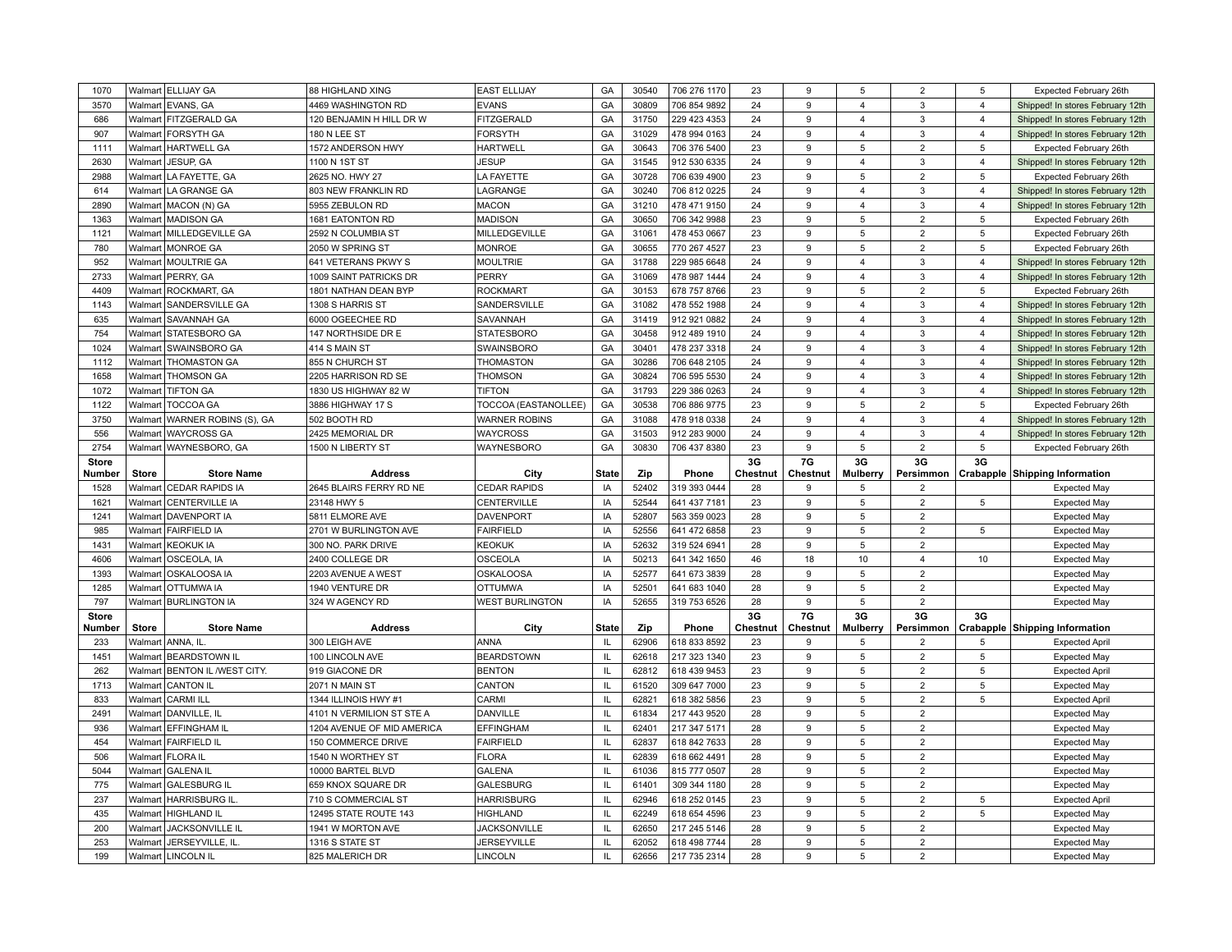| 1070         |              | Walmart ELLIJAY GA                    | 88 HIGHLAND XING                   | <b>EAST ELLIJAY</b>                  | GA                   | 30540          | 706 276 1170                 | 23       | 9                 | 5                       | $\overline{2}$                   | 5              | Expected February 26th                     |
|--------------|--------------|---------------------------------------|------------------------------------|--------------------------------------|----------------------|----------------|------------------------------|----------|-------------------|-------------------------|----------------------------------|----------------|--------------------------------------------|
| 3570         | Walmart      | EVANS, GA                             | 4469 WASHINGTON RD                 | <b>EVANS</b>                         | GA                   | 30809          | 706 854 9892                 | 24       | 9                 | $\overline{4}$          | 3                                | $\overline{4}$ | Shipped! In stores February 12th           |
| 686          |              | Walmart   FITZGERALD GA               | 120 BENJAMIN H HILL DR W           | <b>FITZGERALD</b>                    | GA                   | 31750          | 229 423 4353                 | 24       | 9                 | $\overline{\mathbf{4}}$ | 3                                | $\overline{4}$ | Shipped! In stores February 12th           |
| 907          | Walmart      | <b>FORSYTH GA</b>                     | <b>180 N LEE ST</b>                | <b>FORSYTH</b>                       | GA                   | 31029          | 478 994 0163                 | 24       | 9                 | $\overline{4}$          | 3                                | $\overline{4}$ | Shipped! In stores February 12th           |
| 1111         | Walmart      | <b>HARTWELL GA</b>                    | 1572 ANDERSON HWY                  | <b>HARTWELL</b>                      | GA                   | 30643          | 706 376 5400                 | 23       | 9                 | 5                       | $\overline{2}$                   | 5              | Expected February 26th                     |
| 2630         | Walmart      | JESUP, GA                             | 1100 N 1ST ST                      | <b>JESUP</b>                         | GA                   | 31545          | 912 530 6335                 | 24       | 9                 | 4                       | 3                                | $\overline{4}$ | Shipped! In stores February 12th           |
| 2988         | Walmart      | LA FAYETTE, GA                        | 2625 NO. HWY 27                    | LA FAYETTE                           | GA                   | 30728          | 706 639 4900                 | 23       | 9                 | 5                       | $\overline{2}$                   | 5              | Expected February 26th                     |
| 614          | Walmart      | LA GRANGE GA                          | 803 NEW FRANKLIN RD                | LAGRANGE                             | GA                   | 30240          | 706 812 0225                 | 24       | 9                 | $\overline{\mathbf{4}}$ | 3                                | $\overline{4}$ | Shipped! In stores February 12th           |
| 2890         | Walmart      | MACON (N) GA                          | 5955 ZEBULON RD                    | <b>MACON</b>                         | GA                   | 31210          | 478 471 9150                 | 24       | 9                 | $\overline{\mathbf{A}}$ | $\mathbf{3}$                     | $\overline{4}$ | Shipped! In stores February 12th           |
| 1363         |              | Walmart   MADISON GA                  | 1681 EATONTON RD                   | <b>MADISON</b>                       | GA                   | 30650          | 706 342 9988                 | 23       | 9                 | 5                       | $\overline{2}$                   | 5              | Expected February 26th                     |
| 1121         |              | Walmart   MILLEDGEVILLE GA            | 2592 N COLUMBIA ST                 | MILLEDGEVILLE                        | GA                   | 31061          | 478 453 0667                 | 23       | 9                 | 5                       | $\overline{2}$                   | 5              | Expected February 26th                     |
| 780          | Walmart      | <b>MONROE GA</b>                      | 2050 W SPRING ST                   | <b>MONROE</b>                        | GA                   | 30655          | 770 267 4527                 | 23       | 9                 | 5                       | $\overline{2}$                   | 5              | Expected February 26th                     |
| 952          | Walmart      | MOULTRIE GA                           | 641 VETERANS PKWY S                | <b>MOULTRIE</b>                      | GA                   | 31788          | 229 985 6648                 | 24       | 9                 | $\overline{4}$          | 3                                | $\overline{4}$ | Shipped! In stores February 12th           |
| 2733         |              | Walmart   PERRY, GA                   | 1009 SAINT PATRICKS DR             | PERRY                                | GA                   | 31069          | 478 987 1444                 | 24       | 9                 | $\overline{4}$          | $\mathbf{3}$                     | $\overline{4}$ | Shipped! In stores February 12th           |
| 4409         | Walmart      | <b>ROCKMART, GA</b>                   | 1801 NATHAN DEAN BYP               | <b>ROCKMART</b>                      | GA                   | 30153          | 678 757 8766                 | 23       | 9                 | 5                       | $\overline{2}$                   | 5              | Expected February 26th                     |
| 1143         | Walmart      | SANDERSVILLE GA                       | 1308 S HARRIS ST                   | SANDERSVILLE                         | GA                   | 31082          | 478 552 1988                 | 24       | 9                 | $\overline{\mathbf{4}}$ | 3                                | $\overline{4}$ | Shipped! In stores February 12th           |
| 635          | Walmart      | <b>SAVANNAH GA</b>                    | 6000 OGEECHEE RD                   | SAVANNAH                             | GA                   | 31419          | 912 921 0882                 | 24       | 9                 | 4                       | 3                                | $\overline{4}$ | Shipped! In stores February 12th           |
| 754          | Walmart      | STATESBORO GA                         | 147 NORTHSIDE DR E                 | <b>STATESBORO</b>                    | GA                   | 30458          | 912 489 1910                 | 24       | 9                 | $\overline{4}$          | $\mathbf{3}$                     | $\overline{4}$ | Shipped! In stores February 12th           |
| 1024         | Walmart      | SWAINSBORO GA                         | 414 S MAIN ST                      | SWAINSBORC                           | GA                   | 30401          | 478 237 3318                 | 24       | $\mathbf{Q}$      | $\overline{4}$          | 3                                | $\overline{4}$ | Shipped! In stores February 12th           |
| 1112         | Walmart      | <b>THOMASTON GA</b>                   | 855 N CHURCH ST                    | THOMASTON                            | GA                   | 30286          | 706 648 2105                 | 24       | 9                 | 4                       | 3                                | $\overline{4}$ | Shipped! In stores February 12th           |
| 1658         | Walmart      | <b>THOMSON GA</b>                     | 2205 HARRISON RD SE                | <b>THOMSON</b>                       | GA                   | 30824          | 706 595 5530                 | 24       | 9                 | 4                       | 3                                | $\overline{4}$ | Shipped! In stores February 12th           |
| 1072         |              | Walmart TIFTON GA                     | 1830 US HIGHWAY 82 W               | <b>TIFTON</b>                        | GA                   | 31793          | 229 386 0263                 | 24       | 9                 | 4                       | 3                                | $\overline{4}$ | Shipped! In stores February 12th           |
| 1122         | Walmart      | <b>TOCCOA GA</b>                      | 3886 HIGHWAY 17 S                  | TOCCOA (EASTANOLLEE)                 | GA                   | 30538          | 706 886 9775                 | 23       | 9                 | 5                       | $\overline{2}$                   | 5              | Expected February 26th                     |
| 3750         | Walmart      | <b>WARNER ROBINS (S), GA</b>          | 502 BOOTH RD                       | <b>WARNER ROBINS</b>                 | GA                   | 31088          | 478 918 0338                 | 24       | 9                 | $\overline{4}$          | 3                                | $\overline{4}$ | Shipped! In stores February 12th           |
| 556          |              | Walmart   WAYCROSS GA                 | 2425 MEMORIAL DR                   | WAYCROSS                             | GA                   | 31503          | 912 283 9000                 | 24       | 9                 | $\overline{4}$          | 3                                | $\overline{4}$ | Shipped! In stores February 12th           |
| 2754         |              | Walmart   WAYNESBORO, GA              | 1500 N LIBERTY ST                  | WAYNESBORO                           | GA                   | 30830          | 706 437 8380                 | 23       | 9                 | 5                       | $\overline{2}$                   | 5              | Expected February 26th                     |
| <b>Store</b> |              |                                       |                                    |                                      |                      |                |                              | 3G       | 7G                | 3G                      | 3G                               | 3G             |                                            |
| Number       | <b>Store</b> | <b>Store Name</b>                     | <b>Address</b>                     |                                      |                      | Zip            |                              |          |                   |                         |                                  |                |                                            |
|              |              |                                       |                                    | City                                 | <b>State</b>         |                | Phone                        | Chestnut | Chestnut          | Mulberry                | Persimmon                        |                | Crabapple Shipping Information             |
| 1528         | Walmart      | <b>CEDAR RAPIDS IA</b>                | 2645 BLAIRS FERRY RD NE            | <b>CEDAR RAPIDS</b>                  | IA                   | 52402          | 319 393 0444                 | 28       | 9                 | 5                       | $\overline{2}$                   |                | <b>Expected May</b>                        |
| 1621         | Walmart      | <b>CENTERVILLE IA</b>                 | 23148 HWY 5                        | CENTERVILLE                          | IA                   | 52544          | 641 437 7181                 | 23       | 9                 | 5                       | $\overline{2}$                   | 5              | <b>Expected May</b>                        |
| 1241         |              | Walmart   DAVENPORT IA                | 5811 ELMORE AVE                    | <b>DAVENPORT</b>                     | IA                   | 52807          | 563 359 0023                 | 28       | 9                 | 5                       | $\overline{2}$                   |                | <b>Expected May</b>                        |
| 985          | Walmart      | <b>FAIRFIELD IA</b>                   | 2701 W BURLINGTON AVE              | <b>FAIRFIELD</b>                     | IA                   | 52556          | 641 472 6858                 | 23       | 9                 | 5                       | $\overline{2}$                   | 5              | <b>Expected May</b>                        |
| 1431         | Walmart      | <b>KEOKUK IA</b>                      | 300 NO. PARK DRIVE                 | <b>KEOKUK</b>                        | IA                   | 52632          | 319 524 6941                 | 28       | 9                 | $\,$ 5 $\,$             | $\overline{2}$                   |                | <b>Expected May</b>                        |
| 4606         | Walmart      | OSCEOLA, IA                           | 2400 COLLEGE DR                    | <b>OSCEOLA</b>                       | IA                   | 50213          | 641 342 1650                 | 46       | 18                | 10                      | $\overline{4}$                   | 10             | <b>Expected May</b>                        |
| 1393         | Walmart      | <b>OSKALOOSA IA</b>                   | 2203 AVENUE A WEST                 | <b>OSKALOOSA</b>                     | IA                   | 52577          | 641 673 3839                 | 28       | 9                 | 5                       | $\overline{2}$                   |                | <b>Expected May</b>                        |
| 1285         | Walmart      | <b>OTTUMWA IA</b>                     | 1940 VENTURE DR                    | <b>OTTUMWA</b>                       | IA                   | 52501          | 641 683 1040                 | 28       | 9                 | 5                       | $\overline{2}$                   |                | <b>Expected May</b>                        |
| 797          |              | Walmart BURLINGTON IA                 | 324 W AGENCY RD                    | <b>WEST BURLINGTON</b>               | IA                   | 52655          | 319 753 6526                 | 28       | 9                 | 5                       | $\overline{2}$                   |                | <b>Expected May</b>                        |
| <b>Store</b> |              |                                       |                                    |                                      |                      |                |                              | 3G       | 7G                | 3G                      | 3G                               | 3G             |                                            |
| Number       | <b>Store</b> | <b>Store Name</b>                     | <b>Address</b>                     | City                                 | <b>State</b>         | Zip            | Phone                        | Chestnut | Chestnut          | Mulberry                | Persimmon                        |                | <b>Crabapple Shipping Information</b>      |
| 233          |              | Walmart ANNA, IL                      | 300 LEIGH AVE                      | <b>ANNA</b>                          | IL                   | 62906          | 618 833 8592                 | 23       | 9                 | 5                       | $\overline{2}$                   | 5              | <b>Expected April</b>                      |
| 1451         | Walmart      | <b>BEARDSTOWN IL</b>                  | 100 LINCOLN AVE                    | <b>BEARDSTOWN</b>                    | IL                   | 62618          | 217 323 1340                 | 23       | 9                 | 5                       | $\overline{2}$                   | 5              | <b>Expected May</b>                        |
| 262          | Walmart      | <b>BENTON IL /WEST CITY.</b>          | 919 GIACONE DR                     | <b>BENTON</b>                        | $\mathsf{L}$         | 62812          | 618 439 9453                 | 23       | 9                 | 5                       | $\overline{2}$                   | 5              | <b>Expected April</b>                      |
| 1713         | Walmart      | <b>CANTON IL</b>                      | 2071 N MAIN ST                     | CANTON                               | IL.                  | 61520          | 309 647 7000                 | 23       | 9                 | 5                       | $\overline{2}$                   | 5              | <b>Expected May</b>                        |
| 833          | Walmart      | <b>CARMI ILL</b>                      | 1344 ILLINOIS HWY #1               | CARMI                                | $\mathbf{II}$        | 62821          | 618 382 5856                 | 23       | 9                 | 5                       | $\overline{2}$                   | 5              | <b>Expected April</b>                      |
| 2491         | Walmart      | DANVILLE, IL                          | 4101 N VERMILION ST STE A          | DANVILLE                             | $\mathsf{L}$         | 61834          | 217 443 9520                 | 28       | 9                 | 5                       | $\overline{2}$                   |                | <b>Expected May</b>                        |
| 936          | Walmart      | <b>EFFINGHAM IL</b>                   | 1204 AVENUE OF MID AMERICA         | <b>EFFINGHAM</b>                     | IL                   | 62401          | 217 347 5171                 | 28       | 9                 | 5                       | $\overline{2}$                   |                | <b>Expected May</b>                        |
| 454          |              | Walmart   FAIRFIELD IL                | 150 COMMERCE DRIVE                 | <b>FAIRFIELD</b>                     | IL                   | 62837          | 618 842 7633                 | 28       | 9                 | 5                       | $\overline{2}$                   |                | <b>Expected May</b>                        |
| 506          | Walmart      | <b>FLORAIL</b>                        | 1540 N WORTHEY ST                  | <b>FLORA</b>                         | $\mathbf{H}$         | 62839          | 618 662 4491                 | 28       | $\mathbf{Q}$      | 5                       | $\overline{2}$                   |                | <b>Expected May</b>                        |
| 5044         | Walmart      | <b>GALENAIL</b>                       | 10000 BARTEL BLVD                  | <b>GALENA</b>                        | $\mathsf{L}$         | 61036          | 815 777 0507                 | 28       | 9                 | 5                       | $\overline{2}$                   |                | <b>Expected May</b>                        |
| 775          | Walmart      | <b>GALESBURG IL</b>                   | 659 KNOX SQUARE DR                 | <b>GALESBURG</b>                     | $\mathsf{L}$         | 61401          | 309 344 1180                 | 28       | 9                 | 5                       | $\overline{2}$                   |                | <b>Expected May</b>                        |
| 237          |              | Walmart   HARRISBURG IL               | 710 S COMMERCIAL ST                | <b>HARRISBURG</b>                    | $\mathbf{H}$         | 62946          | 618 252 0145                 | 23       | $\mathbf{Q}$      | 5                       | $\overline{c}$                   | 5              | <b>Expected April</b>                      |
| 435          | Walmart      | <b>HIGHLAND IL</b>                    | 12495 STATE ROUTE 143              | <b>HIGHLAND</b>                      | -IL                  | 62249          | 618 654 4596                 | 23       | 9                 | 5                       | $\overline{2}$                   | 5              | <b>Expected May</b>                        |
| 200          | Walmart      | <b>JACKSONVILLE IL</b>                | 1941 W MORTON AVE                  | <b>JACKSONVILLE</b>                  | $\mathsf{L}$         | 62650          | 217 245 5146                 | 28       | 9                 | 5                       | $\overline{2}$                   |                | <b>Expected May</b>                        |
| 253<br>199   | Walmart      | JERSEYVILLE, IL<br>Walmart LINCOLN IL | 1316 S STATE ST<br>825 MALERICH DR | <b>JERSEYVILLE</b><br><b>LINCOLN</b> | IL.<br>$\mathbf{II}$ | 62052<br>62656 | 618 498 7744<br>217 735 2314 | 28<br>28 | 9<br>$\mathbf{Q}$ | 5<br>5                  | $\overline{2}$<br>$\overline{2}$ |                | <b>Expected May</b><br><b>Expected May</b> |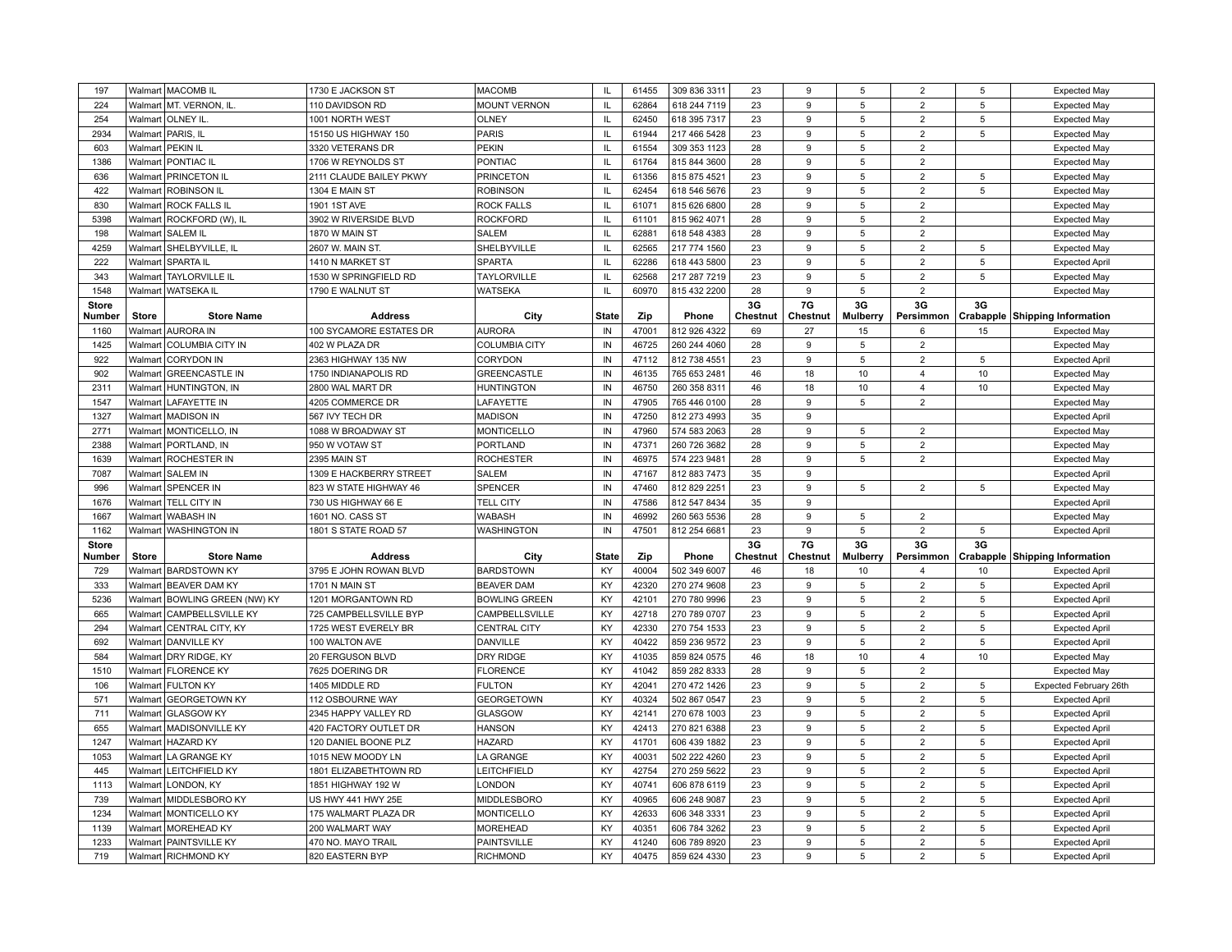| 197          |              | Walmart   MACOMB IL                         | 1730 E JACKSON ST                             | <b>MACOMB</b>                  | <b>IL</b>     | 61455          | 309 836 3311                 | 23       | 9        | 5               | $\overline{2}$ | 5           | <b>Expected May</b>                   |
|--------------|--------------|---------------------------------------------|-----------------------------------------------|--------------------------------|---------------|----------------|------------------------------|----------|----------|-----------------|----------------|-------------|---------------------------------------|
| 224          |              | Walmart   MT. VERNON, IL                    | 110 DAVIDSON RD                               | <b>MOUNT VERNON</b>            | $\mathsf{IL}$ | 62864          | 618 244 7119                 | 23       | 9        | $\,$ 5 $\,$     | $\overline{2}$ | 5           | <b>Expected May</b>                   |
| 254          |              | Walmart   OLNEY IL                          | 1001 NORTH WEST                               | <b>OLNEY</b>                   | IL            | 62450          | 618 395 7317                 | 23       | 9        | 5               | $\overline{2}$ | 5           | <b>Expected May</b>                   |
| 2934         |              | Walmart   PARIS, IL                         | 15150 US HIGHWAY 150                          | PARIS                          | IL            | 61944          | 217 466 5428                 | 23       | 9        | 5               | $\overline{2}$ | 5           | <b>Expected May</b>                   |
| 603          |              | Walmart   PEKIN IL                          | 3320 VETERANS DR                              | <b>PEKIN</b>                   | IL            | 61554          | 309 353 1123                 | 28       | 9        | 5               | $\overline{2}$ |             | <b>Expected May</b>                   |
| 1386         |              | Walmart   PONTIAC IL                        | 1706 W REYNOLDS ST                            | PONTIAC                        | IL            | 61764          | 815 844 3600                 | 28       | 9        | 5               | $\overline{2}$ |             | <b>Expected May</b>                   |
| 636          |              | Walmart   PRINCETON IL                      | 2111 CLAUDE BAILEY PKWY                       | <b>PRINCETON</b>               | IL            | 61356          | 815 875 4521                 | 23       | 9        | 5               | $\overline{2}$ | $\,$ 5      | <b>Expected May</b>                   |
| 422          |              | Walmart ROBINSON IL                         | 1304 E MAIN ST                                | <b>ROBINSON</b>                | $\mathsf{L}$  | 62454          | 618 546 5676                 | 23       | 9        | 5               | $\overline{2}$ | $\,$ 5      | <b>Expected May</b>                   |
| 830          |              | Walmart ROCK FALLS IL                       | 1901 1ST AVE                                  | ROCK FALLS                     | $\mathsf{IL}$ | 61071          | 815 626 6800                 | 28       | 9        | 5               | $\overline{2}$ |             | <b>Expected May</b>                   |
| 5398         |              | Walmart   ROCKFORD (W), IL                  | 3902 W RIVERSIDE BLVD                         | <b>ROCKFORD</b>                | IL            | 61101          | 815 962 4071                 | 28       | 9        | 5               | $\overline{2}$ |             | <b>Expected May</b>                   |
| 198          |              | Walmart SALEM IL                            | 1870 W MAIN ST                                | <b>SALEM</b>                   | IL.           | 62881          | 618 548 4383                 | 28       | 9        | 5               | $\overline{2}$ |             | <b>Expected May</b>                   |
| 4259         |              | Walmart   SHELBYVILLE, IL                   | 2607 W. MAIN ST.                              | SHELBYVILLE                    | IL            | 62565          | 217 774 1560                 | 23       | 9        | 5               | $\overline{2}$ | 5           | <b>Expected May</b>                   |
| 222          | Walmart      | <b>SPARTA IL</b>                            | 1410 N MARKET ST                              | <b>SPARTA</b>                  | IL            | 62286          | 618 443 5800                 | 23       | 9        | 5               | $\overline{2}$ | $\,$ 5      | <b>Expected April</b>                 |
| 343          |              | Walmart   TAYLORVILLE IL                    | 1530 W SPRINGFIELD RD                         | <b>TAYLORVILLE</b>             | $\mathsf{IL}$ | 62568          | 217 287 7219                 | 23       | 9        | $\,$ 5 $\,$     | $\overline{2}$ | $\,$ 5      | <b>Expected May</b>                   |
| 1548         |              | Walmart   WATSEKA IL                        | 1790 E WALNUT ST                              | <b>WATSEKA</b>                 | $\mathsf{IL}$ | 60970          | 815 432 2200                 | 28       | 9        | 5               | $\overline{2}$ |             | <b>Expected May</b>                   |
| <b>Store</b> |              |                                             |                                               |                                |               |                |                              | 3G       | 7G       | 3G              | 3G             | 3G          |                                       |
| Number       | <b>Store</b> | <b>Store Name</b>                           | <b>Address</b>                                | City                           | <b>State</b>  | Zip            | Phone                        | Chestnut | Chestnut | <b>Mulberry</b> | Persimmon      |             | Crabapple Shipping Information        |
| 1160         |              | Walmart AURORA IN                           | 100 SYCAMORE ESTATES DR                       | <b>AURORA</b>                  | IN            | 47001          | 812 926 4322                 | 69       | 27       | 15              | 6              | 15          | <b>Expected May</b>                   |
| 1425         |              | Walmart   COLUMBIA CITY IN                  | 402 W PLAZA DR                                | <b>COLUMBIA CITY</b>           | IN            | 46725          | 260 244 4060                 | 28       | 9        | 5               | $\overline{2}$ |             | <b>Expected May</b>                   |
| 922          |              | Walmart CORYDON IN                          | 2363 HIGHWAY 135 NW                           | CORYDON                        | IN            | 47112          | 812 738 4551                 | 23       | 9        | 5               | $\overline{2}$ | $\,$ 5 $\,$ | <b>Expected April</b>                 |
| 902          | Walmart      | <b>GREENCASTLE IN</b>                       | 1750 INDIANAPOLIS RD                          | <b>GREENCASTLE</b>             | IN            | 46135          | 765 653 2481                 | 46       | 18       | 10              | $\overline{4}$ | 10          | <b>Expected May</b>                   |
| 2311         | Walmart      | HUNTINGTON, IN                              | 2800 WAL MART DR                              | <b>HUNTINGTON</b>              | IN            | 46750          | 260 358 8311                 | 46       | 18       | 10              | $\overline{4}$ | 10          | <b>Expected May</b>                   |
| 1547         |              | Walmart   LAFAYETTE IN                      | 4205 COMMERCE DR                              | LAFAYETTE                      | IN            | 47905          | 765 446 0100                 | 28       | 9        | 5               | $\overline{2}$ |             | <b>Expected May</b>                   |
| 1327         |              | Walmart   MADISON IN                        | 567 IVY TECH DR                               | <b>MADISON</b>                 | IN            | 47250          | 812 273 4993                 | 35       | 9        |                 |                |             | <b>Expected April</b>                 |
| 2771         |              | Walmart   MONTICELLO, IN                    | 1088 W BROADWAY ST                            | <b>MONTICELLO</b>              | IN            | 47960          | 574 583 2063                 | 28       | 9        | 5               | $\overline{2}$ |             | <b>Expected May</b>                   |
| 2388         |              | Walmart PORTLAND. IN                        | 950 W VOTAW ST                                | <b>PORTLAND</b>                | IN            | 47371          | 260 726 3682                 | 28       | 9        | 5               | $\overline{2}$ |             | <b>Expected May</b>                   |
| 1639         |              | Walmart   ROCHESTER IN                      | 2395 MAIN ST                                  | <b>ROCHESTER</b>               | IN            | 46975          | 574 223 9481                 | 28       | 9        | 5               | $\overline{2}$ |             | <b>Expected May</b>                   |
| 7087         |              |                                             |                                               |                                |               |                |                              |          |          |                 |                |             |                                       |
|              |              |                                             |                                               |                                | IN            | 47167          |                              |          | 9        |                 |                |             |                                       |
|              |              | Walmart SALEM IN                            | 1309 E HACKBERRY STREET                       | <b>SALEM</b>                   |               | 47460          | 812 883 7473                 | 35       | 9        |                 |                |             | <b>Expected April</b>                 |
| 996<br>1676  | Walmart      | <b>SPENCER IN</b><br>Walmart   TELL CITY IN | 823 W STATE HIGHWAY 46<br>730 US HIGHWAY 66 E | SPENCER<br><b>TELL CITY</b>    | IN<br>IN      | 47586          | 812 829 2251<br>812 547 8434 | 23<br>35 | 9        | 5               | $\overline{2}$ | 5           | <b>Expected May</b>                   |
|              |              | Walmart   WABASH IN                         |                                               | <b>WABASH</b>                  | $\sf IN$      | 46992          |                              | 28       | 9        |                 | $\overline{2}$ |             | <b>Expected April</b>                 |
| 1667<br>1162 |              |                                             | 1601 NO. CASS ST                              |                                | IN            | 47501          | 260 563 5536                 | 23       | 9        | 5<br>5          | $\overline{2}$ | 5           | <b>Expected May</b>                   |
| <b>Store</b> |              | Walmart   WASHINGTON IN                     | 1801 S STATE ROAD 57                          | <b>WASHINGTON</b>              |               |                | 812 254 6681                 | 3G       | 7G       | 3G              | 3G             | 3G          | <b>Expected April</b>                 |
| Number       | <b>Store</b> | <b>Store Name</b>                           | <b>Address</b>                                | City                           | <b>State</b>  | Zip            | Phone                        | Chestnut | Chestnut | <b>Mulberry</b> | Persimmon      |             | <b>Crabapple Shipping Information</b> |
| 729          |              | Walmart BARDSTOWN KY                        | 3795 E JOHN ROWAN BLVD                        | <b>BARDSTOWN</b>               | KY            | 40004          | 502 349 6007                 | 46       | 18       | 10              | $\overline{4}$ | 10          | <b>Expected April</b>                 |
| 333          |              | Walmart   BEAVER DAM KY                     | 1701 N MAIN ST                                | <b>BEAVER DAM</b>              | KY            | 42320          | 270 274 9608                 | 23       | 9        | $\,$ 5 $\,$     | $\overline{2}$ | $\,$ 5      | <b>Expected April</b>                 |
| 5236         |              | Walmart BOWLING GREEN (NW) KY               | 1201 MORGANTOWN RD                            | <b>BOWLING GREEN</b>           | KY            | 42101          | 270 780 9996                 | 23       | 9        | 5               | $\overline{2}$ | 5           | <b>Expected April</b>                 |
| 665          | Walmart      | <b>CAMPBELLSVILLE KY</b>                    | 725 CAMPBELLSVILLE BYF                        | CAMPBELLSVILLE                 | KY            | 42718          | 270 789 0707                 | 23       | 9        | 5               | $\overline{2}$ | $\sqrt{5}$  | <b>Expected April</b>                 |
| 294          |              | Walmart   CENTRAL CITY, KY                  | 1725 WEST EVERELY BR                          | <b>CENTRAL CITY</b>            | KY            | 42330          | 270 754 1533                 | 23       | 9        | 5               | $\overline{2}$ | 5           | <b>Expected April</b>                 |
| 692          |              | Walmart   DANVILLE KY                       | 100 WALTON AVE                                | DANVILLE                       | KY            | 40422          | 859 236 9572                 | 23       | 9        | 5               | $\overline{2}$ | 5           | <b>Expected April</b>                 |
| 584          |              | Walmart DRY RIDGE, KY                       | 20 FERGUSON BLVD                              | DRY RIDGE                      | KY            | 41035          | 859 824 0575                 | 46       | 18       | 10              | $\overline{4}$ | 10          | <b>Expected May</b>                   |
| 1510         |              | Walmart   FLORENCE KY                       | 7625 DOERING DR                               | <b>FLORENCE</b>                | KY            | 41042          | 859 282 8333                 | 28       | 9        | 5               | $\overline{2}$ |             | <b>Expected May</b>                   |
| 106          |              | Walmart   FULTON KY                         | 1405 MIDDLE RD                                | <b>FULTON</b>                  | KY            | 42041          | 270 472 1426                 | 23       | 9        | 5               | $\overline{2}$ | 5           | Expected February 26th                |
| 571          |              | Walmart GEORGETOWN KY                       | 112 OSBOURNE WAY                              | <b>GEORGETOWN</b>              | KY            | 40324          | 502 867 0547                 | 23       | 9        | 5               | $\overline{2}$ | 5           | <b>Expected April</b>                 |
| 711          |              | Walmart GLASGOW KY                          | 2345 HAPPY VALLEY RD                          | GLASGOW                        | KY            | 42141          | 270 678 1003                 | 23       | 9        | 5               | $\overline{2}$ | $\,$ 5      | <b>Expected April</b>                 |
| 655          |              | Walmart   MADISONVILLE KY                   | 420 FACTORY OUTLET DR                         | <b>HANSON</b>                  | KY            | 42413          | 270 821 6388                 | 23       | 9        | 5               | $\overline{2}$ | 5           | <b>Expected April</b>                 |
| 1247         |              | Walmart   HAZARD KY                         | 120 DANIEL BOONE PLZ                          | <b>HAZARD</b>                  | KY            | 41701          | 606 439 1882                 | 23       | 9        | $\,$ 5 $\,$     | $\overline{2}$ | $\sqrt{5}$  | <b>Expected April</b>                 |
| 1053         |              | Walmart LA GRANGE KY                        | 1015 NEW MOODY LN                             | LA GRANGE                      | KY            | 40031          | 502 222 4260                 | 23       | 9        | 5               | $\overline{2}$ | 5           | <b>Expected April</b>                 |
| 445          |              | Walmart LEITCHFIELD KY                      | 1801 ELIZABETHTOWN RD                         | LEITCHFIELD                    | KY            | 42754          | 270 259 5622                 | 23       | 9        | 5               | $\overline{2}$ | 5           | <b>Expected April</b>                 |
| 1113         | Walmart      | LONDON, KY                                  | 1851 HIGHWAY 192 W                            | <b>LONDON</b>                  | KY            | 40741          | 606 878 6119                 | 23       | 9        | 5               | $\overline{2}$ | 5           | <b>Expected April</b>                 |
| 739          |              | Walmart MIDDLESBORO KY                      | US HWY 441 HWY 25E                            | MIDDLESBORO                    | KY            | 40965          | 606 248 9087                 | 23       | 9        | 5               | $\overline{2}$ | $\,$ 5      | <b>Expected April</b>                 |
| 1234         |              | Walmart   MONTICELLO KY                     | 175 WALMART PLAZA DR                          | <b>MONTICELLO</b>              | KY            | 42633          | 606 348 3331                 | 23       | 9        | 5               | $\overline{2}$ | 5           | <b>Expected April</b>                 |
| 1139         |              | Walmart   MOREHEAD KY                       | 200 WALMART WAY                               | <b>MOREHEAD</b>                | KY            | 40351          | 606 784 3262                 | 23       | 9        | 5               | $\overline{2}$ | $\sqrt{5}$  | <b>Expected April</b>                 |
| 1233         |              | Walmart   PAINTSVILLE KY                    | 470 NO. MAYO TRAIL                            | PAINTSVILLE<br><b>RICHMOND</b> | KY<br>KY      | 41240<br>40475 | 606 789 8920                 | 23       | 9        | 5               | $\overline{2}$ | $\,$ 5      | <b>Expected April</b>                 |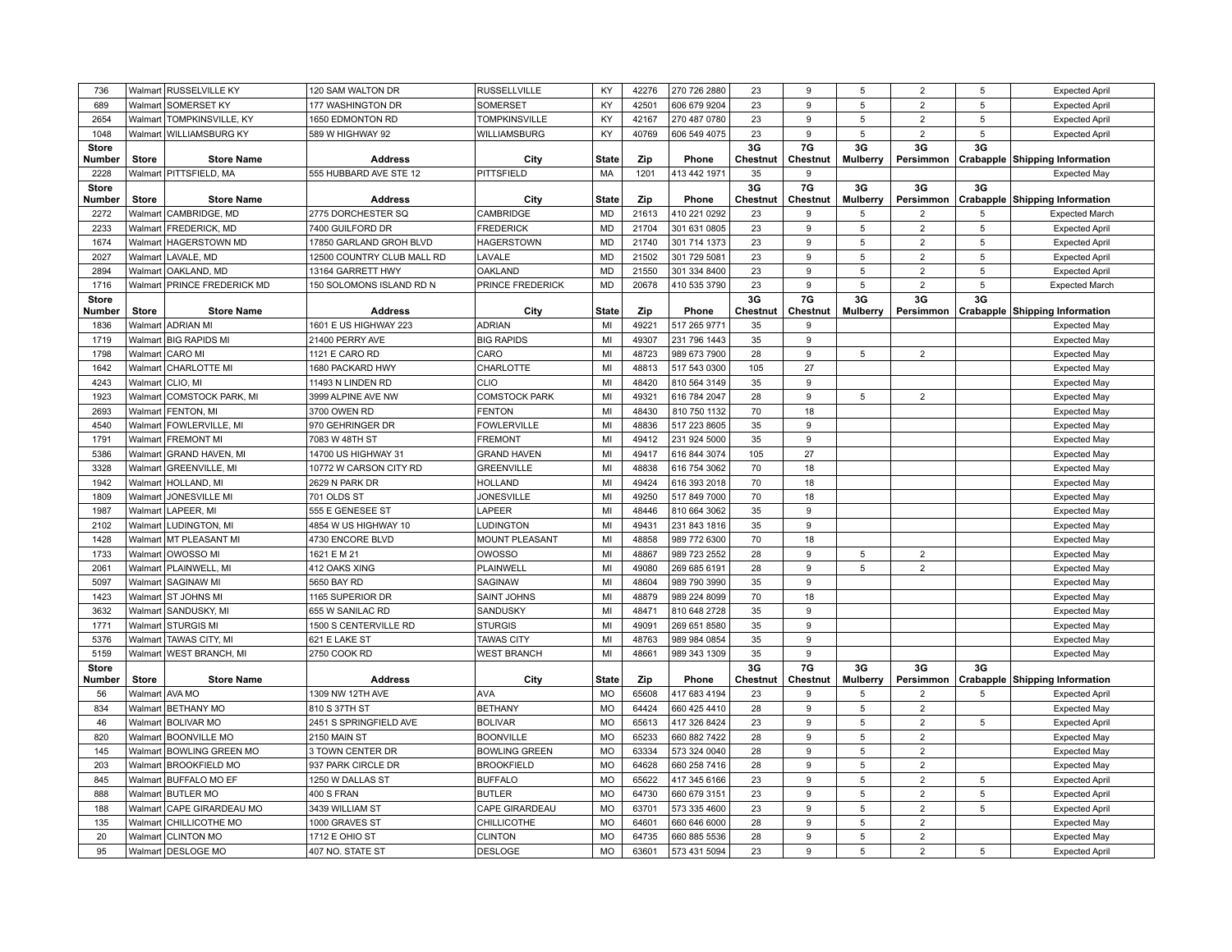| 736                    |              | Walmart RUSSELVILLE KY                            | 120 SAM WALTON DR                       | <b>RUSSELLVILLE</b>                      | KY                        | 42276          | 270 726 2880                 | 23             | 9              | 5                     | $\overline{2}$                   | 5  | <b>Expected April</b>                          |
|------------------------|--------------|---------------------------------------------------|-----------------------------------------|------------------------------------------|---------------------------|----------------|------------------------------|----------------|----------------|-----------------------|----------------------------------|----|------------------------------------------------|
| 689                    | Walmart      | <b>SOMERSET KY</b>                                | 177 WASHINGTON DR                       | SOMERSET                                 | <b>KY</b>                 | 42501          | 606 679 9204                 | 23             | 9              | $\sqrt{5}$            | $\overline{2}$                   | 5  | <b>Expected April</b>                          |
| 2654                   |              | Walmart   TOMPKINSVILLE, KY                       | 1650 EDMONTON RD                        | <b>TOMPKINSVILLE</b>                     | KY                        | 42167          | 270 487 0780                 | 23             | 9              | 5                     | $\overline{2}$                   | 5  | <b>Expected April</b>                          |
| 1048                   |              | Walmart   WILLIAMSBURG KY                         | 589 W HIGHWAY 92                        | <b>WILLIAMSBURG</b>                      | KY                        | 40769          | 606 549 4075                 | 23             | 9              | 5                     | $\overline{c}$                   | 5  | <b>Expected April</b>                          |
| <b>Store</b><br>Number | <b>Store</b> | <b>Store Name</b>                                 | <b>Address</b>                          | City                                     | <b>State</b>              | Zip            | Phone                        | 3G<br>Chestnut | 7G<br>Chestnut | 3G<br><b>Mulberry</b> | 3G<br>Persimmon                  | 3G | Crabapple Shipping Information                 |
| 2228                   |              | Walmart   PITTSFIELD, MA                          | 555 HUBBARD AVE STE 12                  | PITTSFIELD                               | MA                        | 1201           | 413 442 1971                 | 35             | 9              |                       |                                  |    | <b>Expected May</b>                            |
| <b>Store</b><br>Number | <b>Store</b> | <b>Store Name</b>                                 | <b>Address</b>                          | City                                     | <b>State</b>              | Zip            | Phone                        | 3G<br>Chestnut | 7G<br>Chestnut | 3G<br>Mulberry        | 3G<br>Persimmon                  | 3G | Crabapple Shipping Information                 |
| 2272                   | Walmart      | CAMBRIDGE, MD                                     | 2775 DORCHESTER SQ                      | CAMBRIDGE                                | <b>MD</b>                 | 21613          | 410 221 0292                 | 23             | 9              | 5                     | $\overline{2}$                   | 5  | <b>Expected March</b>                          |
| 2233                   |              | Walmart   FREDERICK, MD                           | 7400 GUILFORD DR                        | <b>FREDERICK</b>                         | <b>MD</b>                 | 21704          | 301 631 0805                 | 23             | 9              | $\,$ 5 $\,$           | $\overline{2}$                   | 5  | <b>Expected April</b>                          |
| 1674                   | Walmart      | <b>HAGERSTOWN MD</b>                              | 17850 GARLAND GROH BLVD                 | <b>HAGERSTOWN</b>                        | <b>MD</b>                 | 21740          | 301 714 1373                 | 23             | 9              | 5                     | $\overline{2}$                   | 5  | <b>Expected April</b>                          |
| 2027                   | Walmart      | LAVALE, MD                                        | 12500 COUNTRY CLUB MALL RD              | LAVALE                                   | <b>MD</b>                 | 21502          | 301 729 5081                 | 23             | 9              | 5                     | $\overline{2}$                   | 5  | <b>Expected April</b>                          |
| 2894                   | Walmart      | OAKLAND, MD                                       | 13164 GARRETT HWY                       | <b>OAKLAND</b>                           | <b>MD</b>                 | 21550          | 301 334 8400                 | 23             | 9              | $\,$ 5 $\,$           | $\overline{2}$                   | 5  | <b>Expected April</b>                          |
| 1716                   |              | Walmart PRINCE FREDERICK MD                       | 150 SOLOMONS ISLAND RD N                | PRINCE FREDERICK                         | <b>MD</b>                 | 20678          | 410 535 3790                 | 23             | 9              | $\,$ 5 $\,$           | $\overline{2}$                   | 5  | <b>Expected March</b>                          |
| <b>Store</b><br>Number | <b>Store</b> | <b>Store Name</b>                                 | <b>Address</b>                          | City                                     | <b>State</b>              | Zip            | Phone                        | 3G<br>Chestnut | 7G<br>Chestnut | 3G<br>Mulberry        | 3G                               | 3G | Persimmon Crabapple Shipping Information       |
| 1836                   |              | Walmart ADRIAN MI                                 | 1601 E US HIGHWAY 223                   | <b>ADRIAN</b>                            | MI                        | 49221          | 517 265 9771                 | 35             | 9              |                       |                                  |    | <b>Expected May</b>                            |
| 1719                   |              | Walmart BIG RAPIDS MI                             | 21400 PERRY AVE                         | <b>BIG RAPIDS</b>                        | MI                        | 49307          | 231 796 1443                 | 35             | 9              |                       |                                  |    | <b>Expected May</b>                            |
| 1798                   | Walmart      | CARO MI                                           | 1121 E CARO RD                          | CARO                                     | MI                        | 48723          | 989 673 7900                 | 28             | 9              | 5                     | $\overline{2}$                   |    | <b>Expected May</b>                            |
| 1642                   |              | Walmart   CHARLOTTE MI                            | 1680 PACKARD HWY                        | CHARLOTTE                                | MI                        | 48813          | 517 543 0300                 | 105            | 27             |                       |                                  |    | <b>Expected May</b>                            |
| 4243                   | Walmart      | CLIO, MI                                          | 11493 N LINDEN RD                       | <b>CLIO</b>                              | MI                        | 48420          | 810 564 3149                 | 35             | 9              |                       |                                  |    | <b>Expected May</b>                            |
| 1923                   | Walmart      | COMSTOCK PARK, MI                                 | 3999 ALPINE AVE NW                      | <b>COMSTOCK PARK</b>                     | MI                        | 49321          | 616 784 2047                 | 28             | 9              | 5                     | $\overline{2}$                   |    | <b>Expected May</b>                            |
| 2693                   | Walmart      | <b>FENTON, MI</b>                                 | 3700 OWEN RD                            | <b>FENTON</b>                            | MI                        | 48430          | 810 750 1132                 | 70             | 18             |                       |                                  |    | <b>Expected May</b>                            |
| 4540                   |              | Walmart   FOWLERVILLE, MI                         | 970 GEHRINGER DR                        | <b>FOWLERVILLE</b>                       | MI                        | 48836          | 517 223 8605                 | 35             | 9              |                       |                                  |    | <b>Expected May</b>                            |
| 1791                   |              | Walmart FREMONT MI                                | 7083 W 48TH ST                          | <b>FREMONT</b>                           | MI                        | 49412          | 231 924 5000                 | 35             | 9              |                       |                                  |    | <b>Expected May</b>                            |
| 5386                   | Walmart      | <b>GRAND HAVEN, MI</b>                            | 14700 US HIGHWAY 31                     | <b>GRAND HAVEN</b>                       | MI                        | 49417          | 616 844 3074                 | 105            | 27             |                       |                                  |    | <b>Expected May</b>                            |
| 3328                   | Walmart      | <b>GREENVILLE, MI</b>                             | 10772 W CARSON CITY RD                  | <b>GREENVILLE</b>                        | MI                        | 48838          | 616 754 3062                 | 70             | 18             |                       |                                  |    | <b>Expected May</b>                            |
| 1942                   |              | Walmart   HOLLAND, MI                             | 2629 N PARK DR                          | <b>HOLLAND</b>                           | MI                        | 49424          | 616 393 2018                 | 70             | 18             |                       |                                  |    | <b>Expected May</b>                            |
| 1809                   | Walmart      | JONESVILLE MI                                     | 701 OLDS ST                             | <b>JONESVILLE</b>                        | MI                        | 49250          | 517 849 7000                 | 70             | 18             |                       |                                  |    | <b>Expected May</b>                            |
| 1987                   | Walmart      | LAPEER, MI                                        | 555 E GENESEE ST                        | LAPEER                                   | MI                        | 48446          | 810 664 3062                 | 35             | 9              |                       |                                  |    | <b>Expected May</b>                            |
| 2102                   | Walmart      | LUDINGTON, MI                                     | 4854 W US HIGHWAY 10                    | LUDINGTON                                | MI                        | 49431          | 231 843 1816                 | 35             | 9              |                       |                                  |    | <b>Expected May</b>                            |
| 1428                   |              | Walmart   MT PLEASANT MI                          | 4730 ENCORE BLVD                        | <b>MOUNT PLEASANT</b>                    | MI                        | 48858          | 989 772 6300                 | 70             | 18             |                       |                                  |    | <b>Expected May</b>                            |
| 1733                   |              | Walmart   OWOSSO MI                               | 1621 E M 21                             | <b>OWOSSO</b>                            | MI                        | 48867          | 989 723 2552                 | 28             | 9              | 5                     | $\overline{2}$                   |    | <b>Expected May</b>                            |
| 2061                   |              | Walmart   PLAINWELL, MI                           | 412 OAKS XING                           | PLAINWELL                                | MI                        | 49080          | 269 685 6191                 | 28             | 9              | 5                     | 2                                |    | <b>Expected May</b>                            |
| 5097                   | Walmart      | <b>SAGINAW MI</b>                                 | 5650 BAY RD                             | SAGINAW                                  | MI                        | 48604          | 989 790 3990                 | 35             | 9              |                       |                                  |    | <b>Expected May</b>                            |
| 1423                   |              | Walmart ST JOHNS MI                               | 1165 SUPERIOR DR                        | SAINT JOHNS                              | MI                        | 48879          | 989 224 8099                 | 70             | 18             |                       |                                  |    | <b>Expected May</b>                            |
| 3632                   | Walmart      | SANDUSKY, MI                                      | 655 W SANILAC RD                        | SANDUSKY                                 | MI                        | 48471          | 810 648 2728                 | 35             | 9              |                       |                                  |    | <b>Expected May</b>                            |
| 1771                   | Walmart      | <b>STURGIS MI</b>                                 | 1500 S CENTERVILLE RD                   | <b>STURGIS</b>                           | MI                        | 49091          | 269 651 8580                 | 35             | 9              |                       |                                  |    | <b>Expected May</b>                            |
| 5376                   | Walmart      | <b>TAWAS CITY, MI</b>                             | 621 E LAKE ST                           | <b>TAWAS CITY</b>                        | MI                        | 48763          | 989 984 0854                 | 35             | 9              |                       |                                  |    | <b>Expected May</b>                            |
| 5159                   |              | Walmart   WEST BRANCH, MI                         | 2750 COOK RD                            | <b>WEST BRANCH</b>                       | MI                        | 48661          | 989 343 1309                 | 35             | 9              |                       |                                  |    | <b>Expected May</b>                            |
| <b>Store</b>           |              |                                                   |                                         |                                          |                           |                |                              | 3G             | 7G             | 3G                    | 3G                               | 3G |                                                |
| Number                 | Store        | <b>Store Name</b><br>Walmart   AVA MO             | <b>Address</b><br>1309 NW 12TH AVE      | City<br><b>AVA</b>                       | <b>State</b><br><b>MO</b> | Zip            | Phone                        | Chestnut       | Chestnut<br>9  | Mulberry              |                                  |    | Persimmon Crabapple Shipping Information       |
| 56<br>834              |              |                                                   |                                         |                                          | MO                        | 65608<br>64424 | 417 683 4194<br>660 425 4410 | 23<br>28       | 9              | 5<br>$\,$ 5 $\,$      | $\overline{2}$<br>$\overline{2}$ | 5  | <b>Expected April</b>                          |
| 46                     |              | Walmart   BETHANY MO<br>Walmart BOLIVAR MO        | 810 S 37TH ST<br>2451 S SPRINGFIELD AVE | <b>BETHANY</b><br><b>BOLIVAR</b>         | <b>MO</b>                 | 65613          | 417 326 8424                 | 23             | 9              | 5                     | $\overline{2}$                   | 5  | <b>Expected May</b>                            |
|                        |              |                                                   |                                         |                                          | MO                        | 65233          |                              |                | 9              | 5                     | $\overline{2}$                   |    | <b>Expected April</b>                          |
| 820<br>145             | Walmart      | Walmart   BOONVILLE MO<br><b>BOWLING GREEN MO</b> | 2150 MAIN ST<br>3 TOWN CENTER DR        | <b>BOONVILLE</b><br><b>BOWLING GREEN</b> | <b>MO</b>                 | 63334          | 660 882 7422<br>573 324 0040 | 28<br>28       | 9              | 5                     | $\overline{2}$                   |    | <b>Expected May</b>                            |
| 203                    | Walmart      | <b>BROOKFIELD MO</b>                              | 937 PARK CIRCLE DR                      | <b>BROOKFIELD</b>                        | MO                        | 64628          | 660 258 7416                 | 28             | 9              | 5                     | $\overline{2}$                   |    | <b>Expected May</b>                            |
| 845                    |              | Walmart BUFFALO MO EF                             | 1250 W DALLAS ST                        | <b>BUFFALO</b>                           | <b>MO</b>                 | 65622          | 417 345 6166                 | 23             | 9              | 5                     | $\overline{2}$                   | 5  | <b>Expected May</b>                            |
| 888                    |              | Walmart BUTLER MO                                 | 400 S FRAN                              | <b>BUTLER</b>                            | MO                        | 64730          | 660 679 3151                 | 23             | 9              | 5                     | $\overline{2}$                   | 5  | <b>Expected April</b><br><b>Expected April</b> |
| 188                    |              | Walmart   CAPE GIRARDEAU MO                       | 3439 WILLIAM ST                         | CAPE GIRARDEAU                           | <b>MO</b>                 | 63701          | 573 335 4600                 | 23             | 9              | 5                     | $\overline{2}$                   | 5  |                                                |
| 135                    | Walmart      | <b>CHILLICOTHE MO</b>                             | 1000 GRAVES ST                          | CHILLICOTHE                              | MO                        | 64601          | 660 646 6000                 | 28             | 9              | $\,$ 5 $\,$           | $\overline{2}$                   |    | <b>Expected April</b><br><b>Expected May</b>   |
| 20                     |              | Walmart   CLINTON MO                              | 1712 E OHIO ST                          | <b>CLINTON</b>                           | <b>MO</b>                 | 64735          | 660 885 5536                 | 28             | 9              | 5                     | $\overline{2}$                   |    | <b>Expected May</b>                            |
| 95                     |              | Walmart DESLOGE MO                                | 407 NO. STATE ST                        | <b>DESLOGE</b>                           | MO                        | 63601          | 573 431 5094                 | 23             | $\mathbf{q}$   | 5                     | $\overline{2}$                   | 5  | <b>Expected April</b>                          |
|                        |              |                                                   |                                         |                                          |                           |                |                              |                |                |                       |                                  |    |                                                |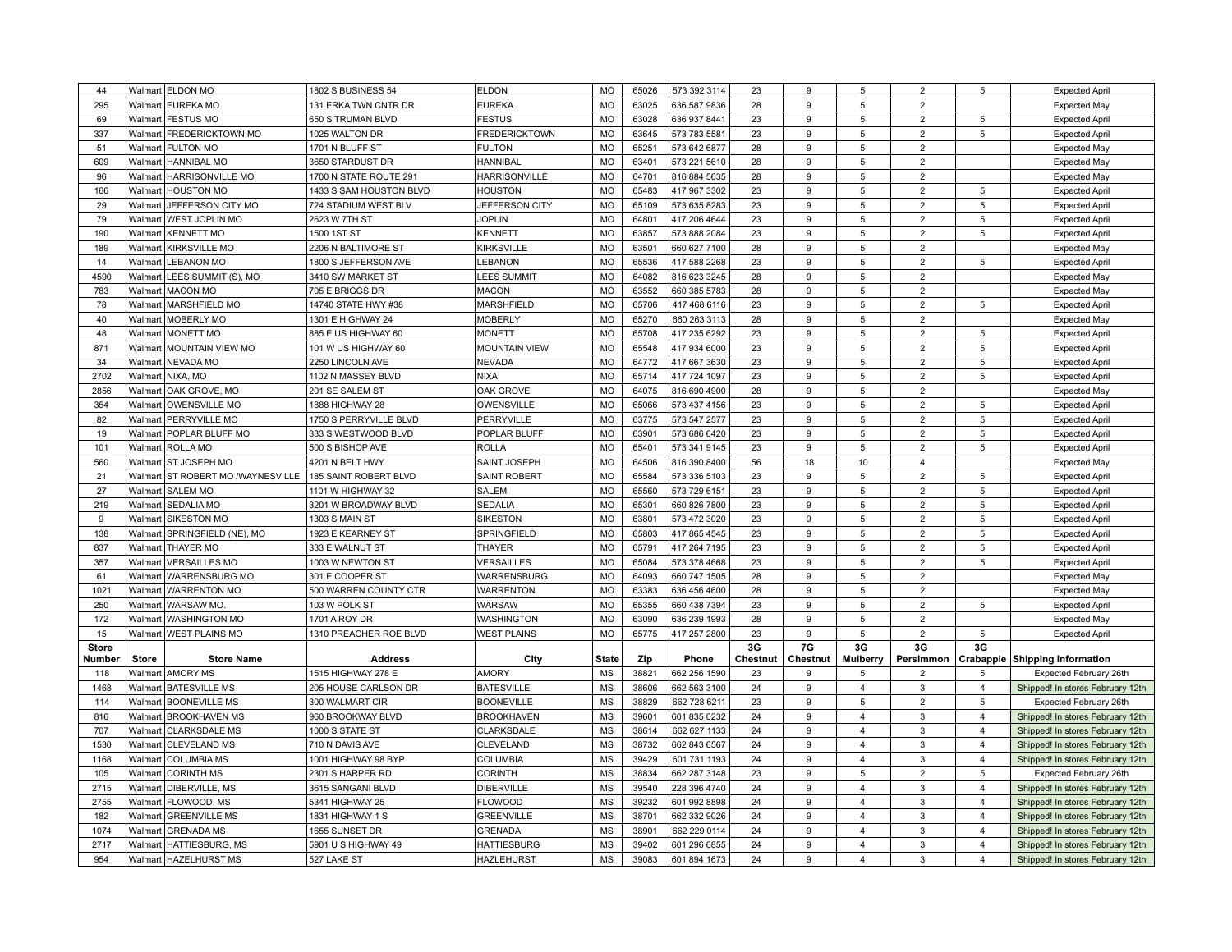| 44           |              | Walmart ELDON MO                  | 1802 S BUSINESS 54      | <b>ELDON</b>         | <b>MO</b>    | 65026 | 573 392 3114 | 23       | 9            | 5                       | $\overline{2}$ | 5              | <b>Expected April</b>                 |
|--------------|--------------|-----------------------------------|-------------------------|----------------------|--------------|-------|--------------|----------|--------------|-------------------------|----------------|----------------|---------------------------------------|
| 295          | Walmart      | <b>EUREKA MO</b>                  | 131 ERKA TWN CNTR DR    | <b>EUREKA</b>        | <b>MO</b>    | 63025 | 636 587 9836 | 28       | 9            | $\,$ 5 $\,$             | $\overline{2}$ |                | <b>Expected May</b>                   |
| 69           |              | Walmart FESTUS MO                 | 650 S TRUMAN BLVD       | <b>FESTUS</b>        | <b>MO</b>    | 63028 | 636 937 8441 | 23       | 9            | 5                       | $\overline{2}$ | 5              | <b>Expected April</b>                 |
| 337          |              | Walmart   FREDERICKTOWN MO        | 1025 WALTON DR          | <b>FREDERICKTOWN</b> | <b>MO</b>    | 63645 | 573 783 5581 | 23       | 9            | 5                       | $\overline{2}$ | 5              | <b>Expected April</b>                 |
| 51           |              | Walmart   FULTON MO               | 1701 N BLUFF ST         | <b>FULTON</b>        | <b>MO</b>    | 65251 | 573 642 6877 | 28       | 9            | 5                       | $\overline{2}$ |                | <b>Expected May</b>                   |
| 609          | Walmart      | <b>HANNIBAL MO</b>                | 3650 STARDUST DR        | <b>HANNIBAL</b>      | <b>MO</b>    | 63401 | 573 221 5610 | 28       | 9            | 5                       | $\overline{2}$ |                | <b>Expected May</b>                   |
| 96           |              | Walmart   HARRISONVILLE MO        | 1700 N STATE ROUTE 291  | <b>HARRISONVILLE</b> | MO           | 64701 | 816 884 5635 | 28       | 9            | 5                       | $\overline{2}$ |                | <b>Expected May</b>                   |
| 166          |              | Walmart   HOUSTON MO              | 1433 S SAM HOUSTON BLVD | <b>HOUSTON</b>       | <b>MO</b>    | 65483 | 417 967 3302 | 23       | 9            | 5                       | $\overline{2}$ | 5              | <b>Expected April</b>                 |
| 29           | Walmart      | JEFFERSON CITY MO                 | 724 STADIUM WEST BLV    | JEFFERSON CITY       | <b>MO</b>    | 65109 | 573 635 8283 | 23       | 9            | 5                       | $\overline{2}$ | 5              | <b>Expected April</b>                 |
| 79           |              | Walmart   WEST JOPLIN MO          | 2623 W 7TH ST           | <b>JOPLIN</b>        | MO           | 64801 | 417 206 4644 | 23       | 9            | $\,$ 5 $\,$             | $\overline{2}$ | 5              | <b>Expected April</b>                 |
| 190          | Walmart      | <b>KENNETT MO</b>                 | 1500 1ST ST             | <b>KENNETT</b>       | <b>MO</b>    | 63857 | 573 888 2084 | 23       | 9            | 5                       | $\overline{2}$ | 5              | <b>Expected April</b>                 |
| 189          | Walmart      | <b>KIRKSVILLE MO</b>              | 2206 N BALTIMORE ST     | <b>KIRKSVILLE</b>    | <b>MO</b>    | 63501 | 660 627 7100 | 28       | 9            | 5                       | $\overline{2}$ |                | <b>Expected May</b>                   |
| 14           | Walmart      | <b>LEBANON MO</b>                 | 1800 S JEFFERSON AVE    | LEBANON              | <b>MO</b>    | 65536 | 417 588 2268 | 23       | 9            | $\,$ 5 $\,$             | $\overline{2}$ | 5              | <b>Expected April</b>                 |
| 4590         | Walmart      | LEES SUMMIT (S), MO               | 3410 SW MARKET ST       | <b>LEES SUMMIT</b>   | MO           | 64082 | 816 623 3245 | 28       | 9            | 5                       | $\overline{2}$ |                | <b>Expected May</b>                   |
| 783          | Walmart      | <b>MACON MO</b>                   | 705 E BRIGGS DR         | <b>MACON</b>         | <b>MO</b>    | 63552 | 660 385 5783 | 28       | 9            | 5                       | $\overline{2}$ |                | <b>Expected May</b>                   |
| 78           | Walmart      | MARSHFIELD MO                     | 14740 STATE HWY #38     | MARSHFIELD           | <b>MO</b>    | 65706 | 417 468 6116 | 23       | 9            | 5                       | $\overline{2}$ | 5              | <b>Expected April</b>                 |
| 40           |              | Walmart   MOBERLY MO              | 1301 E HIGHWAY 24       | <b>MOBERLY</b>       | <b>MO</b>    | 65270 | 660 263 3113 | 28       | 9            | 5                       | $\overline{2}$ |                | <b>Expected May</b>                   |
| 48           |              | Walmart   MONETT MO               | 885 E US HIGHWAY 60     | <b>MONETT</b>        | <b>MO</b>    | 65708 | 417 235 6292 | 23       | 9            | 5                       | $\overline{c}$ | 5              | <b>Expected April</b>                 |
| 871          | Walmart      |                                   |                         |                      | MO           | 65548 |              | 23       | 9            | 5                       | $\overline{2}$ | 5              |                                       |
| 34           | Walmart      | <b>MOUNTAIN VIEW MO</b>           | 101 W US HIGHWAY 60     | <b>MOUNTAIN VIEW</b> | <b>MO</b>    | 64772 | 417 934 6000 |          | 9            | 5                       |                | 5              | <b>Expected April</b>                 |
|              |              | <b>NEVADA MO</b>                  | 2250 LINCOLN AVE        | <b>NEVADA</b>        |              |       | 417 667 3630 | 23       |              |                         | $\overline{2}$ |                | <b>Expected April</b>                 |
| 2702         | Walmart      | NIXA, MO                          | 1102 N MASSEY BLVD      | <b>NIXA</b>          | <b>MO</b>    | 65714 | 417 724 1097 | 23       | 9            | $\,$ 5 $\,$             | $\overline{2}$ | 5              | <b>Expected April</b>                 |
| 2856         | Walmart      | OAK GROVE, MO                     | 201 SE SALEM ST         | OAK GROVE            | <b>MO</b>    | 64075 | 816 690 4900 | 28       | 9            | 5                       | $\overline{2}$ |                | <b>Expected May</b>                   |
| 354          | Walmart      | <b>OWENSVILLE MO</b>              | 1888 HIGHWAY 28         | OWENSVILLE           | MO           | 65066 | 573 437 4156 | 23       | 9            | 5                       | $\overline{2}$ | 5              | <b>Expected April</b>                 |
| 82           |              | Walmart   PERRYVILLE MO           | 1750 S PERRYVILLE BLVD  | PERRYVILLE           | <b>MO</b>    | 63775 | 573 547 2577 | 23       | 9            | 5                       | $\overline{2}$ | 5              | <b>Expected April</b>                 |
| 19           |              | Walmart   POPLAR BLUFF MO         | 333 S WESTWOOD BLVD     | POPLAR BLUFF         | <b>MO</b>    | 63901 | 573 686 6420 | 23       | 9            | 5                       | $\overline{2}$ | 5              | <b>Expected April</b>                 |
| 101          | Walmart      | <b>ROLLA MO</b>                   | 500 S BISHOP AVE        | <b>ROLLA</b>         | MO           | 65401 | 573 341 9145 | 23       | 9            | 5                       | $\overline{2}$ | 5              | <b>Expected April</b>                 |
| 560          | Walmart      | <b>ST JOSEPH MO</b>               | 4201 N BELT HWY         | SAINT JOSEPH         | <b>MO</b>    | 64506 | 816 390 8400 | 56       | 18           | 10                      | $\overline{4}$ |                | <b>Expected May</b>                   |
| 21           |              | Walmart ST ROBERT MO /WAYNESVILLE | 185 SAINT ROBERT BLVD   | <b>SAINT ROBERT</b>  | <b>MO</b>    | 65584 | 573 336 5103 | 23       | 9            | 5                       | $\overline{2}$ | 5              | <b>Expected April</b>                 |
| 27           | Walmart      | <b>SALEM MO</b>                   | 1101 W HIGHWAY 32       | <b>SALEM</b>         | <b>MO</b>    | 65560 | 573 729 6151 | 23       | 9            | 5                       | $\overline{2}$ | 5              | <b>Expected April</b>                 |
| 219          | Walmart      | <b>SEDALIA MO</b>                 | 3201 W BROADWAY BLVD    | <b>SEDALIA</b>       | MO           | 65301 | 660 826 7800 | 23       | 9            | 5                       | $\overline{2}$ | 5              | <b>Expected April</b>                 |
| 9            | Walmart      | <b>SIKESTON MO</b>                | 1303 S MAIN ST          | <b>SIKESTON</b>      | <b>MO</b>    | 63801 | 573 472 3020 | 23       | 9            | 5                       | $\overline{2}$ | 5              | <b>Expected April</b>                 |
| 138          | Walmart      | SPRINGFIELD (NE), MO              | 1923 E KEARNEY ST       | SPRINGFIELD          | <b>MO</b>    | 65803 | 417 865 4545 | 23       | 9            | 5                       | $\overline{2}$ | 5              | <b>Expected April</b>                 |
| 837          | Walmart      | <b>THAYER MO</b>                  | 333 E WALNUT ST         | <b>THAYER</b>        | <b>MO</b>    | 65791 | 417 264 7195 | 23       | 9            | 5                       | $\overline{2}$ | 5              | <b>Expected April</b>                 |
| 357          | Walmart      | <b>VERSAILLES MO</b>              | 1003 W NEWTON ST        | <b>VERSAILLES</b>    | <b>MO</b>    | 65084 | 573 378 4668 | 23       | 9            | 5                       | $\overline{2}$ | 5              | <b>Expected April</b>                 |
| 61           |              | Walmart   WARRENSBURG MO          | 301 E COOPER ST         | WARRENSBURG          | <b>MO</b>    | 64093 | 660 747 1505 | 28       | 9            | 5                       | $\overline{2}$ |                | <b>Expected May</b>                   |
| 1021         |              | Walmart WARRENTON MO              | 500 WARREN COUNTY CTR   | <b>WARRENTON</b>     | <b>MO</b>    | 63383 | 636 456 4600 | 28       | 9            | 5                       | $\overline{2}$ |                | <b>Expected May</b>                   |
| 250          | Walmart      | <b>WARSAW MO</b>                  | 103 W POLK ST           | WARSAW               | <b>MO</b>    | 65355 | 660 438 7394 | 23       | 9            | 5                       | $\overline{2}$ | 5              | <b>Expected April</b>                 |
| 172          |              | Walmart WASHINGTON MO             | <b>1701 A ROY DR</b>    | WASHINGTON           | MO           | 63090 | 636 239 1993 | 28       | 9            | 5                       | $\overline{2}$ |                | <b>Expected May</b>                   |
| 15           |              | Walmart   WEST PLAINS MO          | 1310 PREACHER ROE BLVD  | <b>WEST PLAINS</b>   | <b>MO</b>    | 65775 | 417 257 2800 | 23       | 9            | $\,$ 5 $\,$             | $\overline{2}$ | 5              | <b>Expected April</b>                 |
| <b>Store</b> |              |                                   |                         |                      |              |       |              | 3G       | 7G           | 3G                      | 3G             | 3G             |                                       |
| Number       | <b>Store</b> | <b>Store Name</b>                 | <b>Address</b>          | City                 | <b>State</b> | Zip   | Phone        | Chestnut | Chestnut     | <b>Mulberry</b>         | Persimmon      |                | <b>Crabapple Shipping Information</b> |
| 118          | Walmart      | <b>AMORY MS</b>                   | 1515 HIGHWAY 278 E      | <b>AMORY</b>         | <b>MS</b>    | 38821 | 662 256 1590 | 23       | 9            | 5                       | $\overline{2}$ |                | Expected February 26th                |
| 1468         | Walmart      | <b>BATESVILLE MS</b>              | 205 HOUSE CARLSON DR    | <b>BATESVILLE</b>    | <b>MS</b>    | 38606 | 662 563 3100 | 24       | 9            | $\overline{4}$          | 3              | $\overline{4}$ | Shipped! In stores February 12th      |
| 114          |              | Walmart BOONEVILLE MS             | 300 WALMART CIR         | <b>BOONEVILLE</b>    | MS           | 38829 | 662 728 6211 | 23       | 9            | 5                       | $\overline{2}$ | 5              | Expected February 26th                |
| 816          |              | Walmart   BROOKHAVEN MS           | 960 BROOKWAY BLVD       | <b>BROOKHAVEN</b>    | <b>MS</b>    | 39601 | 601 835 0232 | 24       | 9            | 4                       | 3              | $\overline{4}$ | Shipped! In stores February 12th      |
| 707          | Walmart      | <b>CLARKSDALE MS</b>              | 1000 S STATE ST         | CLARKSDALE           | <b>MS</b>    | 38614 | 662 627 1133 | 24       | 9            | $\overline{4}$          | 3              | $\overline{4}$ | Shipped! In stores February 12th      |
| 1530         |              | Walmart   CLEVELAND MS            | 710 N DAVIS AVE         | CLEVELAND            | MS           | 38732 | 662 843 6567 | 24       | 9            | $\overline{\mathbf{A}}$ | 3              | $\overline{4}$ | Shipped! In stores February 12th      |
| 1168         |              | Walmart   COLUMBIA MS             | 1001 HIGHWAY 98 BYP     | COLUMBIA             | <b>MS</b>    | 39429 | 601 731 1193 | 24       | 9            | $\overline{4}$          | 3              | $\overline{4}$ | Shipped! In stores February 12th      |
| 105          | Walmart      | <b>CORINTH MS</b>                 | 2301 S HARPER RD        | CORINTH              | <b>MS</b>    | 38834 | 662 287 3148 | 23       | 9            | 5                       | $\overline{2}$ | 5              | Expected February 26th                |
| 2715         | Walmart      | DIBERVILLE, MS                    | 3615 SANGANI BLVD       | <b>DIBERVILLE</b>    | MS           | 39540 | 228 396 4740 | 24       | 9            | $\overline{4}$          | $\mathbf{3}$   | $\overline{4}$ | Shipped! In stores February 12th      |
| 2755         |              | Walmart   FLOWOOD, MS             | 5341 HIGHWAY 25         | <b>FLOWOOD</b>       | MS           | 39232 | 601 992 8898 | 24       | 9            | 4                       | $\mathbf{3}$   | $\overline{4}$ | Shipped! In stores February 12th      |
| 182          | Walmart      | <b>GREENVILLE MS</b>              | 1831 HIGHWAY 1 S        | <b>GREENVILLE</b>    | <b>MS</b>    | 38701 | 662 332 9026 | 24       | 9            | $\overline{4}$          | 3              | $\overline{4}$ | Shipped! In stores February 12th      |
| 1074         | Walmart      | <b>GRENADA MS</b>                 | 1655 SUNSET DR          | <b>GRENADA</b>       | <b>MS</b>    | 38901 | 662 229 0114 | 24       | 9            | $\overline{4}$          | 3              | $\overline{4}$ | Shipped! In stores February 12th      |
| 2717         |              | Walmart HATTIESBURG, MS           | 5901 U S HIGHWAY 49     | <b>HATTIESBURG</b>   | <b>MS</b>    | 39402 | 601 296 6855 | 24       | 9            | 4                       | 3              | $\overline{4}$ | Shipped! In stores February 12th      |
| 954          |              | Walmart   HAZELHURST MS           | 527 LAKE ST             | HAZLEHURST           | MS           | 39083 | 601 894 1673 | 24       | $\mathbf{q}$ | $\overline{\mathbf{4}}$ | 3              | $\overline{4}$ | Shipped! In stores February 12th      |
|              |              |                                   |                         |                      |              |       |              |          |              |                         |                |                |                                       |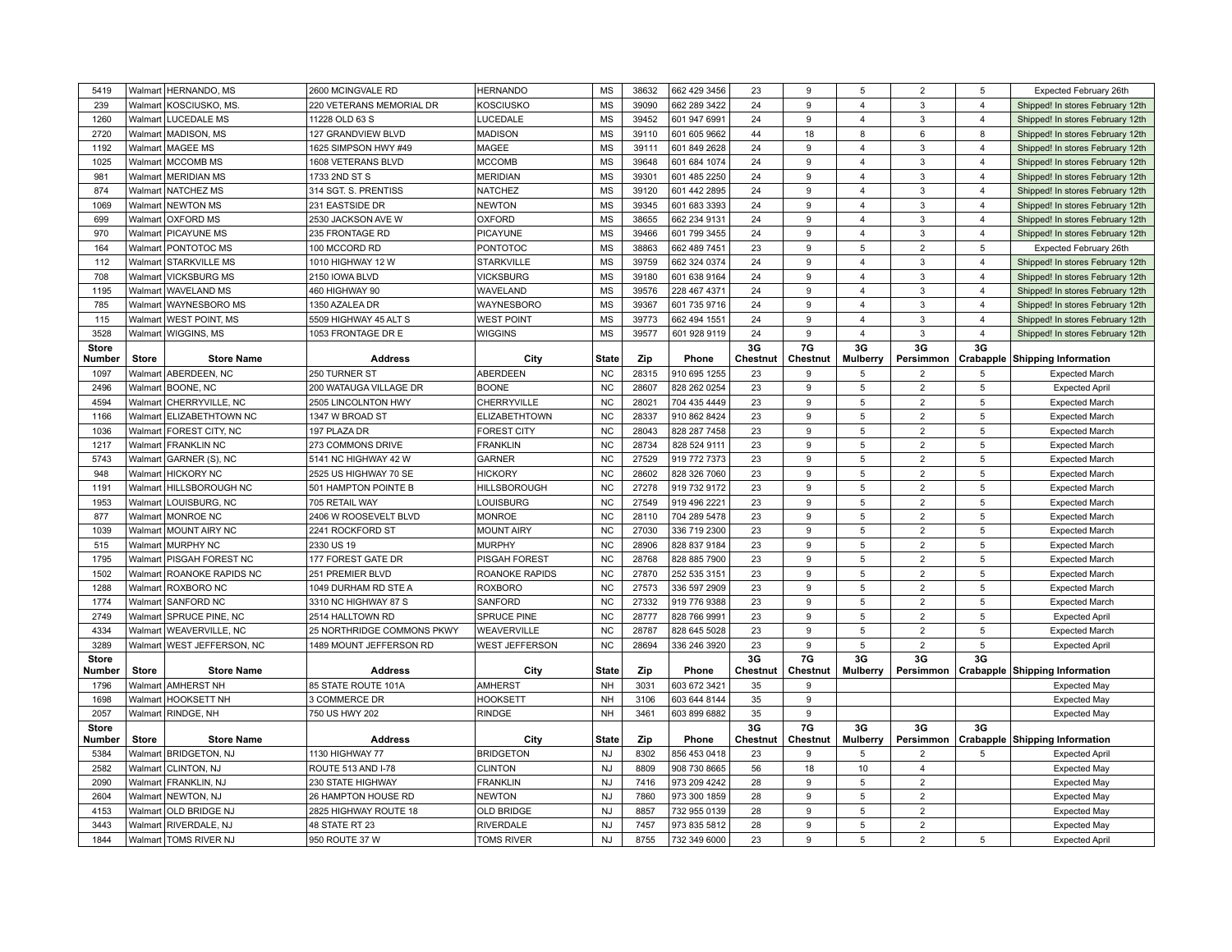| 5419                   |              | Walmart   HERNANDO, MS                           | 2600 MCINGVALE RD                       | <b>HERNANDO</b>                       | <b>MS</b>                 | 38632        | 662 429 3456                 | 23             | 9                     | 5                                | $\overline{2}$                   | $\,$ 5               | Expected February 26th                         |
|------------------------|--------------|--------------------------------------------------|-----------------------------------------|---------------------------------------|---------------------------|--------------|------------------------------|----------------|-----------------------|----------------------------------|----------------------------------|----------------------|------------------------------------------------|
| 239                    | Walmart      | KOSCIUSKO, MS                                    | 220 VETERANS MEMORIAL DR                | <b>KOSCIUSKO</b>                      | <b>MS</b>                 | 39090        | 662 289 3422                 | 24             | 9                     | $\overline{4}$                   | $\overline{3}$                   | $\overline{4}$       | Shipped! In stores February 12th               |
| 1260                   |              | Walmart LUCEDALE MS                              | 11228 OLD 63 S                          | LUCEDALE                              | <b>MS</b>                 | 39452        | 601 947 6991                 | 24             | 9                     | 4                                | $\mathbf{3}$                     | $\overline{4}$       | Shipped! In stores February 12th               |
| 2720                   |              | Walmart   MADISON, MS                            | 127 GRANDVIEW BLVD                      | <b>MADISON</b>                        | MS                        | 39110        | 601 605 9662                 | 44             | 18                    | 8                                | 6                                | 8                    | Shipped! In stores February 12th               |
| 1192                   |              | Walmart   MAGEE MS                               | 1625 SIMPSON HWY #49                    | MAGEE                                 | <b>MS</b>                 | 39111        | 601 849 2628                 | 24             | 9                     | $\overline{4}$                   | 3                                | $\overline{4}$       | Shipped! In stores February 12th               |
| 1025                   |              | Walmart   MCCOMB MS                              | 1608 VETERANS BLVD                      | <b>MCCOMB</b>                         | <b>MS</b>                 | 39648        | 601 684 1074                 | 24             | 9                     | $\overline{\mathbf{4}}$          | 3                                | $\overline{4}$       | Shipped! In stores February 12th               |
| 981                    |              | Walmart MERIDIAN MS                              | 1733 2ND ST S                           | <b>MERIDIAN</b>                       | <b>MS</b>                 | 39301        | 601 485 2250                 | 24             | 9                     | $\overline{4}$                   | $\overline{3}$                   | $\overline{4}$       | Shipped! In stores February 12th               |
| 874                    |              | Walmart   NATCHEZ MS                             | 314 SGT. S. PRENTISS                    | <b>NATCHEZ</b>                        | $\mathsf{MS}\xspace$      | 39120        | 601 442 2895                 | 24             | 9                     | $\overline{\mathbf{4}}$          | $\mathbf{3}$                     | $\overline{4}$       | Shipped! In stores February 12th               |
| 1069                   |              | Walmart NEWTON MS                                | 231 EASTSIDE DR                         | <b>NEWTON</b>                         | $\mathsf{MS}\xspace$      | 39345        | 601 683 3393                 | 24             | 9                     | $\overline{4}$                   | $\mathbf{3}$                     | $\overline{4}$       | Shipped! In stores February 12th               |
| 699                    |              | Walmart   OXFORD MS                              | 2530 JACKSON AVE W                      | <b>OXFORD</b>                         | <b>MS</b>                 | 38655        | 662 234 9131                 | 24             | 9                     | 4                                | 3                                | 4                    | Shipped! In stores February 12th               |
| 970                    |              | Walmart   PICAYUNE MS                            | 235 FRONTAGE RD                         | PICAYUNE                              | <b>MS</b>                 | 39466        | 601 799 3455                 | 24             | 9                     | $\overline{\mathbf{4}}$          | 3                                | $\overline{4}$       | Shipped! In stores February 12th               |
| 164                    |              | Walmart   PONTOTOC MS                            | 100 MCCORD RD                           | <b>PONTOTOC</b>                       | <b>MS</b>                 | 38863        | 662 489 7451                 | 23             | 9                     | 5                                | $\overline{2}$                   | 5                    | Expected February 26th                         |
| 112                    |              | Walmart STARKVILLE MS                            | 1010 HIGHWAY 12 W                       | <b>STARKVILLE</b>                     | <b>MS</b>                 | 39759        | 662 324 0374                 | 24             | 9                     | $\overline{\mathbf{4}}$          | 3                                | $\overline{4}$       | Shipped! In stores February 12th               |
| 708                    |              | Walmart   VICKSBURG MS                           | 2150 IOWA BLVD                          | <b>VICKSBURG</b>                      | <b>MS</b>                 | 39180        | 601 638 9164                 | 24             | 9                     | 4                                | 3                                | $\overline{4}$       | Shipped! In stores February 12th               |
| 1195                   |              | Walmart   WAVELAND MS                            | 460 HIGHWAY 90                          | WAVELAND                              | <b>MS</b>                 | 39576        | 228 467 4371                 | 24             | 9                     | $\overline{4}$                   | 3                                | $\overline{4}$       |                                                |
| 785                    |              | Walmart WAYNESBORO MS                            | 1350 AZALEA DR                          | WAYNESBORO                            | <b>MS</b>                 | 39367        | 601 735 9716                 | 24             | 9                     | $\overline{4}$                   | $\mathbf{3}$                     | $\overline{4}$       | Shipped! In stores February 12th               |
|                        |              |                                                  |                                         |                                       | <b>MS</b>                 |              |                              |                |                       |                                  |                                  |                      | Shipped! In stores February 12th               |
| 115                    |              | Walmart   WEST POINT, MS                         | 5509 HIGHWAY 45 ALT S                   | <b>WEST POINT</b>                     |                           | 39773        | 662 494 1551                 | 24             | 9                     | $\overline{4}$<br>$\overline{4}$ | 3                                | $\overline{4}$       | Shipped! In stores February 12th               |
| 3528                   |              | Walmart   WIGGINS, MS                            | 1053 FRONTAGE DR E                      | <b>WIGGINS</b>                        | <b>MS</b>                 | 39577        | 601 928 9119                 | 24<br>3G       | 9<br>7G               | 3G                               | 3<br>3G                          | $\overline{4}$<br>3G | Shipped! In stores February 12th               |
| <b>Store</b><br>Number | <b>Store</b> | <b>Store Name</b>                                | <b>Address</b>                          | City                                  | <b>State</b>              | Zip          | Phone                        | Chestnut       | Chestnut              | <b>Mulberry</b>                  | Persimmon                        |                      | <b>Crabapple Shipping Information</b>          |
| 1097                   |              | Walmart ABERDEEN, NC                             | 250 TURNER ST                           | ABERDEEN                              | NC                        | 28315        | 910 695 1255                 | 23             | 9                     | 5                                | $\overline{2}$                   | 5                    | <b>Expected March</b>                          |
| 2496                   |              | Walmart BOONE, NC                                | 200 WATAUGA VILLAGE DR                  | <b>BOONE</b>                          | <b>NC</b>                 | 28607        | 828 262 0254                 | 23             | 9                     | 5                                | $\overline{2}$                   | 5                    | <b>Expected April</b>                          |
| 4594                   |              | Walmart   CHERRYVILLE, NC                        | 2505 LINCOLNTON HWY                     | CHERRYVILLE                           | NC                        | 28021        | 704 435 4449                 | 23             | 9                     | 5                                | $\overline{2}$                   | 5                    | <b>Expected March</b>                          |
| 1166                   | Walmart      | ELIZABETHTOWN NC                                 | 1347 W BROAD ST                         | ELIZABETHTOWN                         | NC                        | 28337        | 910 862 8424                 | 23             | 9                     | 5                                | $\overline{2}$                   | 5                    | <b>Expected March</b>                          |
| 1036                   |              | Walmart   FOREST CITY, NC                        | 197 PLAZA DR                            | <b>FOREST CITY</b>                    | $NC$                      | 28043        | 828 287 7458                 | 23             | 9                     | 5                                | $\overline{2}$                   | 5                    | <b>Expected March</b>                          |
| 1217                   |              | Walmart   FRANKLIN NC                            | 273 COMMONS DRIVE                       | <b>FRANKLIN</b>                       | NC                        | 28734        | 828 524 9111                 | 23             | 9                     | 5                                | $\overline{2}$                   | $\,$ 5               |                                                |
| 5743                   |              | Walmart   GARNER (S), NC                         | 5141 NC HIGHWAY 42 W                    | <b>GARNER</b>                         | <b>NC</b>                 | 27529        | 919 772 7373                 | 23             | 9                     | 5                                | $\overline{2}$                   | 5                    | <b>Expected March</b><br><b>Expected March</b> |
|                        |              |                                                  |                                         |                                       | NC                        | 28602        |                              |                | 9                     | 5                                | $\overline{2}$                   | 5                    |                                                |
| 948                    | Walmart      | <b>HICKORY NC</b>                                | 2525 US HIGHWAY 70 SE                   | <b>HICKORY</b>                        |                           |              | 828 326 7060                 | 23             | 9                     | 5                                | $\overline{2}$                   | 5                    | <b>Expected March</b>                          |
| 1191                   | Walmart I    | HILLSBOROUGH NC                                  | 501 HAMPTON POINTE B                    | <b>HILLSBOROUGH</b>                   | <b>NC</b>                 | 27278        | 919 732 9172                 | 23             |                       |                                  |                                  |                      | <b>Expected March</b>                          |
| 1953                   |              | Walmart   LOUISBURG, NC                          | 705 RETAIL WAY                          | LOUISBURG                             | NC                        | 27549        | 919 496 2221                 | 23             | 9                     | $\,$ 5 $\,$                      | $\overline{2}$                   | 5                    | <b>Expected March</b>                          |
| 877                    |              | Walmart MONROE NC                                | 2406 W ROOSEVELT BLVD                   | <b>MONROE</b>                         | <b>NC</b>                 | 28110        | 704 289 5478                 | 23             | 9                     | 5                                | $\overline{2}$                   | 5                    | <b>Expected March</b>                          |
| 1039                   |              | Walmart   MOUNT AIRY NC                          | 2241 ROCKFORD ST                        | <b>MOUNT AIRY</b>                     | <b>NC</b>                 | 27030        | 336 719 2300                 | 23             | 9                     | 5                                | $\overline{2}$                   | $\sqrt{5}$           | <b>Expected March</b>                          |
| 515                    | Walmart      | MURPHY NC                                        | 2330 US 19                              | <b>MURPHY</b>                         | NC                        | 28906        | 828 837 9184                 | 23             | $\mathbf{q}$          | 5                                | $\overline{2}$                   | $\,$ 5               | <b>Expected March</b>                          |
| 1795                   |              | Walmart   PISGAH FOREST NC                       | 177 FOREST GATE DR                      | PISGAH FOREST                         | <b>NC</b>                 | 28768        | 828 885 7900                 | 23             | 9                     | 5                                | $\overline{2}$                   | 5                    | <b>Expected March</b>                          |
| 1502                   |              | Walmart ROANOKE RAPIDS NC                        | 251 PREMIER BLVD                        | ROANOKE RAPIDS                        | NC                        | 27870        | 252 535 3151                 | 23             | 9                     | 5                                | $\overline{2}$                   | $\,$ 5               | <b>Expected March</b>                          |
| 1288                   |              | Walmart ROXBORO NC                               | 1049 DURHAM RD STE A                    | <b>ROXBORO</b>                        | <b>NC</b>                 | 27573        | 336 597 2909                 | 23             | 9                     | 5                                | $\overline{2}$                   | 5                    | <b>Expected March</b>                          |
| 1774                   | Walmart      | <b>SANFORD NC</b>                                | 3310 NC HIGHWAY 87 S                    | SANFORD                               | <b>NC</b>                 | 27332        | 919 776 9388                 | 23             | 9                     | 5                                | $\overline{2}$                   | 5                    | <b>Expected March</b>                          |
| 2749                   | Walmart      | <b>SPRUCE PINE, NC</b>                           | 2514 HALLTOWN RD                        | SPRUCE PINE                           | <b>NC</b>                 | 28777        | 828 766 9991                 | 23             | 9                     | 5                                | $\overline{2}$                   | 5                    | <b>Expected April</b>                          |
| 4334                   |              | Walmart   WEAVERVILLE, NC                        | 25 NORTHRIDGE COMMONS PKWY              | WEAVERVILLE                           | $NC$                      | 28787        | 828 645 5028                 | 23             | 9                     | 5                                | 2                                | 5                    | <b>Expected March</b>                          |
| 3289                   |              | Walmart   WEST JEFFERSON, NC                     | 1489 MOUNT JEFFERSON RD                 | WEST JEFFERSON                        | $NC$                      | 28694        | 336 246 3920                 | 23             | 9                     | $\sqrt{5}$                       | $\overline{2}$                   | $\sqrt{5}$           | <b>Expected April</b>                          |
| <b>Store</b>           |              |                                                  |                                         |                                       |                           |              |                              | 3G             | 7G                    | 3G                               | 3G                               | 3G                   |                                                |
| Number                 | <b>Store</b> | <b>Store Name</b>                                | <b>Address</b>                          | City                                  | <b>State</b><br><b>NH</b> | Zip          | Phone                        | Chestnut       | Chestnut<br>9         | <b>Mulberry</b>                  |                                  |                      | Persimmon   Crabapple   Shipping Information   |
| 1796                   |              | Walmart AMHERST NH                               | 85 STATE ROUTE 101A                     | <b>AMHERST</b>                        |                           | 3031         | 603 672 3421                 | 35             |                       |                                  |                                  |                      | <b>Expected May</b>                            |
| 1698                   |              | Walmart   HOOKSETT NH                            | 3 COMMERCE DR                           | <b>HOOKSETT</b>                       | <b>NH</b>                 | 3106         | 603 644 8144                 | 35             | 9                     |                                  |                                  |                      | <b>Expected May</b>                            |
| 2057                   |              | Walmart RINDGE, NH                               | 750 US HWY 202                          | <b>RINDGE</b>                         | NH                        | 3461         | 603 899 6882                 | 35             | 9                     |                                  |                                  |                      | <b>Expected May</b>                            |
| <b>Store</b><br>Number | <b>Store</b> | <b>Store Name</b>                                | <b>Address</b>                          | City                                  | <b>State</b>              | Zip          | Phone                        | 3G<br>Chestnut | <b>7G</b><br>Chestnut | 3G<br><b>Mulberry</b>            | 3G<br>Persimmon                  | 3G                   | <b>Crabapple Shipping Information</b>          |
| 5384                   |              | Walmart   BRIDGETON, NJ                          | <b>1130 HIGHWAY 77</b>                  | <b>BRIDGETON</b>                      | <b>NJ</b>                 | 8302         | 856 453 0418                 | 23             | 9                     | 5                                | $\overline{2}$                   | 5                    | <b>Expected April</b>                          |
|                        |              |                                                  |                                         |                                       |                           |              |                              |                |                       |                                  | $\overline{4}$                   |                      |                                                |
| 2582<br>2090           |              | Walmart CLINTON, NJ<br>Walmart FRANKLIN, NJ      | ROUTE 513 AND I-78<br>230 STATE HIGHWAY | <b>CLINTON</b><br><b>FRANKLIN</b>     | <b>NJ</b><br><b>NJ</b>    | 8809<br>7416 | 908 730 8665<br>973 209 4242 | 56<br>28       | 18<br>9               | 10<br>5                          | $\overline{2}$                   |                      | <b>Expected May</b>                            |
|                        |              |                                                  |                                         |                                       | <b>NJ</b>                 |              |                              |                | 9                     | 5                                | $\overline{2}$                   |                      | <b>Expected May</b>                            |
| 2604                   |              | Walmart NEWTON, NJ                               | 26 HAMPTON HOUSE RD                     | <b>NEWTON</b>                         |                           | 7860         | 973 300 1859                 | 28             | 9                     | 5                                | $\overline{2}$                   |                      | <b>Expected May</b>                            |
| 4153                   |              | Walmart   OLD BRIDGE NJ                          | 2825 HIGHWAY ROUTE 18                   | <b>OLD BRIDGE</b>                     | <b>NJ</b>                 | 8857         | 732 955 0139                 | 28             | 9                     | 5                                |                                  |                      | <b>Expected May</b>                            |
| 3443<br>1844           |              | Walmart RIVERDALE, NJ<br>Walmart   TOMS RIVER NJ | 48 STATE RT 23<br>950 ROUTE 37 W        | <b>RIVERDALE</b><br><b>TOMS RIVER</b> | <b>NJ</b><br><b>NJ</b>    | 7457<br>8755 | 973 835 5812                 | 28<br>23       |                       | 5                                | $\overline{2}$<br>$\overline{2}$ |                      | <b>Expected May</b>                            |
|                        |              |                                                  |                                         |                                       |                           |              | 732 349 6000                 |                | 9                     |                                  |                                  | 5                    | <b>Expected April</b>                          |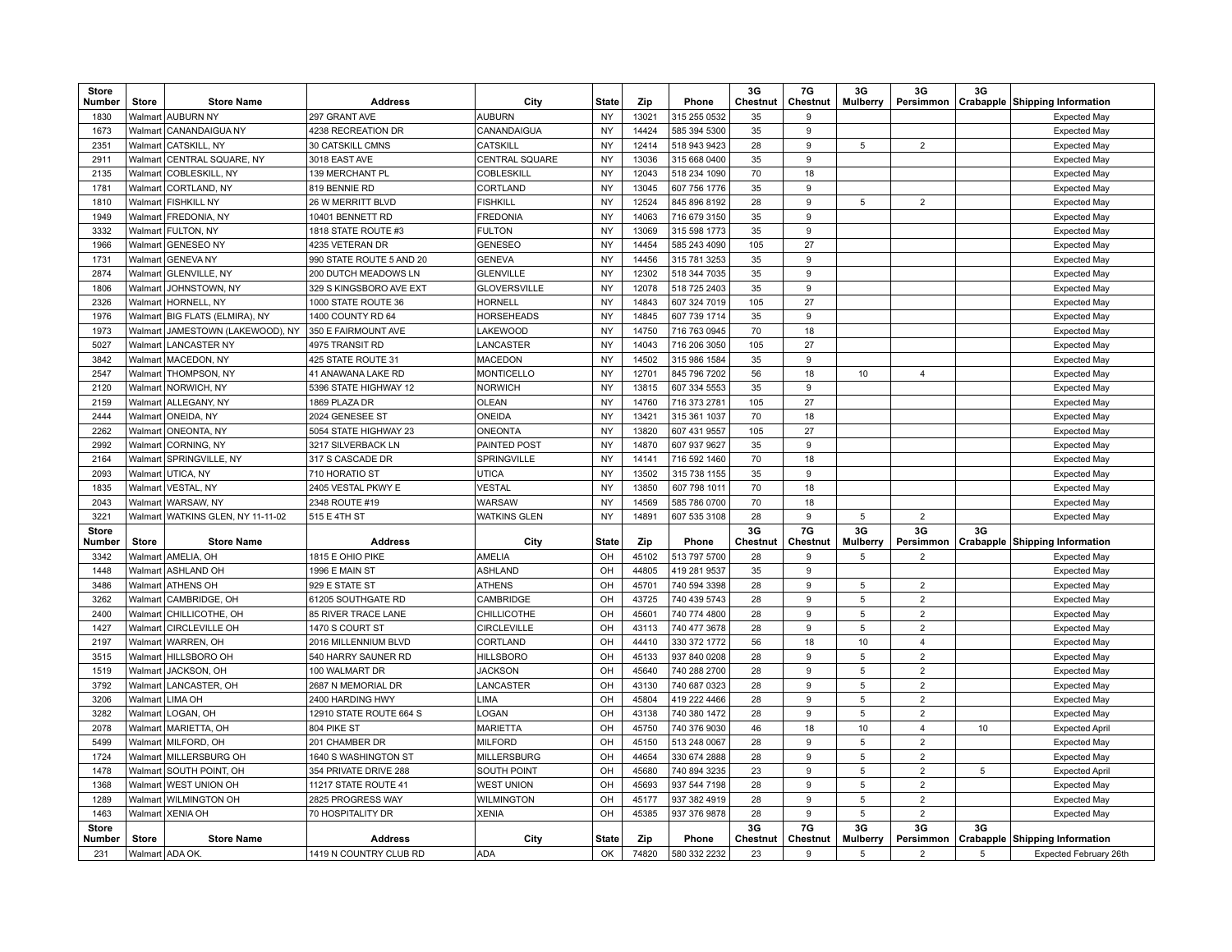| <b>Store</b><br>Number | Store        | <b>Store Name</b>                 | <b>Address</b>           | City                  | <b>State</b> | Zip   | Phone        | 3G<br>Chestnut | 7G<br>Chestnut | 3G<br><b>Mulberry</b> | 3G<br>Persimmon | 3G | Crabapple Shipping Information        |
|------------------------|--------------|-----------------------------------|--------------------------|-----------------------|--------------|-------|--------------|----------------|----------------|-----------------------|-----------------|----|---------------------------------------|
| 1830                   | Walmart      | <b>AUBURN NY</b>                  | 297 GRANT AVE            | <b>AUBURN</b>         | <b>NY</b>    | 13021 | 315 255 0532 | 35             | $\mathbf{Q}$   |                       |                 |    | <b>Expected May</b>                   |
| 1673                   | Walmart      | CANANDAIGUA NY                    | 4238 RECREATION DR       | CANANDAIGUA           | <b>NY</b>    | 14424 | 585 394 5300 | 35             | 9              |                       |                 |    | <b>Expected May</b>                   |
| 2351                   |              | Walmart   CATSKILL, NY            | 30 CATSKILL CMNS         | <b>CATSKILL</b>       | <b>NY</b>    | 12414 | 518 943 9423 | 28             | 9              | $\,$ 5 $\,$           | $\overline{2}$  |    | <b>Expected May</b>                   |
| 2911                   | Walmart      | CENTRAL SQUARE, NY                | 3018 EAST AVE            | <b>CENTRAL SQUARE</b> | <b>NY</b>    | 13036 | 315 668 0400 | 35             | 9              |                       |                 |    | <b>Expected May</b>                   |
| 2135                   | Walmart      | COBLESKILL, NY                    | 139 MERCHANT PL          | <b>COBLESKILL</b>     | <b>NY</b>    | 12043 | 518 234 1090 | 70             | 18             |                       |                 |    | <b>Expected May</b>                   |
| 1781                   | Walmart      | CORTLAND, NY                      | 819 BENNIE RD            | CORTLAND              | <b>NY</b>    | 13045 | 607 756 1776 | 35             | 9              |                       |                 |    | <b>Expected May</b>                   |
| 1810                   |              | Walmart   FISHKILL NY             | 26 W MERRITT BLVD        | <b>FISHKILL</b>       | <b>NY</b>    | 12524 | 845 896 8192 | 28             | 9              | 5                     | $\overline{2}$  |    | <b>Expected May</b>                   |
| 1949                   | Walmart      | <b>FREDONIA, NY</b>               | 10401 BENNETT RD         | <b>FREDONIA</b>       | <b>NY</b>    | 14063 | 716 679 3150 | 35             | 9              |                       |                 |    | <b>Expected May</b>                   |
| 3332                   | Walmart      | <b>FULTON, NY</b>                 | 1818 STATE ROUTE #3      | <b>FULTON</b>         | <b>NY</b>    | 13069 | 315 598 1773 | 35             | 9              |                       |                 |    | <b>Expected May</b>                   |
| 1966                   | Walmart      | <b>GENESEO NY</b>                 | 4235 VETERAN DR          | <b>GENESEO</b>        | <b>NY</b>    | 14454 | 585 243 4090 | 105            | 27             |                       |                 |    | <b>Expected May</b>                   |
| 1731                   | Walmart      | <b>GENEVANY</b>                   | 990 STATE ROUTE 5 AND 20 | <b>GENEVA</b>         | <b>NY</b>    | 14456 | 315 781 3253 | 35             | 9              |                       |                 |    | <b>Expected May</b>                   |
| 2874                   | Walmart      | <b>GLENVILLE, NY</b>              | 200 DUTCH MEADOWS LN     | <b>GLENVILLE</b>      | <b>NY</b>    | 12302 | 518 344 7035 | 35             | 9              |                       |                 |    | <b>Expected May</b>                   |
| 1806                   | Walmart      | JOHNSTOWN, NY                     | 329 S KINGSBORO AVE EXT  | <b>GLOVERSVILLE</b>   | <b>NY</b>    | 12078 | 518 725 2403 | 35             | 9              |                       |                 |    | <b>Expected May</b>                   |
| 2326                   | Walmart      | HORNELL, NY                       | 1000 STATE ROUTE 36      | <b>HORNELL</b>        | <b>NY</b>    | 14843 | 607 324 7019 | 105            | 27             |                       |                 |    | <b>Expected May</b>                   |
| 1976                   |              | Walmart BIG FLATS (ELMIRA), NY    | 1400 COUNTY RD 64        | <b>HORSEHEADS</b>     | <b>NY</b>    | 14845 | 607 739 1714 | 35             | 9              |                       |                 |    | Expected May                          |
| 1973                   | Walmart      | JAMESTOWN (LAKEWOOD), NY          | 350 E FAIRMOUNT AVE      | <b>LAKEWOOD</b>       | <b>NY</b>    | 14750 | 716 763 0945 | 70             | 18             |                       |                 |    | <b>Expected May</b>                   |
| 5027                   | Walmart      | <b>LANCASTER NY</b>               | 4975 TRANSIT RD          | LANCASTER             | <b>NY</b>    | 14043 | 716 206 3050 | 105            | 27             |                       |                 |    | <b>Expected May</b>                   |
| 3842                   |              | Walmart   MACEDON, NY             | 425 STATE ROUTE 31       | <b>MACEDON</b>        | <b>NY</b>    | 14502 | 315 986 1584 | 35             | 9              |                       |                 |    | <b>Expected May</b>                   |
| 2547                   |              | Walmart THOMPSON, NY              | 41 ANAWANA LAKE RD       | <b>MONTICELLO</b>     | <b>NY</b>    | 12701 | 845 796 7202 | 56             | 18             | 10                    | $\overline{4}$  |    | <b>Expected May</b>                   |
| 2120                   | Walmart      | NORWICH, NY                       | 5396 STATE HIGHWAY 12    | <b>NORWICH</b>        | <b>NY</b>    | 13815 | 607 334 5553 | 35             | 9              |                       |                 |    | <b>Expected May</b>                   |
| 2159                   | Walmart      | ALLEGANY, NY                      | 1869 PLAZA DR            | <b>OLEAN</b>          | <b>NY</b>    | 14760 | 716 373 2781 | 105            | 27             |                       |                 |    | <b>Expected May</b>                   |
| 2444                   | Walmart      | ONEIDA, NY                        | 2024 GENESEE ST          | ONEIDA                | <b>NY</b>    | 13421 | 315 361 1037 | 70             | 18             |                       |                 |    | <b>Expected May</b>                   |
| 2262                   |              | Walmart   ONEONTA, NY             | 5054 STATE HIGHWAY 23    | <b>ONEONTA</b>        | <b>NY</b>    | 13820 | 607 431 9557 | 105            | 27             |                       |                 |    | <b>Expected May</b>                   |
| 2992                   | Walmart      | CORNING, NY                       | 3217 SILVERBACK LN       | PAINTED POST          | <b>NY</b>    | 14870 | 607 937 9627 | 35             | 9              |                       |                 |    | <b>Expected May</b>                   |
| 2164                   | Walmart      | SPRINGVILLE, NY                   | 317 S CASCADE DR         | SPRINGVILLE           | <b>NY</b>    | 14141 | 716 592 1460 | 70             | 18             |                       |                 |    | Expected May                          |
| 2093                   | Walmart      | UTICA, NY                         | 710 HORATIO ST           | <b>UTICA</b>          | <b>NY</b>    | 13502 | 315 738 1155 | 35             | 9              |                       |                 |    | <b>Expected May</b>                   |
| 1835                   |              | Walmart   VESTAL, NY              | 2405 VESTAL PKWY E       | <b>VESTAL</b>         | <b>NY</b>    | 13850 | 607 798 1011 | 70             | 18             |                       |                 |    | <b>Expected May</b>                   |
| 2043                   | Walmart      | WARSAW, NY                        | 2348 ROUTE #19           | WARSAW                | NY           | 14569 | 585 786 0700 | 70             | 18             |                       |                 |    | <b>Expected May</b>                   |
| 3221                   |              | Walmart WATKINS GLEN, NY 11-11-02 | 515 E 4TH ST             | <b>WATKINS GLEN</b>   | <b>NY</b>    | 14891 | 607 535 3108 | 28             | 9              | 5                     | $\overline{2}$  |    | <b>Expected May</b>                   |
| <b>Store</b><br>Number | Store        | <b>Store Name</b>                 | <b>Address</b>           | City                  | State        | Zip   | Phone        | 3G<br>Chestnut | 7G<br>Chestnut | 3G<br>Mulberry        | 3G<br>Persimmon | 3G | <b>Crabapple Shipping Information</b> |
| 3342                   |              | Walmart AMELIA, OH                | 1815 E OHIO PIKE         | <b>AMELIA</b>         | OH           | 45102 | 513 797 5700 | 28             | 9              | 5                     | $\overline{2}$  |    | <b>Expected May</b>                   |
| 1448                   | Walmart      | <b>ASHLAND OH</b>                 | 1996 E MAIN ST           | <b>ASHLAND</b>        | OH           | 44805 | 419 281 9537 | 35             | 9              |                       |                 |    | <b>Expected May</b>                   |
| 3486                   | Walmart      | <b>ATHENS OH</b>                  | 929 E STATE ST           | <b>ATHENS</b>         | OH           | 45701 | 740 594 3398 | 28             | 9              | 5                     | $\overline{2}$  |    | <b>Expected May</b>                   |
| 3262                   | Walmart      | CAMBRIDGE, OH                     | 61205 SOUTHGATE RD       | CAMBRIDGE             | OH           | 43725 | 740 439 5743 | 28             | 9              | 5                     | $\overline{2}$  |    | <b>Expected May</b>                   |
| 2400                   | Walmart      | CHILLICOTHE, OH                   | 85 RIVER TRACE LANE      | CHILLICOTHE           | OH           | 45601 | 740 774 4800 | 28             | 9              | $\,$ 5 $\,$           | $\overline{2}$  |    | <b>Expected May</b>                   |
| 1427                   | Walmart      | <b>CIRCLEVILLE OH</b>             | 1470 S COURT ST          | <b>CIRCLEVILLE</b>    | OH           | 43113 | 740 477 3678 | 28             | 9              | 5                     | $\overline{2}$  |    | <b>Expected May</b>                   |
| 2197                   | Walmart      | WARREN, OH                        | 2016 MILLENNIUM BLVD     | CORTLAND              | OH           | 44410 | 330 372 1772 | 56             | 18             | 10                    | $\overline{4}$  |    | <b>Expected May</b>                   |
| 3515                   | Walmart      | <b>HILLSBORO OH</b>               | 540 HARRY SAUNER RD      | <b>HILLSBORO</b>      | OH           | 45133 | 937 840 0208 | 28             | 9              | 5                     | $\overline{2}$  |    | <b>Expected May</b>                   |
| 1519                   | Walmart      | JACKSON, OH                       | 100 WALMART DR           | <b>JACKSON</b>        | OH           | 45640 | 740 288 2700 | 28             | 9              | 5                     | $\overline{2}$  |    | <b>Expected May</b>                   |
| 3792                   | Walmart      | LANCASTER, OH                     | 2687 N MEMORIAL DR       | LANCASTER             | OH           | 43130 | 740 687 0323 | 28             | 9              | 5                     | $\overline{2}$  |    | <b>Expected May</b>                   |
| 3206                   | Walmart      | LIMA OH                           | 2400 HARDING HWY         | LIMA                  | OH           | 45804 | 419 222 4466 | 28             | 9              | $\,$ 5 $\,$           | $\overline{2}$  |    | <b>Expected May</b>                   |
| 3282                   | Walmart      | LOGAN, OH                         | 12910 STATE ROUTE 664 S  | LOGAN                 | OH           | 43138 | 740 380 1472 | 28             | 9              | 5                     | $\overline{2}$  |    | <b>Expected May</b>                   |
| 2078                   |              | Walmart   MARIETTA, OH            | 804 PIKE ST              | <b>MARIETTA</b>       | OH           | 45750 | 740 376 9030 | 46             | 18             | 10                    | $\overline{4}$  | 10 | <b>Expected April</b>                 |
| 5499                   | Walmart      | MILFORD, OH                       | 201 CHAMBER DR           | <b>MILFORD</b>        | OH           | 45150 | 513 248 0067 | 28             | 9              | 5                     | $\overline{2}$  |    | <b>Expected May</b>                   |
| 1724                   | Walmart      | MILLERSBURG OH                    | 1640 S WASHINGTON ST     | <b>MILLERSBURG</b>    | OH           | 44654 | 330 674 2888 | 28             | 9              | 5                     | $\overline{2}$  |    | <b>Expected May</b>                   |
| 1478                   | Walmart      | SOUTH POINT, OH                   | 354 PRIVATE DRIVE 288    | <b>SOUTH POINT</b>    | OH           | 45680 | 740 894 3235 | 23             | 9              | 5                     | $\overline{2}$  | 5  | <b>Expected April</b>                 |
| 1368                   |              | Walmart   WEST UNION OH           | 11217 STATE ROUTE 41     | <b>WEST UNION</b>     | OH           | 45693 | 937 544 7198 | 28             | 9              | 5                     | $\overline{2}$  |    | <b>Expected May</b>                   |
| 1289                   | Walmart      | <b>WILMINGTON OH</b>              | 2825 PROGRESS WAY        | <b>WILMINGTON</b>     | OH           | 45177 | 937 382 4919 | 28             | 9              | 5                     | $\overline{2}$  |    | <b>Expected May</b>                   |
| 1463                   | Walmart      | <b>XENIA OH</b>                   | 70 HOSPITALITY DR        | <b>XENIA</b>          | OH           | 45385 | 937 376 9878 | 28             | 9              | $\,$ 5 $\,$           | $\overline{2}$  |    | <b>Expected May</b>                   |
| <b>Store</b>           |              |                                   |                          |                       |              |       |              | 3G             | 7G             | 3G                    | 3G              | 3G |                                       |
| <b>Number</b>          | <b>Store</b> | <b>Store Name</b>                 | <b>Address</b>           | City                  | <b>State</b> | Zip   | Phone        | Chestnut       | Chestnut       | <b>Mulberry</b>       | Persimmon       |    | Crabapple Shipping Information        |
| 231                    |              | Walmart ADA OK                    | 1419 N COUNTRY CLUB RD   | <b>ADA</b>            | OK           | 74820 | 580 332 2232 | 23             | 9              | 5                     | $\overline{2}$  | 5  | Expected February 26th                |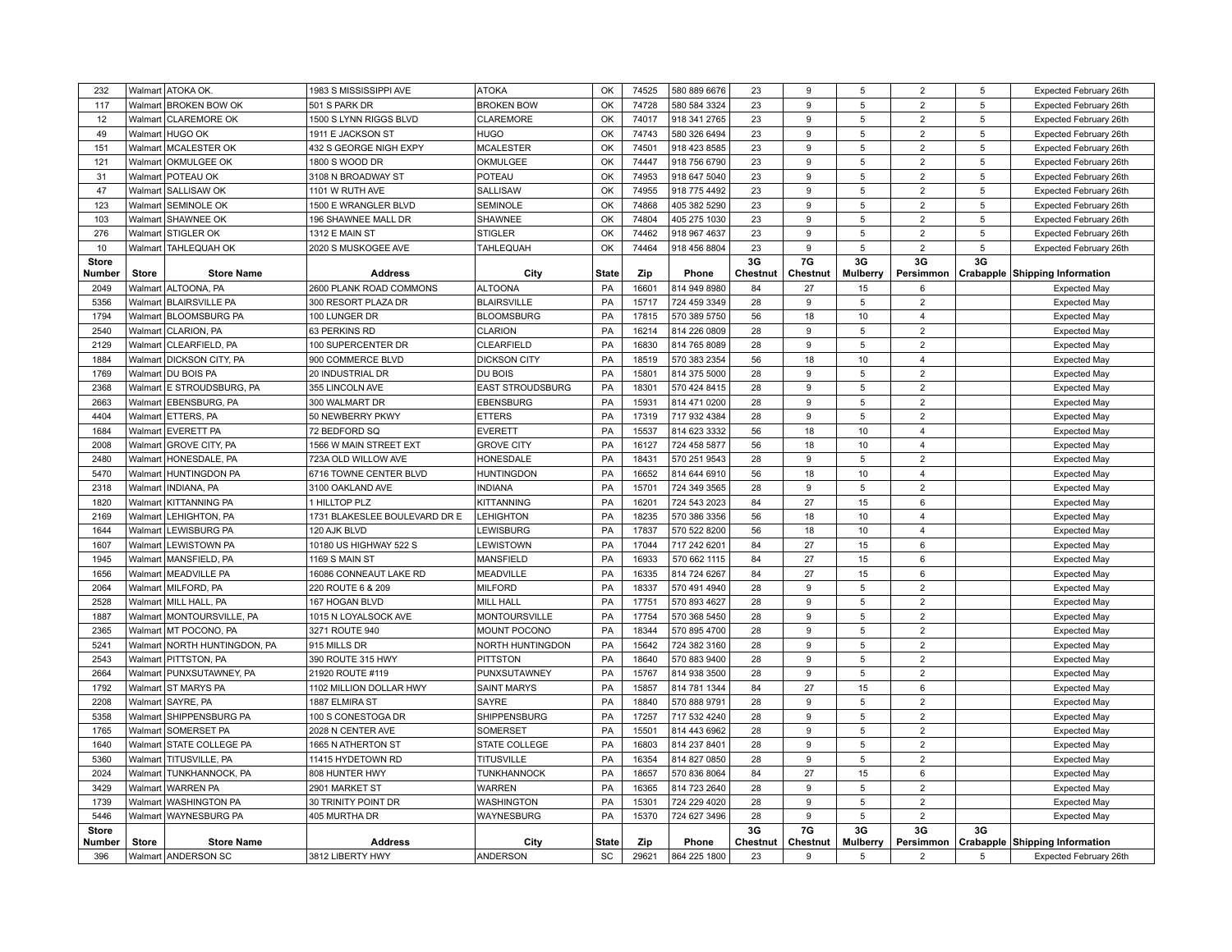| 232                    |                    | Walmart ATOKA OK.                        | 1983 S MISSISSIPPI AVE                  | <b>ATOKA</b>         | OK           | 74525 | 580 889 6676 | 23             | 9              | $\,$ 5 $\,$           | $\overline{2}$  | 5  | Expected February 26th         |
|------------------------|--------------------|------------------------------------------|-----------------------------------------|----------------------|--------------|-------|--------------|----------------|----------------|-----------------------|-----------------|----|--------------------------------|
| 117                    |                    | Walmart BROKEN BOW OK                    | 501 S PARK DR                           | <b>BROKEN BOW</b>    | OK           | 74728 | 580 584 3324 | 23             | 9              | 5                     | $\overline{2}$  | 5  | Expected February 26th         |
| 12                     |                    | Walmart   CLAREMORE OK                   | 1500 S LYNN RIGGS BLVD                  | <b>CLAREMORE</b>     | OK           | 74017 | 918 341 2765 | 23             | 9              | 5                     | $\overline{2}$  | 5  | Expected February 26th         |
| 49                     |                    | Walmart   HUGO OK                        | 1911 E JACKSON ST                       | <b>HUGO</b>          | OK           | 74743 | 580 326 6494 | 23             | 9              | 5                     | $\overline{2}$  | 5  | Expected February 26th         |
| 151                    |                    | Walmart   MCALESTER OK                   | 432 S GEORGE NIGH EXPY                  | <b>MCALESTER</b>     | OK           | 74501 | 918 423 8585 | 23             | 9              | $\,$ 5 $\,$           | $\overline{2}$  | 5  | Expected February 26th         |
| 121                    |                    | Walmart   OKMULGEE OK                    | 1800 S WOOD DR                          | OKMULGEE             | OK           | 74447 | 918 756 6790 | 23             | 9              | 5                     | $\overline{2}$  | 5  | Expected February 26th         |
| 31                     |                    | Walmart   POTEAU OK                      | 3108 N BROADWAY ST                      | POTEAU               | OK           | 74953 | 918 647 5040 | 23             | 9              | 5                     | $\overline{2}$  | 5  | Expected February 26th         |
| 47                     | Walmart            | <b>SALLISAW OK</b>                       | 1101 W RUTH AVE                         | SALLISAW             | OK           | 74955 | 918 775 4492 | 23             | 9              | 5                     | $\overline{2}$  | 5  | Expected February 26th         |
| 123                    | Walmart            | SEMINOLE OK                              | 1500 E WRANGLER BLVD                    | <b>SEMINOLE</b>      | OK           | 74868 | 405 382 5290 | 23             | 9              | 5                     | $\overline{2}$  | 5  | Expected February 26th         |
| 103                    | Walmart            | <b>SHAWNEE OK</b>                        | 196 SHAWNEE MALL DR                     | SHAWNEE              | OK           | 74804 | 405 275 1030 | 23             | 9              | 5                     | $\overline{2}$  | 5  | Expected February 26th         |
| 276                    |                    | Walmart STIGLER OK                       | 1312 E MAIN ST                          | <b>STIGLER</b>       | OK           | 74462 | 918 967 4637 | 23             | 9              | 5                     | $\overline{2}$  | 5  | Expected February 26th         |
| 10                     | Walmart            | <b>TAHLEQUAH OK</b>                      | 2020 S MUSKOGEE AVE                     | <b>TAHLEQUAH</b>     | OK           | 74464 | 918 456 8804 | 23             | 9              | 5                     | $\overline{2}$  | 5  | Expected February 26th         |
| <b>Store</b>           |                    |                                          |                                         |                      |              |       |              | 3G             | 7G             | 3G                    | 3G              | 3G |                                |
| Number                 | Store              | <b>Store Name</b>                        | <b>Address</b>                          | City                 | <b>State</b> | Zip   | Phone        | Chestnut       | Chestnut       | <b>Mulberry</b>       | Persimmon       |    | Crabapple Shipping Information |
| 2049                   |                    | Walmart ALTOONA, PA                      | 2600 PLANK ROAD COMMONS                 | <b>ALTOONA</b>       | PA           | 16601 | 814 949 8980 | 84             | 27             | 15                    | 6               |    | <b>Expected May</b>            |
| 5356                   |                    | Walmart   BLAIRSVILLE PA                 | 300 RESORT PLAZA DR                     | <b>BLAIRSVILLE</b>   | PA           | 15717 | 724 459 3349 | 28             | 9              | $\,$ 5 $\,$           | $\overline{2}$  |    | <b>Expected May</b>            |
| 1794                   |                    | Walmart BLOOMSBURG PA                    | 100 LUNGER DR                           | <b>BLOOMSBURG</b>    | PA           | 17815 | 570 389 5750 | 56             | 18             | 10                    | $\overline{4}$  |    | <b>Expected May</b>            |
| 2540                   | Walmart            | <b>CLARION, PA</b>                       | 63 PERKINS RD                           | <b>CLARION</b>       | PA           | 16214 | 814 226 0809 | 28             | 9              | 5                     | $\overline{2}$  |    | <b>Expected May</b>            |
| 2129                   |                    | Walmart   CLEARFIELD, PA                 | 100 SUPERCENTER DR                      | CLEARFIELD           | PA           | 16830 | 814 765 8089 | 28             | 9              | 5                     | $\overline{2}$  |    | <b>Expected May</b>            |
| 1884                   |                    | Walmart   DICKSON CITY, PA               | 900 COMMERCE BLVD                       | <b>DICKSON CITY</b>  | PA           | 18519 | 570 383 2354 | 56             | 18             | 10                    | $\overline{4}$  |    | <b>Expected May</b>            |
| 1769                   | Walmart            | <b>DU BOIS PA</b>                        | 20 INDUSTRIAL DR                        | DU BOIS              | PA           | 15801 | 814 375 5000 | 28             | 9              | 5                     | $\overline{2}$  |    | <b>Expected May</b>            |
| 2368                   | Walmart            | E STROUDSBURG, PA                        | 355 LINCOLN AVE                         | EAST STROUDSBURG     | PA           | 18301 | 570 424 8415 | 28             | 9              | $\,$ 5 $\,$           | $\overline{2}$  |    | <b>Expected May</b>            |
| 2663                   | Walmart            | <b>EBENSBURG, PA</b>                     | 300 WALMART DR                          | <b>EBENSBURG</b>     | PA           | 15931 | 814 471 0200 | 28             | 9              | 5                     | $\overline{2}$  |    | <b>Expected May</b>            |
| 4404                   |                    | Walmart ETTERS, PA                       | 50 NEWBERRY PKWY                        | <b>ETTERS</b>        | PA           | 17319 | 717 932 4384 | 28             | 9              | 5                     | $\overline{2}$  |    | <b>Expected May</b>            |
| 1684                   | Walmart            | <b>EVERETT PA</b>                        | 72 BEDFORD SQ                           | EVERETT              | PA           | 15537 | 814 623 3332 | 56             | 18             | 10                    | $\overline{4}$  |    | <b>Expected May</b>            |
| 2008                   | Walmart            | <b>GROVE CITY, PA</b>                    | 1566 W MAIN STREET EXT                  | <b>GROVE CITY</b>    | PA           | 16127 | 724 458 5877 | 56             | 18             | 10                    | $\overline{4}$  |    | <b>Expected May</b>            |
| 2480                   |                    | Walmart   HONESDALE, PA                  | 723A OLD WILLOW AVE                     | HONESDALE            | PA           | 18431 | 570 251 9543 | 28             | 9              | $\,$ 5 $\,$           | $\overline{2}$  |    | <b>Expected May</b>            |
| 5470                   |                    | Walmart HUNTINGDON PA                    | 6716 TOWNE CENTER BLVD                  | <b>HUNTINGDON</b>    | PA           | 16652 | 814 644 6910 | 56             | 18             | 10                    | $\overline{4}$  |    | <b>Expected May</b>            |
| 2318                   | Walmart            | <b>INDIANA, PA</b>                       | 3100 OAKLAND AVE                        | <b>INDIANA</b>       | PA           | 15701 | 724 349 3565 | 28             | 9              | 5                     | $\overline{2}$  |    | <b>Expected May</b>            |
| 1820                   | Walmart            | <b>KITTANNING PA</b>                     | 1 HILLTOP PLZ                           | <b>KITTANNING</b>    | PA           | 16201 | 724 543 2023 | 84             | 27             | 15                    | 6               |    | <b>Expected May</b>            |
| 2169                   | Walmart            | LEHIGHTON, PA                            | 1731 BLAKESLEE BOULEVARD DR E           | <b>LEHIGHTON</b>     | PA           | 18235 | 570 386 3356 | 56             | 18             | 10                    | $\overline{4}$  |    | <b>Expected May</b>            |
| 1644                   | Walmart            | LEWISBURG PA                             | 120 AJK BLVD                            | LEWISBURG            | PA           | 17837 | 570 522 8200 | 56             | 18             | 10                    | $\overline{4}$  |    | <b>Expected May</b>            |
| 1607                   | Walmart            | LEWISTOWN PA                             | 10180 US HIGHWAY 522 S                  | LEWISTOWN            | PA           | 17044 | 717 242 6201 | 84             | 27             | 15                    | 6               |    | <b>Expected May</b>            |
| 1945                   | Walmart            | MANSFIELD, PA                            | 1169 S MAIN ST                          | <b>MANSFIELD</b>     | PA           | 16933 | 570 662 1115 | 84             | 27             | 15                    | 6               |    | <b>Expected May</b>            |
| 1656                   |                    | Walmart   MEADVILLE PA                   | 16086 CONNEAUT LAKE RD                  | MEADVILLE            | PA           | 16335 | 814 724 6267 | 84             | 27             | 15                    | 6               |    | <b>Expected May</b>            |
| 2064                   | Walmart            | MILFORD, PA                              | 220 ROUTE 6 & 209                       | <b>MILFORD</b>       | PA           | 18337 | 570 491 4940 | 28             | 9              | 5                     | $\overline{2}$  |    | <b>Expected May</b>            |
| 2528                   | Walmart            | MILL HALL, PA                            | 167 HOGAN BLVD                          | <b>MILL HALL</b>     | PA           | 17751 | 570 893 4627 | 28             | 9              | 5                     | $\overline{2}$  |    | <b>Expected May</b>            |
| 1887                   |                    | Walmart   MONTOURSVILLE, PA              | 1015 N LOYALSOCK AVE                    | <b>MONTOURSVILLE</b> | PA           | 17754 | 570 368 5450 | 28             | 9              | 5                     | $\overline{2}$  |    | <b>Expected May</b>            |
| 2365                   |                    | Walmart   MT POCONO, PA                  | 3271 ROUTE 940                          | MOUNT POCONO         | PA           | 18344 | 570 895 4700 | 28             | 9              | 5                     | $\overline{2}$  |    | <b>Expected May</b>            |
| 5241                   | Walmart            | NORTH HUNTINGDON, PA                     | 915 MILLS DR                            | NORTH HUNTINGDON     | PA           | 15642 | 724 382 3160 | 28             | 9              | 5                     | $\overline{2}$  |    | <b>Expected May</b>            |
| 2543                   | Walmart            | <b>PITTSTON, PA</b>                      | 390 ROUTE 315 HWY                       | <b>PITTSTON</b>      | PA           | 18640 | 570 883 9400 | 28             | 9              | 5                     | $\overline{2}$  |    | <b>Expected May</b>            |
| 2664                   |                    | Walmart   PUNXSUTAWNEY, PA               | 21920 ROUTE #119                        | PUNXSUTAWNEY         | PA           | 15767 | 814 938 3500 | 28             | 9              | 5                     | $\overline{2}$  |    | <b>Expected May</b>            |
| 1792                   |                    | Walmart ST MARYS PA                      | 1102 MILLION DOLLAR HWY                 | <b>SAINT MARYS</b>   | PA           | 15857 | 814 781 1344 | 84             | 27             | 15                    | 6               |    | <b>Expected May</b>            |
| 2208                   | Walmart            | SAYRE, PA                                | 1887 ELMIRA ST                          | SAYRE                | PA           | 18840 | 570 888 9791 | 28             | 9              | 5                     | $\overline{2}$  |    | <b>Expected May</b>            |
| 5358                   | Walmart            | <b>SHIPPENSBURG PA</b>                   | 100 S CONESTOGA DR                      | SHIPPENSBURG         | PA           | 17257 | 717 532 4240 | 28             | 9              | 5                     | $\overline{2}$  |    | <b>Expected May</b>            |
| 1765                   |                    | Walmart   SOMERSET PA                    |                                         | SOMERSET             | PA           | 15501 | 814 443 6962 | 28             | 9              | $\,$ 5 $\,$           | $\overline{2}$  |    |                                |
| 1640                   | Walmart            | <b>STATE COLLEGE PA</b>                  | 2028 N CENTER AVE<br>1665 N ATHERTON ST | <b>STATE COLLEGE</b> | PA           | 16803 | 814 237 8401 | 28             | 9              | 5                     | $\overline{2}$  |    | <b>Expected May</b>            |
| 5360                   |                    |                                          |                                         |                      | PA           | 16354 |              | 28             | 9              | 5                     | $\overline{2}$  |    | <b>Expected May</b>            |
| 2024                   | Walmart<br>Walmart | TITUSVILLE, PA<br><b>TUNKHANNOCK, PA</b> | 11415 HYDETOWN RD<br>808 HUNTER HWY     | <b>TITUSVILLE</b>    |              | 18657 | 814 827 0850 | 84             | 27             |                       |                 |    | <b>Expected May</b>            |
|                        |                    |                                          |                                         | TUNKHANNOCK          | PA           |       | 570 836 8064 |                |                | 15                    | 6               |    | <b>Expected May</b>            |
| 3429                   |                    | Walmart   WARREN PA                      | 2901 MARKET ST                          | <b>WARREN</b>        | PA           | 16365 | 814 723 2640 | 28             | 9              | 5                     | $\overline{2}$  |    | <b>Expected May</b>            |
| 1739                   | Walmart            | <b>WASHINGTON PA</b>                     | 30 TRINITY POINT DR                     | <b>WASHINGTON</b>    | PA           | 15301 | 724 229 4020 | 28             | 9              | 5                     | $\overline{2}$  |    | <b>Expected May</b>            |
| 5446                   | Walmart            | <b>WAYNESBURG PA</b>                     | 405 MURTHA DR                           | WAYNESBURG           | PA           | 15370 | 724 627 3496 | 28             | 9              | $\,$ 5 $\,$           | $\overline{2}$  |    | <b>Expected May</b>            |
| <b>Store</b><br>Number | <b>Store</b>       | <b>Store Name</b>                        | <b>Address</b>                          | City                 | <b>State</b> | Zip   | Phone        | 3G<br>Chestnut | 7G<br>Chestnut | 3G<br><b>Mulberry</b> | 3G<br>Persimmon | 3G | Crabapple Shipping Information |
| 396                    |                    | Walmart ANDERSON SC                      | 3812 LIBERTY HWY                        | ANDERSON             | SC           | 29621 | 864 225 1800 | 23             | 9              | 5                     | $\overline{2}$  | 5  | Expected February 26th         |
|                        |                    |                                          |                                         |                      |              |       |              |                |                |                       |                 |    |                                |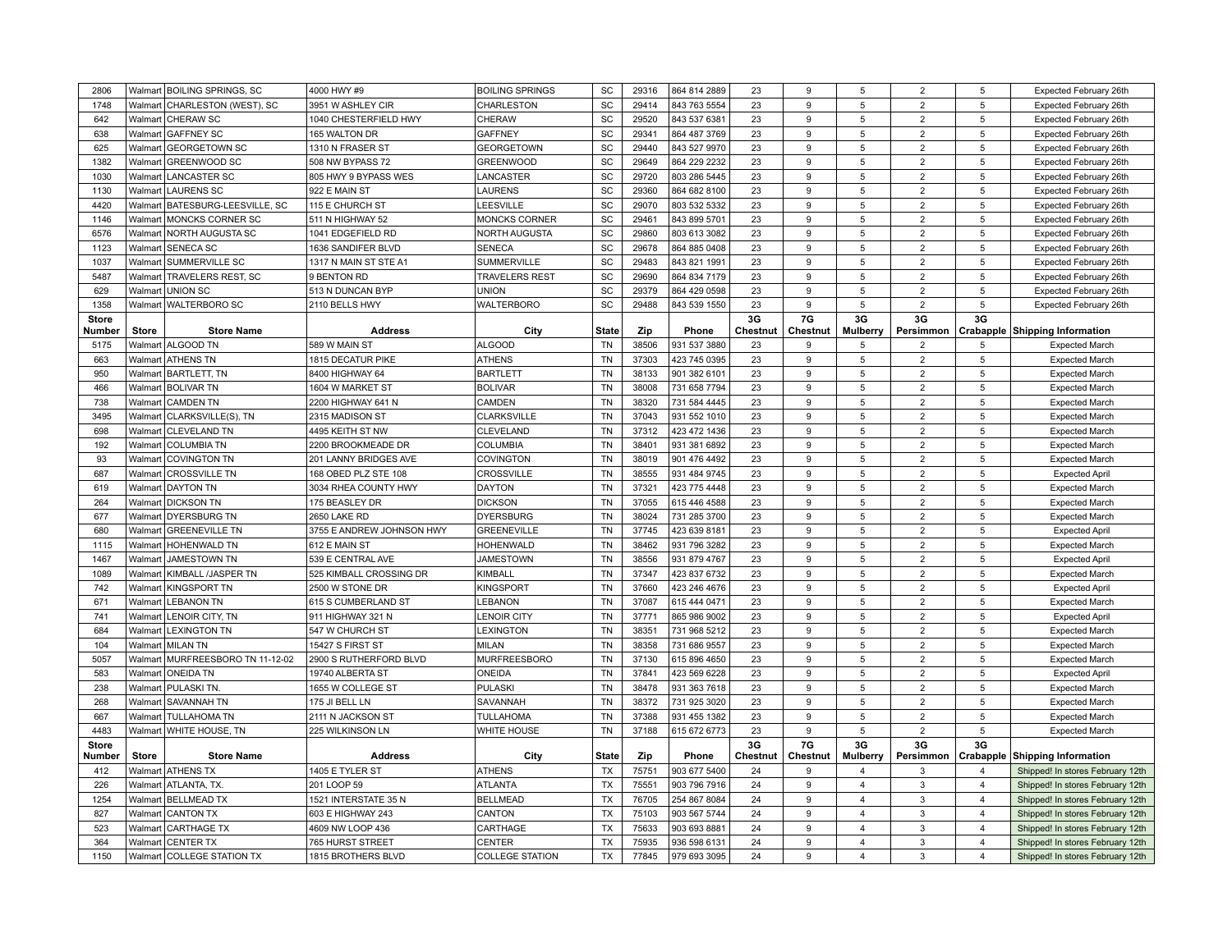| 2806         | Walmart            | <b>BOILING SPRINGS, SC</b>             | 4000 HWY #9                           | <b>BOILING SPRINGS</b>    | SC                     | 29316          | 864 814 2889                 | 23       | 9        | 5                                         | $\overline{2}$ | 5                                | Expected February 26th                                               |
|--------------|--------------------|----------------------------------------|---------------------------------------|---------------------------|------------------------|----------------|------------------------------|----------|----------|-------------------------------------------|----------------|----------------------------------|----------------------------------------------------------------------|
| 1748         | Walmart            | CHARLESTON (WEST), SC                  | 3951 W ASHLEY CIR                     | CHARLESTON                | SC                     | 29414          | 843 763 5554                 | 23       | 9        | 5                                         | $\overline{2}$ | 5                                | Expected February 26th                                               |
| 642          |                    | Walmart CHERAW SC                      | 1040 CHESTERFIELD HWY                 | CHERAW                    | SC                     | 29520          | 843 537 6381                 | 23       | 9        | 5                                         | $\overline{2}$ | 5                                | Expected February 26th                                               |
| 638          | Walmart            | <b>GAFFNEY SC</b>                      | 165 WALTON DR                         | <b>GAFFNEY</b>            | SC                     | 29341          | 864 487 3769                 | 23       | 9        | 5                                         | $\overline{2}$ | 5                                | Expected February 26th                                               |
| 625          | Walmart            | <b>GEORGETOWN SC</b>                   | 1310 N FRASER ST                      | <b>GEORGETOWN</b>         | SC                     | 29440          | 843 527 9970                 | 23       | 9        | 5                                         | $\overline{2}$ | 5                                | Expected February 26th                                               |
| 1382         | Walmart            | <b>GREENWOOD SC</b>                    | 508 NW BYPASS 72                      | <b>GREENWOOD</b>          | SC                     | 29649          | 864 229 2232                 | 23       | 9        | 5                                         | $\overline{2}$ | 5                                | Expected February 26th                                               |
| 1030         | Walmart            | <b>LANCASTER SC</b>                    | 805 HWY 9 BYPASS WES                  | LANCASTER                 | SC                     | 29720          | 803 286 5445                 | 23       | 9        | 5                                         | $\overline{2}$ | 5                                | Expected February 26th                                               |
| 1130         | Walmart            | LAURENS SC                             | 922 E MAIN ST                         | LAURENS                   | SC                     | 29360          | 864 682 8100                 | 23       | 9        | 5                                         | $\overline{2}$ | 5                                | Expected February 26th                                               |
| 4420         | Walmart            | BATESBURG-LEESVILLE, SC                | 115 E CHURCH ST                       | LEESVILLE                 | SC                     | 29070          | 803 532 5332                 | 23       | 9        | 5                                         | $\overline{2}$ | 5                                | Expected February 26th                                               |
| 1146         | Walmart            | MONCKS CORNER SC                       | 511 N HIGHWAY 52                      | MONCKS CORNER             | SC                     | 29461          | 843 899 5701                 | 23       | 9        | 5                                         | $\overline{2}$ | 5                                | Expected February 26th                                               |
| 6576         | Walmart            | <b>NORTH AUGUSTA SC</b>                | 1041 EDGEFIELD RD                     | <b>NORTH AUGUSTA</b>      | SC                     | 29860          | 803 613 3082                 | 23       | g        | 5                                         | $\overline{2}$ | 5                                | Expected February 26th                                               |
| 1123         | Walmart            | <b>SENECA SC</b>                       | 1636 SANDIFER BLVD                    | <b>SENECA</b>             | SC                     | 29678          | 864 885 0408                 | 23       | 9        | 5                                         | $\overline{2}$ | 5                                | Expected February 26th                                               |
| 1037         | Walmart            | SUMMERVILLE SC                         | 1317 N MAIN ST STE A1                 | <b>SUMMERVILLE</b>        | SC                     | 29483          | 843 821 1991                 | 23       | 9        | 5                                         | $\overline{2}$ | 5                                | Expected February 26th                                               |
| 5487         | Walmart            | TRAVELERS REST, SC                     | 9 BENTON RD                           | <b>TRAVELERS REST</b>     | SC                     | 29690          | 864 834 7179                 | 23       | 9        | 5                                         | $\overline{2}$ | 5                                | Expected February 26th                                               |
| 629          |                    | Walmart UNION SC                       | 513 N DUNCAN BYP                      | <b>UNION</b>              | SC                     | 29379          | 864 429 0598                 | 23       | 9        | 5                                         | $\overline{2}$ | 5                                | Expected February 26th                                               |
| 1358         | Walmart            | <b>WALTERBORO SC</b>                   | 2110 BELLS HWY                        | <b>WALTERBORO</b>         | SC                     | 29488          | 843 539 1550                 | 23       | 9        | 5                                         | $\overline{2}$ | 5                                | Expected February 26th                                               |
| <b>Store</b> |                    |                                        |                                       |                           |                        |                |                              | 3G       | 7G       | 3G                                        | 3G             | 3G                               |                                                                      |
| Number       | <b>Store</b>       | <b>Store Name</b>                      | <b>Address</b>                        | City                      | <b>State</b>           | Zip            | Phone                        | Chestnut | Chestnut | <b>Mulberry</b>                           | Persimmon      |                                  | Crabapple Shipping Information                                       |
| 5175         |                    | Walmart ALGOOD TN                      | 589 W MAIN ST                         | <b>ALGOOD</b>             | <b>TN</b>              | 38506          | 931 537 3880                 | 23       | 9        | 5                                         | $\overline{2}$ | 5                                | <b>Expected March</b>                                                |
| 663          |                    | Walmart ATHENS TN                      | 1815 DECATUR PIKE                     | <b>ATHENS</b>             | <b>TN</b>              | 37303          | 423 745 0395                 | 23       | 9        | 5                                         | $\overline{2}$ | 5                                | <b>Expected March</b>                                                |
| 950          | Walmart            | <b>BARTLETT, TN</b>                    | 8400 HIGHWAY 64                       | <b>BARTLETT</b>           | <b>TN</b>              | 38133          | 901 382 6101                 | 23       | 9        | 5                                         | $\overline{2}$ | 5                                | <b>Expected March</b>                                                |
| 466          | Walmart            | <b>BOLIVAR TN</b>                      | 1604 W MARKET ST                      | <b>BOLIVAR</b>            | <b>TN</b>              | 38008          | 731 658 7794                 | 23       | 9        | 5                                         | $\overline{2}$ | 5                                | <b>Expected March</b>                                                |
| 738          | Walmart            | <b>CAMDEN TN</b>                       | 2200 HIGHWAY 641 N                    | CAMDEN                    | <b>TN</b>              | 38320          | 731 584 4445                 | 23       | 9        | 5                                         | $\overline{2}$ | 5                                | <b>Expected March</b>                                                |
| 3495         | Walmart            | CLARKSVILLE(S), TN                     | 2315 MADISON ST                       | <b>CLARKSVILLE</b>        | <b>TN</b>              | 37043          | 931 552 1010                 | 23       | 9        | 5                                         | $\overline{2}$ | 5                                | <b>Expected March</b>                                                |
| 698          | Walmart            | <b>CLEVELAND TN</b>                    | 4495 KEITH ST NW                      | CLEVELAND                 | <b>TN</b>              | 37312          | 423 472 1436                 | 23       | 9        | 5                                         | $\overline{2}$ | 5                                | <b>Expected March</b>                                                |
| 192          | Walmart            | <b>COLUMBIA TN</b>                     | 2200 BROOKMEADE DR                    | <b>COLUMBIA</b>           | <b>TN</b>              | 38401          | 931 381 6892                 | 23       | 9        | 5                                         | $\overline{2}$ | 5                                | <b>Expected March</b>                                                |
| 93           |                    | Walmart COVINGTON TN                   | 201 LANNY BRIDGES AVE                 | COVINGTON                 | TN                     | 38019          | 901 476 4492                 | 23       | 9        | 5                                         | $\overline{2}$ | 5                                | <b>Expected March</b>                                                |
| 687          | Walmart            | <b>CROSSVILLE TN</b>                   | 168 OBED PLZ STE 108                  | <b>CROSSVILLE</b>         | <b>TN</b>              | 38555          | 931 484 9745                 | 23       | 9        | 5                                         | $\overline{2}$ | 5                                | <b>Expected April</b>                                                |
| 619          | Walmart            | <b>DAYTON TN</b>                       | 3034 RHEA COUNTY HWY                  | <b>DAYTON</b>             | <b>TN</b>              | 37321          | 423 775 4448                 | 23       | 9        | 5                                         | $\overline{2}$ | 5                                | <b>Expected March</b>                                                |
| 264          |                    | Walmart   DICKSON TN                   | 175 BEASLEY DR                        | <b>DICKSON</b>            | <b>TN</b>              | 37055          | 615 446 4588                 | 23       | 9        | 5                                         | $\overline{2}$ | 5                                | <b>Expected March</b>                                                |
| 677          |                    | Walmart DYERSBURG TN                   | 2650 LAKE RD                          | <b>DYERSBURG</b>          | <b>TN</b>              | 38024          | 731 285 3700                 | 23       | 9        | 5                                         | $\overline{2}$ | 5                                | <b>Expected March</b>                                                |
| 680          | Walmart            | <b>GREENEVILLE TN</b>                  | 3755 E ANDREW JOHNSON HWY             | <b>GREENEVILLE</b>        | <b>TN</b>              | 37745          | 423 639 8181                 | 23       | 9        | 5                                         | $\overline{2}$ | 5                                | <b>Expected April</b>                                                |
| 1115         | Walmart            | <b>HOHENWALD TN</b>                    | 612 E MAIN ST                         | <b>HOHENWALD</b>          | TN                     | 38462          | 931 796 3282                 | 23       | 9        | 5                                         | $\overline{2}$ | 5                                | <b>Expected March</b>                                                |
| 1467         | Walmart            | <b>JAMESTOWN TN</b>                    | 539 E CENTRAL AVE                     | <b>JAMESTOWN</b>          | <b>TN</b>              | 38556          | 931 879 4767                 | 23       | 9        | 5                                         | $\overline{2}$ | 5                                | <b>Expected April</b>                                                |
| 1089         | Walmart            | KIMBALL /JASPER TN                     | 525 KIMBALL CROSSING DR               | KIMBALL                   | <b>TN</b>              | 37347          | 423 837 6732                 | 23       | 9        | 5                                         | $\overline{2}$ | 5                                | <b>Expected March</b>                                                |
| 742          | Walmart            | <b>KINGSPORT TN</b>                    | 2500 W STONE DR                       | <b>KINGSPORT</b>          | <b>TN</b>              | 37660          | 423 246 4676                 | 23       | 9        | 5                                         | $\overline{2}$ | 5                                | <b>Expected April</b>                                                |
| 671          | Walmart            | <b>LEBANON TN</b>                      | 615 S CUMBERLAND ST                   | LEBANON                   | <b>TN</b>              | 37087          | 615 444 0471                 | 23       | 9        | 5                                         | $\overline{2}$ | 5                                | <b>Expected March</b>                                                |
| 741          | Walmart            | LENOIR CITY, TN                        | 911 HIGHWAY 321 N                     | <b>LENOIR CITY</b>        | <b>TN</b>              | 37771          | 865 986 9002                 | 23       | 9        | 5                                         | $\overline{2}$ | 5                                | <b>Expected April</b>                                                |
| 684          | Walmart            | <b>LEXINGTON TN</b>                    | 547 W CHURCH ST                       | <b>LEXINGTON</b>          | <b>TN</b>              | 38351          | 731 968 5212                 | 23       | 9        | 5                                         | $\overline{2}$ | 5                                | <b>Expected March</b>                                                |
| 104          | Walmart            | MILAN TN                               | 15427 S FIRST ST                      | <b>MILAN</b>              | <b>TN</b>              | 38358          | 731 686 9557                 | 23       | 9        | 5                                         | $\overline{2}$ | 5                                | <b>Expected March</b>                                                |
| 5057         |                    | Walmart MURFREESBORO TN 11-12-02       | 2900 S RUTHERFORD BLVD                | <b>MURFREESBORO</b>       | TN                     | 37130          | 615 896 4650                 | 23       | 9        | 5                                         | $\overline{2}$ | 5                                | <b>Expected March</b>                                                |
| 583          |                    | Walmart ONEIDA TN                      | 19740 ALBERTA ST                      | ONEIDA                    | TN                     | 37841          | 423 569 6228                 | 23       | 9        | 5                                         | $\overline{2}$ | 5                                | <b>Expected April</b>                                                |
| 238          | Walmart            | <b>PULASKI TN.</b>                     | 1655 W COLLEGE ST                     | <b>PULASKI</b>            | <b>TN</b>              | 38478          | 931 363 7618                 | 23       | 9        | 5                                         | $\overline{2}$ | 5                                | <b>Expected March</b>                                                |
| 268          | Walmart            | SAVANNAH TN                            | 175 JI BELL LN                        | SAVANNAH                  | TN                     | 38372          | 731 925 3020                 | 23       | 9        | 5                                         | $\overline{2}$ | 5                                | <b>Expected March</b>                                                |
| 667          | Walmart            | <b>TULLAHOMA TN</b>                    | 2111 N JACKSON ST                     | <b>TULLAHOMA</b>          | <b>TN</b>              | 37388          | 931 455 1382                 | 23       | 9        | 5                                         | $\overline{2}$ | 5                                | <b>Expected March</b>                                                |
| 4483         |                    | Walmart WHITE HOUSE, TN                | 225 WILKINSON LN                      | WHITE HOUSE               | <b>TN</b>              | 37188          | 615 672 6773                 | 23       | 9        | 5                                         | $\overline{2}$ | 5                                | <b>Expected March</b>                                                |
| <b>Store</b> |                    |                                        |                                       |                           |                        |                |                              | 3G       | 7G       | 3G                                        | 3G             | 3G                               |                                                                      |
| Number       | <b>Store</b>       | <b>Store Name</b>                      | <b>Address</b>                        | City                      | <b>State</b>           | Zip            | Phone                        | Chestnut | Chestnut | <b>Mulberry</b>                           | Persimmon      |                                  | Crabapple Shipping Information                                       |
| 412          |                    | Walmart ATHENS TX                      | 1405 E TYLER ST                       | <b>ATHENS</b>             | <b>TX</b>              | 75751          | 903 677 5400                 | 24       | 9        | $\overline{\mathbf{4}}$                   | 3              | $\overline{4}$                   | Shipped! In stores February 12th                                     |
| 226          |                    | Walmart   ATLANTA, TX.                 | 201 LOOP 59                           | <b>ATLANTA</b>            | <b>TX</b>              | 75551          | 903 796 7916                 | 24       | 9        | $\overline{4}$                            | 3              | $\overline{4}$                   | Shipped! In stores February 12th                                     |
| 1254         |                    | Walmart   BELLMEAD TX                  | 1521 INTERSTATE 35 N                  | <b>BELLMEAD</b>           | <b>TX</b><br><b>TX</b> | 76705          | 254 867 8084                 | 24       | 9<br>9   | $\overline{4}$<br>$\overline{\mathbf{4}}$ | 3<br>3         | $\overline{4}$                   | Shipped! In stores February 12th                                     |
| 827<br>523   | Walmart<br>Walmart | <b>CANTON TX</b><br><b>CARTHAGE TX</b> | 603 E HIGHWAY 243<br>4609 NW LOOP 436 | CANTON                    | <b>TX</b>              | 75103<br>75633 | 903 567 5744                 | 24<br>24 | 9        | $\overline{4}$                            | 3              | $\overline{4}$<br>$\overline{4}$ | Shipped! In stores February 12th                                     |
| 364          | Walmart            | <b>CENTER TX</b>                       | 765 HURST STREET                      | CARTHAGE<br><b>CENTER</b> | <b>TX</b>              | 75935          | 903 693 8881<br>936 598 6131 | 24       | 9        | 4                                         | 3              | $\overline{4}$                   | Shipped! In stores February 12th                                     |
| 1150         |                    | Walmart COLLEGE STATION TX             | 1815 BROTHERS BLVD                    | <b>COLLEGE STATION</b>    | <b>TX</b>              | 77845          | 979 693 3095                 | 24       | g        | $\overline{\mathbf{A}}$                   | 3              | $\overline{4}$                   | Shipped! In stores February 12th<br>Shipped! In stores February 12th |
|              |                    |                                        |                                       |                           |                        |                |                              |          |          |                                           |                |                                  |                                                                      |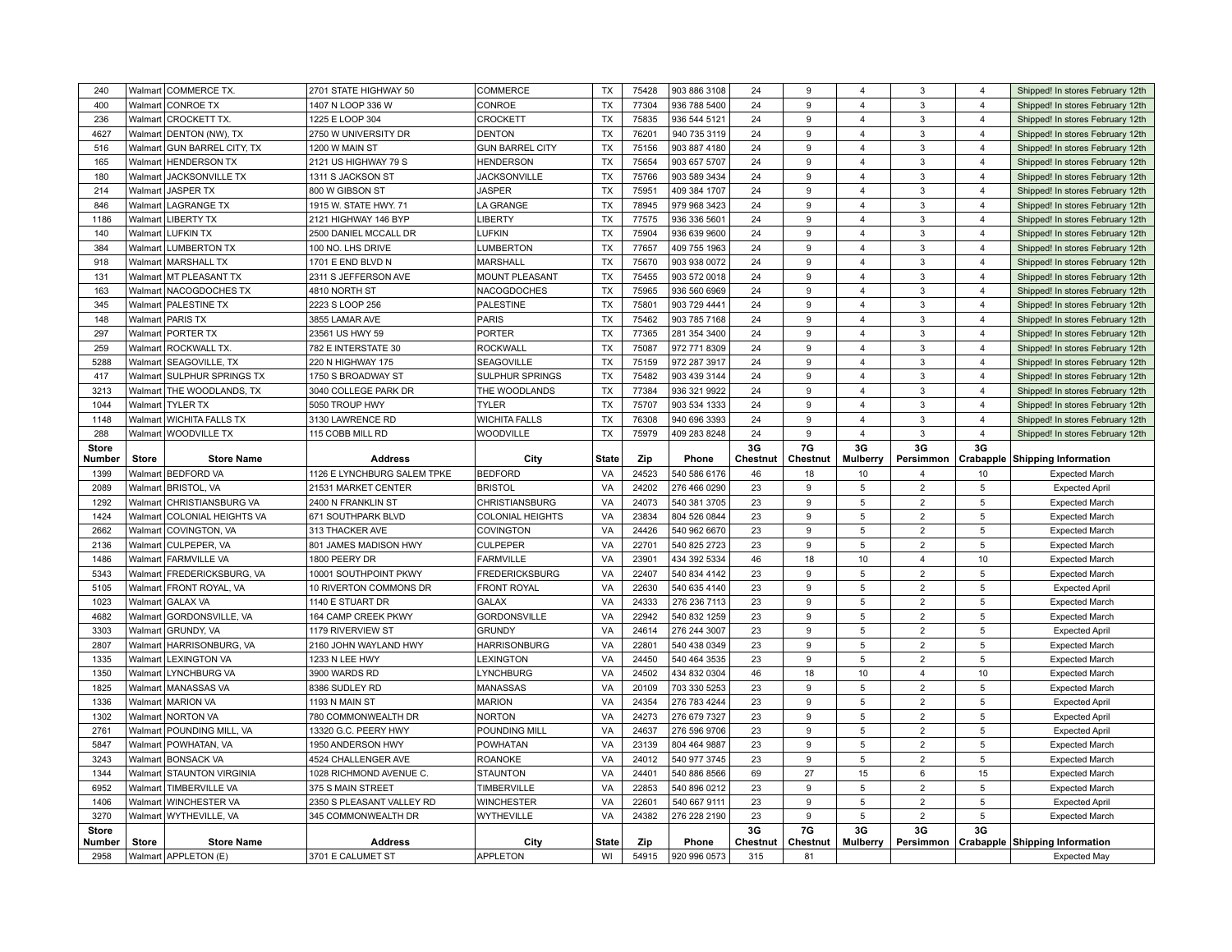| 240                    |              | Walmart COMMERCE TX.                      | 2701 STATE HIGHWAY 50               | COMMERCE                | <b>TX</b>          | 75428        | 903 886 3108          | 24              | 9              | 4                       | 3              | $\overline{4}$ | Shipped! In stores February 12th                                     |
|------------------------|--------------|-------------------------------------------|-------------------------------------|-------------------------|--------------------|--------------|-----------------------|-----------------|----------------|-------------------------|----------------|----------------|----------------------------------------------------------------------|
| 400                    | Walmart      | <b>CONROE TX</b>                          | 1407 N LOOP 336 W                   | CONROE                  | <b>TX</b>          | 77304        | 936 788 5400          | 24              | 9              | $\overline{4}$          | 3              | $\overline{4}$ | Shipped! In stores February 12th                                     |
| 236                    | Walmart      | <b>CROCKETT TX.</b>                       | 1225 E LOOP 304                     | CROCKETT                | <b>TX</b>          | 75835        | 936 544 5121          | 24              | 9              | 4                       | 3              | $\overline{4}$ | Shipped! In stores February 12th                                     |
| 4627                   | Walmart      | DENTON (NW), TX                           | 2750 W UNIVERSITY DR                | <b>DENTON</b>           | <b>TX</b>          | 76201        | 940 735 3119          | 24              | 9              | 4                       | 3              | $\overline{4}$ | Shipped! In stores February 12th                                     |
| 516                    | Walmart      | <b>GUN BARREL CITY, TX</b>                | 1200 W MAIN ST                      | <b>GUN BARREL CITY</b>  | <b>TX</b>          | 75156        | 903 887 4180          | 24              | 9              | $\overline{4}$          | $\mathbf{3}$   | $\overline{4}$ | Shipped! In stores February 12th                                     |
| 165                    | Walmart      | <b>HENDERSON TX</b>                       | 2121 US HIGHWAY 79 S                | <b>HENDERSON</b>        | <b>TX</b>          | 75654        | 903 657 5707          | 24              | 9              | $\overline{4}$          | 3              | $\overline{4}$ | Shipped! In stores February 12th                                     |
| 180                    | Walmart      | JACKSONVILLE TX                           | 1311 S JACKSON ST                   | <b>JACKSONVILLE</b>     | <b>TX</b>          | 75766        | 903 589 3434          | 24              | 9              | $\overline{4}$          | 3              | $\overline{4}$ | Shipped! In stores February 12th                                     |
| 214                    | Walmart      | <b>JASPER TX</b>                          | 800 W GIBSON ST                     | <b>JASPER</b>           | <b>TX</b>          | 75951        | 409 384 1707          | 24              | 9              | $\overline{\mathbf{A}}$ | 3              | $\overline{4}$ | Shipped! In stores February 12th                                     |
| 846                    | Walmart      | <b>LAGRANGE TX</b>                        | 1915 W. STATE HWY. 71               | LA GRANGE               | <b>TX</b>          | 78945        | 979 968 3423          | 24              | 9              | $\overline{\mathbf{4}}$ | 3              | $\overline{4}$ | Shipped! In stores February 12th                                     |
| 1186                   |              | Walmart   LIBERTY TX                      | 2121 HIGHWAY 146 BYP                | <b>LIBERTY</b>          | <b>TX</b>          | 77575        | 936 336 5601          | 24              | 9              | 4                       | 3              | $\overline{4}$ | Shipped! In stores February 12th                                     |
| 140                    |              | Walmart LUFKIN TX                         | 2500 DANIEL MCCALL DR               | <b>LUFKIN</b>           | <b>TX</b>          | 75904        | 936 639 9600          | 24              | 9              | $\overline{4}$          | $\mathbf{3}$   | $\overline{4}$ | Shipped! In stores February 12th                                     |
| 384                    | Walmart      | <b>LUMBERTON TX</b>                       | 100 NO. LHS DRIVE                   | <b>LUMBERTON</b>        | <b>TX</b>          | 77657        | 409 755 1963          | 24              | 9              | 4                       | 3              | $\overline{4}$ | Shipped! In stores February 12th                                     |
| 918                    | Walmart      | <b>MARSHALL TX</b>                        | 1701 E END BLVD N                   | <b>MARSHALL</b>         | <b>TX</b>          | 75670        | 903 938 0072          | 24              | 9              | $\overline{4}$          | 3              | $\overline{4}$ | Shipped! In stores February 12th                                     |
| 131                    |              | Walmart   MT PLEASANT TX                  | 2311 S JEFFERSON AVE                | <b>MOUNT PLEASANT</b>   | <b>TX</b>          | 75455        | 903 572 0018          | 24              | 9              | 4                       | 3              | $\overline{4}$ | Shipped! In stores February 12th                                     |
| 163                    | Walmart      | <b>NACOGDOCHES TX</b>                     | 4810 NORTH ST                       | NACOGDOCHES             | <b>TX</b>          | 75965        | 936 560 6969          | 24              | 9              | $\overline{4}$          | 3              | $\overline{4}$ | Shipped! In stores February 12th                                     |
| 345                    | Walmart      | <b>PALESTINE TX</b>                       | 2223 S LOOP 256                     | PALESTINE               | <b>TX</b>          | 75801        | 903 729 4441          | 24              | 9              | $\overline{4}$          | 3              | $\overline{4}$ | Shipped! In stores February 12th                                     |
| 148                    | Walmart      | <b>PARIS TX</b>                           | 3855 LAMAR AVE                      | <b>PARIS</b>            | <b>TX</b>          | 75462        | 903 785 7168          | 24              | 9              | $\overline{4}$          | 3              | $\overline{4}$ | Shipped! In stores February 12th                                     |
| 297                    |              | Walmart   PORTER TX                       | 23561 US HWY 59                     | <b>PORTER</b>           | <b>TX</b>          | 77365        | 281 354 3400          | 24              | 9              | $\overline{4}$          | 3              | $\overline{4}$ | Shipped! In stores February 12th                                     |
| 259                    | Walmart      | ROCKWALL TX.                              | 782 E INTERSTATE 30                 | <b>ROCKWALL</b>         | <b>TX</b>          | 75087        | 972 771 8309          | 24              | 9              | 4                       | 3              | $\overline{4}$ | Shipped! In stores February 12th                                     |
| 5288                   | Walmart      | SEAGOVILLE, TX                            | 220 N HIGHWAY 175                   | SEAGOVILLE              | <b>TX</b>          | 75159        | 972 287 3917          | 24              | 9              | $\overline{\mathbf{4}}$ | 3              | $\overline{4}$ | Shipped! In stores February 12th                                     |
| 417                    | Walmart      | <b>SULPHUR SPRINGS TX</b>                 | 1750 S BROADWAY ST                  | <b>SULPHUR SPRINGS</b>  | <b>TX</b>          | 75482        | 903 439 3144          | 24              | 9              | $\overline{4}$          | 3              | $\overline{4}$ | Shipped! In stores February 12th                                     |
| 3213                   |              | Walmart THE WOODLANDS, TX                 | 3040 COLLEGE PARK DR                | THE WOODLANDS           | <b>TX</b>          | 77384        | 936 321 9922          | 24              | 9              | $\overline{4}$          | 3              | $\overline{4}$ | Shipped! In stores February 12th                                     |
| 1044                   |              | Walmart   TYLER TX                        | 5050 TROUP HWY                      | <b>TYLER</b>            | <b>TX</b>          | 75707        | 903 534 1333          | 24              | $\mathbf{Q}$   | $\overline{\mathbf{4}}$ | 3              | $\overline{4}$ |                                                                      |
| 1148                   | Walmart      | <b>WICHITA FALLS TX</b>                   | 3130 LAWRENCE RD                    | <b>WICHITA FALLS</b>    | <b>TX</b>          | 76308        | 940 696 3393          | 24              | 9              | $\overline{4}$          | 3              | $\overline{4}$ | Shipped! In stores February 12th<br>Shipped! In stores February 12th |
| 288                    |              |                                           |                                     | WOODVILLE               | TX                 | 75979        |                       | 24              | 9              | 4                       | $\mathbf{3}$   | $\overline{4}$ |                                                                      |
|                        |              | Walmart   WOODVILLE TX                    | 115 COBB MILL RD                    |                         |                    |              | 409 283 8248          | 3G              |                | 3G                      | 3G             | 3G             | Shipped! In stores February 12th                                     |
| <b>Store</b><br>Number | <b>Store</b> | <b>Store Name</b>                         | <b>Address</b>                      | City                    | <b>State</b>       | Zip          | Phone                 | Chestnut        | 7G<br>Chestnut | <b>Mulberry</b>         |                |                | Persimmon   Crabapple   Shipping Information                         |
|                        |              |                                           |                                     |                         |                    |              |                       |                 |                |                         |                |                |                                                                      |
|                        |              |                                           |                                     |                         |                    |              |                       |                 |                |                         | $\overline{4}$ |                |                                                                      |
| 1399                   |              | Walmart BEDFORD VA                        | 1126 E LYNCHBURG SALEM TPKE         | <b>BEDFORD</b>          | VA                 | 24523        | 540 586 6176          | 46              | 18             | 10<br>5                 |                | 10             | <b>Expected March</b>                                                |
| 2089                   | Walmart      | <b>BRISTOL, VA</b>                        | 21531 MARKET CENTER                 | <b>BRISTOL</b>          | VA                 | 24202        | 276 466 0290          | 23              | 9              |                         | $\overline{2}$ | 5              | <b>Expected April</b>                                                |
| 1292                   | Walmart      | <b>CHRISTIANSBURG VA</b>                  | 2400 N FRANKLIN ST                  | CHRISTIANSBURG          | VA                 | 24073        | 540 381 3705          | 23              | 9              | 5                       | $\overline{2}$ | 5              | <b>Expected March</b>                                                |
| 1424                   | Walmart      | COLONIAL HEIGHTS VA                       | 671 SOUTHPARK BLVD                  | <b>COLONIAL HEIGHTS</b> | VA                 | 23834        | 804 526 0844          | 23              | 9<br>9         | 5<br>5                  | $\overline{2}$ | 5              | <b>Expected March</b>                                                |
| 2662                   | Walmart      | COVINGTON, VA                             | 313 THACKER AVE                     | COVINGTON               | VA                 | 24426        | 540 962 6670          | 23              |                |                         | $\overline{2}$ | 5              | <b>Expected March</b>                                                |
| 2136                   | Walmart      | CULPEPER, VA                              | 801 JAMES MADISON HWY               | <b>CULPEPER</b>         | VA                 | 22701        | 540 825 2723          | 23              | 9              | 5                       | $\overline{2}$ | 5              | <b>Expected March</b>                                                |
| 1486                   | Walmart      | <b>FARMVILLE VA</b>                       | 1800 PEERY DR                       | <b>FARMVILLE</b>        | VA                 | 23901        | 434 392 5334          | 46              | 18             | 10                      | $\overline{4}$ | 10             | <b>Expected March</b>                                                |
| 5343                   |              | Walmart   FREDERICKSBURG, VA              | 10001 SOUTHPOINT PKWY               | <b>FREDERICKSBURG</b>   | VA                 | 22407        | 540 834 4142          | 23              | 9              | 5                       | $\overline{2}$ | 5              | <b>Expected March</b>                                                |
| 5105                   | Walmart      | <b>FRONT ROYAL, VA</b>                    | 10 RIVERTON COMMONS DR              | <b>FRONT ROYAL</b>      | VA                 | 22630        | 540 635 4140          | 23              | 9              | 5                       | $\overline{2}$ | 5              | <b>Expected April</b>                                                |
| 1023                   | Walmart      | <b>GALAX VA</b>                           | 1140 E STUART DR                    | <b>GALAX</b>            | VA                 | 24333        | 276 236 7113          | 23              | 9              | 5                       | $\overline{2}$ | 5              | <b>Expected March</b>                                                |
| 4682                   | Walmart      | <b>GORDONSVILLE, VA</b>                   | 164 CAMP CREEK PKWY                 | <b>GORDONSVILLE</b>     | VA                 | 22942        | 540 832 1259          | 23              | 9              | 5                       | $\overline{2}$ | 5              | <b>Expected March</b>                                                |
| 3303                   | Walmart      | <b>GRUNDY, VA</b>                         | 1179 RIVERVIEW ST                   | <b>GRUNDY</b>           | VA                 | 24614        | 276 244 3007          | 23              | g              | 5                       | $\overline{2}$ | 5              | <b>Expected April</b>                                                |
| 2807                   | Walmart      | HARRISONBURG, VA                          | 2160 JOHN WAYLAND HWY               | <b>HARRISONBURG</b>     | VA                 | 22801        | 540 438 0349          | 23              | 9              | 5                       | $\overline{2}$ | 5              | <b>Expected March</b>                                                |
| 1335                   | Walmart      | <b>LEXINGTON VA</b>                       | 1233 N LEE HWY                      | LEXINGTON               | VA                 | 24450        | 540 464 3535          | 23              | 9              | 5                       | $\overline{2}$ | 5              | <b>Expected March</b>                                                |
| 1350                   | Walmart      | <b>LYNCHBURG VA</b>                       | 3900 WARDS RD                       | LYNCHBURG               | VA                 | 24502        | 434 832 0304          | 46              | 18             | $10$                    | $\overline{4}$ | 10             | <b>Expected March</b>                                                |
| 1825                   |              | Walmart   MANASSAS VA                     | 8386 SUDLEY RD                      | MANASSAS                | VA                 | 20109        | 703 330 5253          | 23              | 9              | 5                       | $\overline{2}$ | 5              | <b>Expected March</b>                                                |
| 1336                   | Walmart      | <b>MARION VA</b>                          | 1193 N MAIN ST                      | <b>MARION</b>           | VA                 | 24354        | 276 783 4244          | 23              | 9              | 5                       | $\overline{2}$ | 5              | <b>Expected April</b>                                                |
| 1302                   |              | Walmart NORTON VA                         | 780 COMMONWEALTH DR                 | <b>NORTON</b>           | VA                 | 24273        | 276 679 7327          | 23              | 9              | 5                       | $\overline{2}$ | 5              | <b>Expected April</b>                                                |
| 2761                   |              | Walmart   POUNDING MILL, VA               | 13320 G.C. PEERY HWY                | POUNDING MILL           | VA                 | 24637        | 276 596 9706          | 23              | 9              | 5                       | $\overline{2}$ | 5              | <b>Expected April</b>                                                |
| 5847                   |              | Walmart   POWHATAN, VA                    | 1950 ANDERSON HWY                   | POWHATAN                | VA                 | 23139        | 804 464 9887          | 23              | 9              | 5                       | $\overline{2}$ | 5              | <b>Expected March</b>                                                |
| 3243                   | Walmart      | <b>BONSACK VA</b>                         | 4524 CHALLENGER AVE                 | <b>ROANOKE</b>          | VA                 | 24012        | 540 977 3745          | 23              | 9              | 5                       | $\overline{2}$ | 5              | <b>Expected March</b>                                                |
| 1344                   |              | Walmart STAUNTON VIRGINIA                 | 1028 RICHMOND AVENUE C.             | <b>STAUNTON</b>         | VA                 | 24401        | 540 886 8566          | 69              | 27             | 15                      | 6              | 15             | <b>Expected March</b>                                                |
| 6952                   |              | Walmart TIMBERVILLE VA                    | 375 S MAIN STREET                   | TIMBERVILLE             | VA                 | 22853        | 540 896 0212          | 23              | 9              | 5                       | $\overline{2}$ | 5              | <b>Expected March</b>                                                |
| 1406                   | Walmart      | <b>WINCHESTER VA</b>                      | 2350 S PLEASANT VALLEY RD           | <b>WINCHESTER</b>       | VA                 | 22601        | 540 667 9111          | 23              | 9              | 5                       | $\overline{2}$ | 5              | <b>Expected April</b>                                                |
| 3270                   | Walmart      | WYTHEVILLE, VA                            | 345 COMMONWEALTH DR                 | <b>WYTHEVILLE</b>       | VA                 | 24382        | 276 228 2190          | 23              | 9              | 5                       | $\overline{2}$ | 5              | <b>Expected March</b>                                                |
| <b>Store</b>           |              |                                           |                                     |                         |                    |              |                       | 3G              | 7G             | 3G                      | 3G             | 3G             |                                                                      |
| <b>Number</b><br>2958  | Store        | <b>Store Name</b><br>Walmart APPLETON (E) | <b>Address</b><br>3701 E CALUMET ST | City<br><b>APPLETON</b> | <b>State</b><br>WI | Zip<br>54915 | Phone<br>920 996 0573 | Chestnut<br>315 | Chestnut<br>81 | Mulberry                |                |                | Persimmon   Crabapple   Shipping Information<br><b>Expected May</b>  |